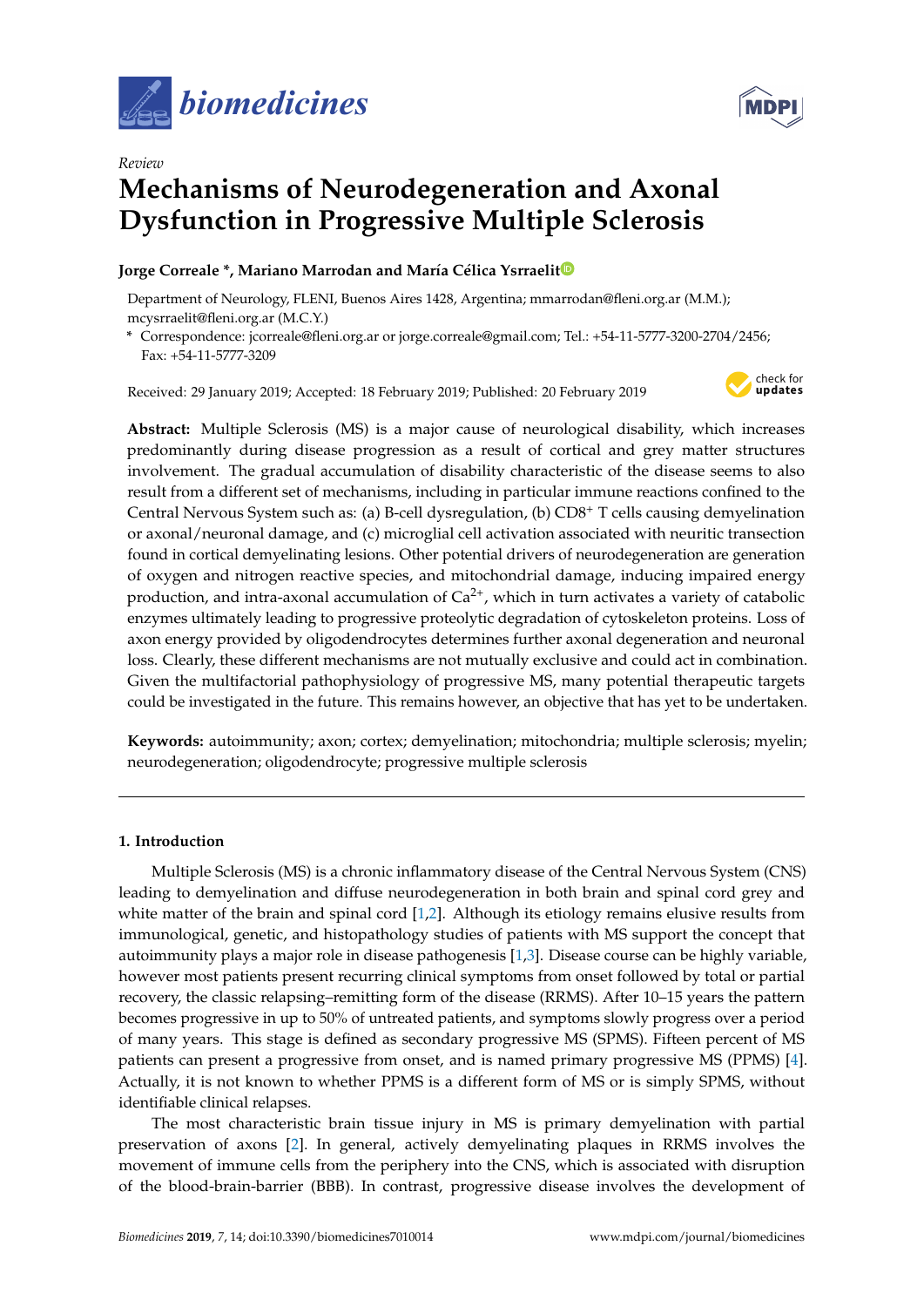



# *Review* **Mechanisms of Neurodegeneration and Axonal Dysfunction in Progressive Multiple Sclerosis**

# **Jorge Correale \*, Mariano Marrodan and María Célica Ysrraeli[t](https://orcid.org/0000-0003-0846-5825)**

Department of Neurology, FLENI, Buenos Aires 1428, Argentina; mmarrodan@fleni.org.ar (M.M.); mcysrraelit@fleni.org.ar (M.C.Y.)

**\*** Correspondence: jcorreale@fleni.org.ar or jorge.correale@gmail.com; Tel.: +54-11-5777-3200-2704/2456; Fax: +54-11-5777-3209

Received: 29 January 2019; Accepted: 18 February 2019; Published: 20 February 2019



**Abstract:** Multiple Sclerosis (MS) is a major cause of neurological disability, which increases predominantly during disease progression as a result of cortical and grey matter structures involvement. The gradual accumulation of disability characteristic of the disease seems to also result from a different set of mechanisms, including in particular immune reactions confined to the Central Nervous System such as: (a) B-cell dysregulation, (b) CD8<sup>+</sup> T cells causing demyelination or axonal/neuronal damage, and (c) microglial cell activation associated with neuritic transection found in cortical demyelinating lesions. Other potential drivers of neurodegeneration are generation of oxygen and nitrogen reactive species, and mitochondrial damage, inducing impaired energy production, and intra-axonal accumulation of  $Ca^{2+}$ , which in turn activates a variety of catabolic enzymes ultimately leading to progressive proteolytic degradation of cytoskeleton proteins. Loss of axon energy provided by oligodendrocytes determines further axonal degeneration and neuronal loss. Clearly, these different mechanisms are not mutually exclusive and could act in combination. Given the multifactorial pathophysiology of progressive MS, many potential therapeutic targets could be investigated in the future. This remains however, an objective that has yet to be undertaken.

**Keywords:** autoimmunity; axon; cortex; demyelination; mitochondria; multiple sclerosis; myelin; neurodegeneration; oligodendrocyte; progressive multiple sclerosis

# **1. Introduction**

Multiple Sclerosis (MS) is a chronic inflammatory disease of the Central Nervous System (CNS) leading to demyelination and diffuse neurodegeneration in both brain and spinal cord grey and white matter of the brain and spinal cord [\[1,](#page-14-0)[2\]](#page-14-1). Although its etiology remains elusive results from immunological, genetic, and histopathology studies of patients with MS support the concept that autoimmunity plays a major role in disease pathogenesis [\[1,](#page-14-0)[3\]](#page-14-2). Disease course can be highly variable, however most patients present recurring clinical symptoms from onset followed by total or partial recovery, the classic relapsing–remitting form of the disease (RRMS). After 10–15 years the pattern becomes progressive in up to 50% of untreated patients, and symptoms slowly progress over a period of many years. This stage is defined as secondary progressive MS (SPMS). Fifteen percent of MS patients can present a progressive from onset, and is named primary progressive MS (PPMS) [\[4\]](#page-14-3). Actually, it is not known to whether PPMS is a different form of MS or is simply SPMS, without identifiable clinical relapses.

The most characteristic brain tissue injury in MS is primary demyelination with partial preservation of axons [\[2\]](#page-14-1). In general, actively demyelinating plaques in RRMS involves the movement of immune cells from the periphery into the CNS, which is associated with disruption of the blood-brain-barrier (BBB). In contrast, progressive disease involves the development of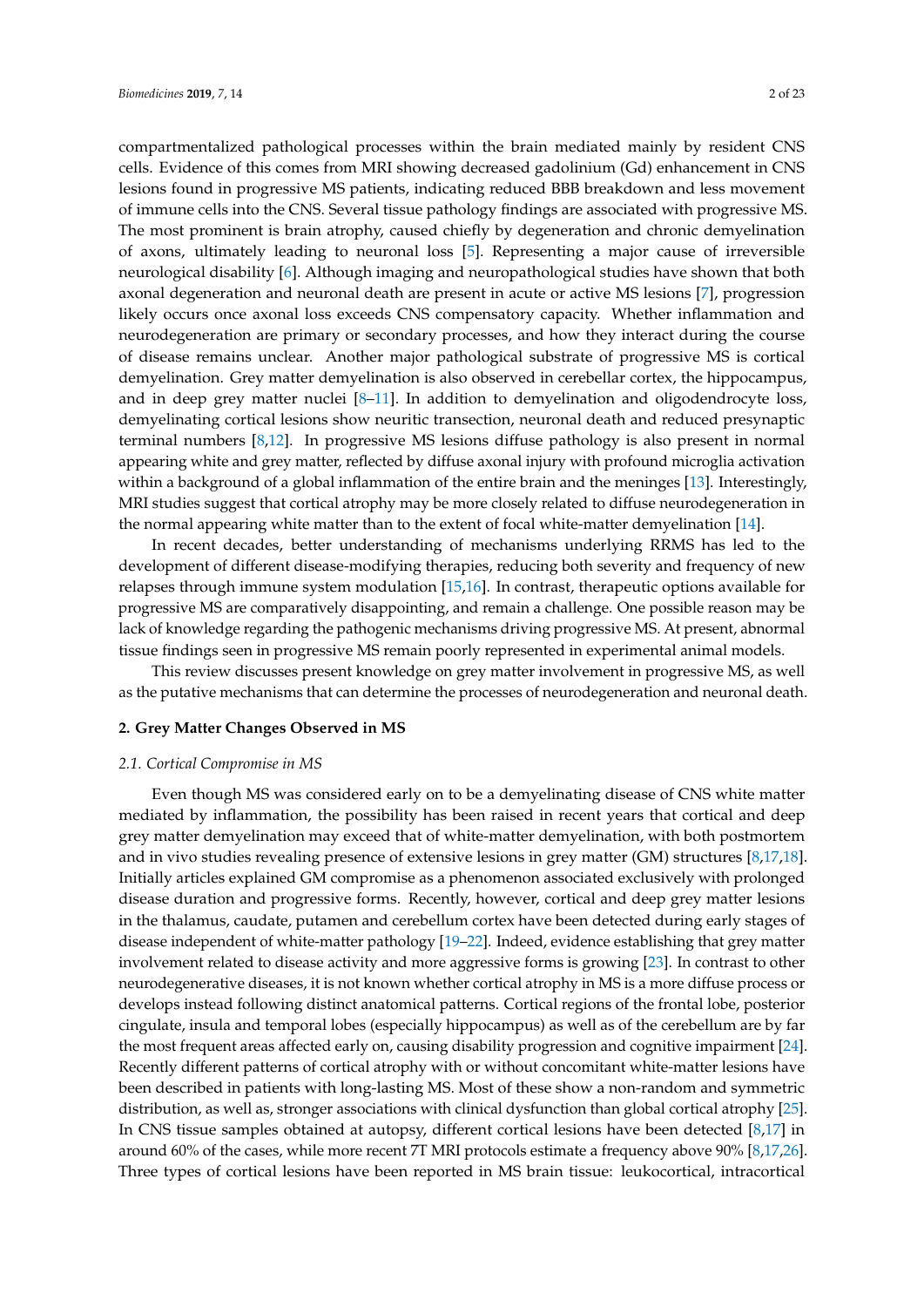compartmentalized pathological processes within the brain mediated mainly by resident CNS cells. Evidence of this comes from MRI showing decreased gadolinium (Gd) enhancement in CNS lesions found in progressive MS patients, indicating reduced BBB breakdown and less movement of immune cells into the CNS. Several tissue pathology findings are associated with progressive MS. The most prominent is brain atrophy, caused chiefly by degeneration and chronic demyelination of axons, ultimately leading to neuronal loss [\[5\]](#page-14-4). Representing a major cause of irreversible neurological disability [\[6\]](#page-14-5). Although imaging and neuropathological studies have shown that both axonal degeneration and neuronal death are present in acute or active MS lesions [\[7\]](#page-14-6), progression likely occurs once axonal loss exceeds CNS compensatory capacity. Whether inflammation and neurodegeneration are primary or secondary processes, and how they interact during the course of disease remains unclear. Another major pathological substrate of progressive MS is cortical demyelination. Grey matter demyelination is also observed in cerebellar cortex, the hippocampus, and in deep grey matter nuclei  $[8-11]$  $[8-11]$ . In addition to demyelination and oligodendrocyte loss, demyelinating cortical lesions show neuritic transection, neuronal death and reduced presynaptic terminal numbers [\[8,](#page-14-7)[12\]](#page-14-9). In progressive MS lesions diffuse pathology is also present in normal appearing white and grey matter, reflected by diffuse axonal injury with profound microglia activation within a background of a global inflammation of the entire brain and the meninges [\[13\]](#page-14-10). Interestingly, MRI studies suggest that cortical atrophy may be more closely related to diffuse neurodegeneration in the normal appearing white matter than to the extent of focal white-matter demyelination [\[14\]](#page-14-11).

In recent decades, better understanding of mechanisms underlying RRMS has led to the development of different disease-modifying therapies, reducing both severity and frequency of new relapses through immune system modulation [\[15,](#page-14-12)[16\]](#page-15-0). In contrast, therapeutic options available for progressive MS are comparatively disappointing, and remain a challenge. One possible reason may be lack of knowledge regarding the pathogenic mechanisms driving progressive MS. At present, abnormal tissue findings seen in progressive MS remain poorly represented in experimental animal models.

This review discusses present knowledge on grey matter involvement in progressive MS, as well as the putative mechanisms that can determine the processes of neurodegeneration and neuronal death.

# **2. Grey Matter Changes Observed in MS**

## *2.1. Cortical Compromise in MS*

Even though MS was considered early on to be a demyelinating disease of CNS white matter mediated by inflammation, the possibility has been raised in recent years that cortical and deep grey matter demyelination may exceed that of white-matter demyelination, with both postmortem and in vivo studies revealing presence of extensive lesions in grey matter (GM) structures [\[8,](#page-14-7)[17,](#page-15-1)[18\]](#page-15-2). Initially articles explained GM compromise as a phenomenon associated exclusively with prolonged disease duration and progressive forms. Recently, however, cortical and deep grey matter lesions in the thalamus, caudate, putamen and cerebellum cortex have been detected during early stages of disease independent of white-matter pathology [\[19](#page-15-3)[–22\]](#page-15-4). Indeed, evidence establishing that grey matter involvement related to disease activity and more aggressive forms is growing [\[23\]](#page-15-5). In contrast to other neurodegenerative diseases, it is not known whether cortical atrophy in MS is a more diffuse process or develops instead following distinct anatomical patterns. Cortical regions of the frontal lobe, posterior cingulate, insula and temporal lobes (especially hippocampus) as well as of the cerebellum are by far the most frequent areas affected early on, causing disability progression and cognitive impairment [\[24\]](#page-15-6). Recently different patterns of cortical atrophy with or without concomitant white-matter lesions have been described in patients with long-lasting MS. Most of these show a non-random and symmetric distribution, as well as, stronger associations with clinical dysfunction than global cortical atrophy [\[25\]](#page-15-7). In CNS tissue samples obtained at autopsy, different cortical lesions have been detected [\[8,](#page-14-7)[17\]](#page-15-1) in around 60% of the cases, while more recent 7T MRI protocols estimate a frequency above 90% [\[8](#page-14-7)[,17](#page-15-1)[,26\]](#page-15-8). Three types of cortical lesions have been reported in MS brain tissue: leukocortical, intracortical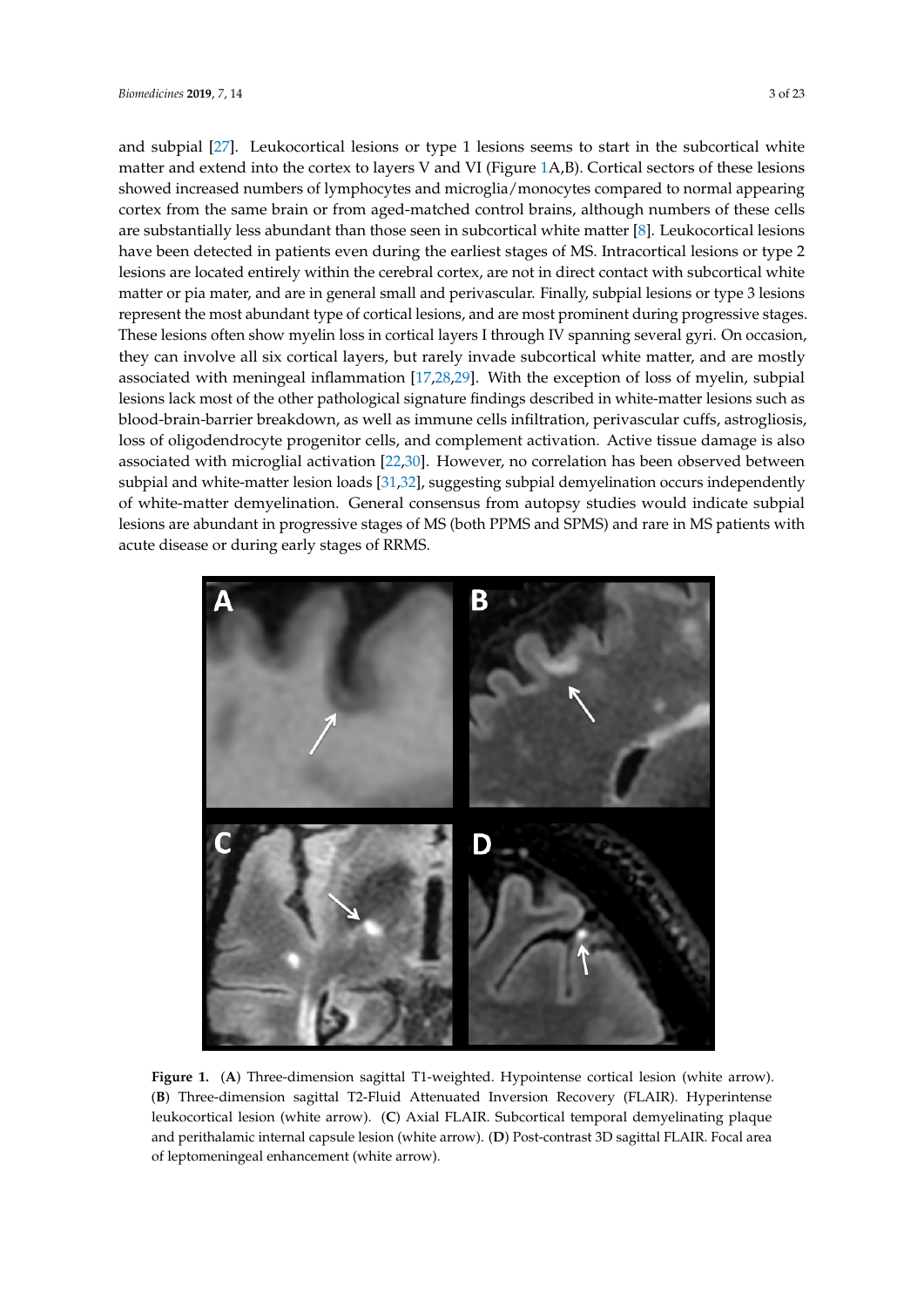and subpial [27]. Leukocortical lesions or type 1 lesions seems to start in the subcortical white matter and extend into the cortex to layers V and VI (Figure 1A,B). Cortical sectors of these les[io](#page-2-0)ns showed increased numbers of lymphocytes and microglia/monocytes compared to normal appearing cortex from the same brain or from aged-matched control brains, although numbers of these cells are substantially less abundant than those seen in subcortical white [m](#page-14-7)atter [8]. Leukocortical lesions have been detected in patients even during the earliest stages of MS. Intracortical lesions or type 2 lesions are located entirely within the cerebral cortex, are not in direct contact with subcortical white matter or pia mater, and are in general small and perivascular. Finally, subpial lesions or type 3 lesions represent the most abundant type of cortical lesions, and are most prominent during progressive stages. These lesions often show myelin loss in cortical layers I through IV spanning several gyri. On occasion, they can involve all six cortical layers, but rarely invade subcortical white matter, and are mostly associated with meningeal inflammation  $[17,28,29]$  $[17,28,29]$  $[17,28,29]$ . With the exception of loss of myelin, subpial lesions lack most of the other pathological signature findings described in white-matter lesions such as blood-brain-barrier breakdown, as well as immune cells infiltration, perivascular cuffs, astrogliosis, loss of oligodendrocyte progenitor cells, and complement activation. Active tissue damage is also associated with microglial activation [\[22](#page-15-4)[,30\]](#page-15-12). However, no correlation has been observed between subpial and white-matter lesion loads [31,32], suggesting subpial demyelination occurs independently of white-matter demyelination. General consensus from autopsy studies would indicate subpial lesions are abundant in progressive stages of MS (both PPMS and SPMS) and rare in MS patients with acute disease or during early stages of RRMS.

<span id="page-2-0"></span>

Figure 1. (A) Three-dimension sagittal T1-weighted. Hypointense cortical lesion (white arrow). Three-dimension sagittal T2-Fluid Attenuated Inversion Recovery (FLAIR). Hyperintense (**B**) Three-dimension sagittal T2-Fluid Attenuated Inversion Recovery (FLAIR). Hyperintense leukocortical lesion (white arrow). (C) Axial FLAIR. Subcortical temporal demyelinating plaque and perithalamic internal capsule lesion (white arrow). (D) Post-contrast 3D sagittal FLAIR. Focal area of leptomeningeal enhancement (white arrow).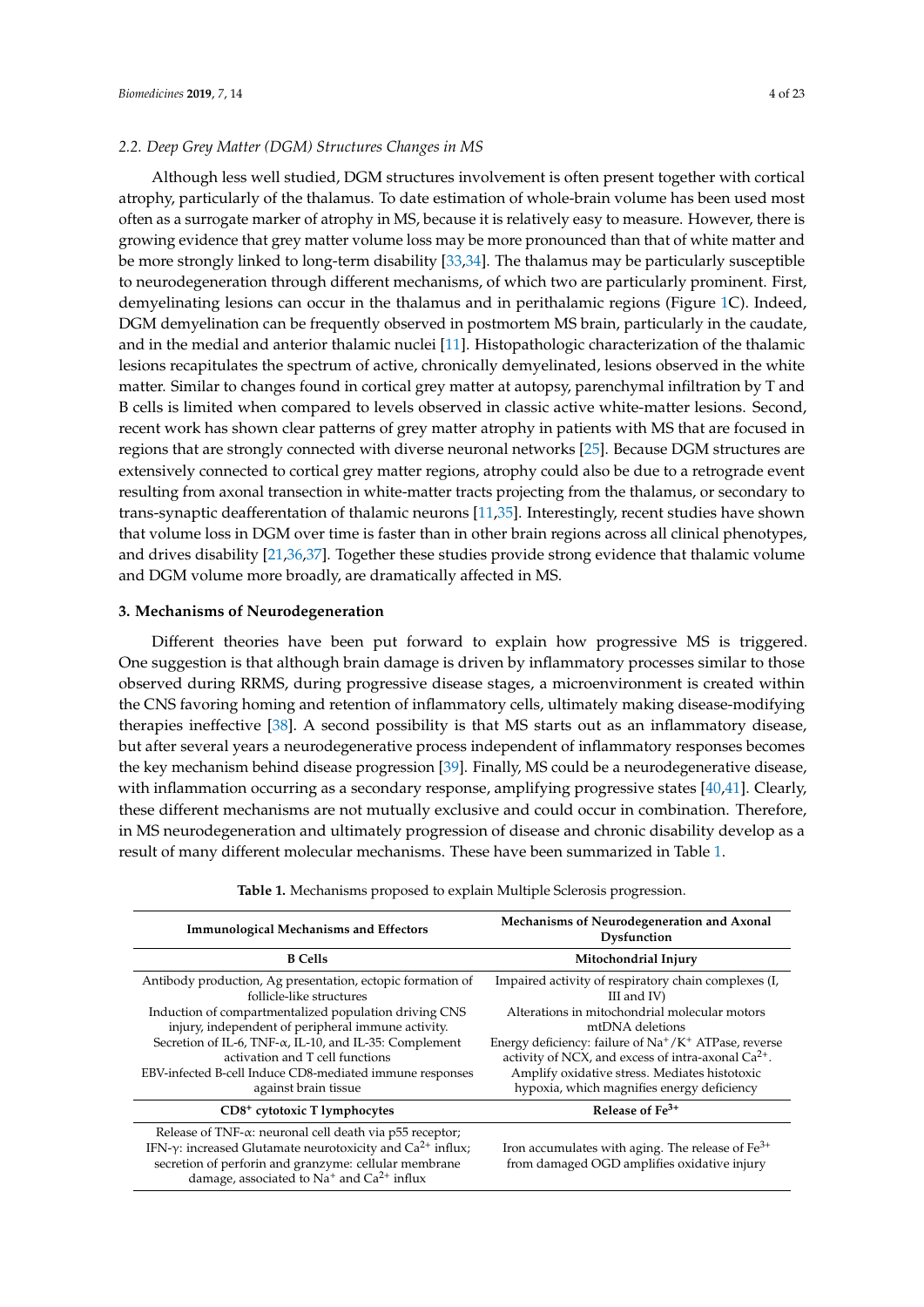## *2.2. Deep Grey Matter (DGM) Structures Changes in MS*

Although less well studied, DGM structures involvement is often present together with cortical atrophy, particularly of the thalamus. To date estimation of whole-brain volume has been used most often as a surrogate marker of atrophy in MS, because it is relatively easy to measure. However, there is growing evidence that grey matter volume loss may be more pronounced than that of white matter and be more strongly linked to long-term disability [\[33,](#page-15-15)[34\]](#page-15-16). The thalamus may be particularly susceptible to neurodegeneration through different mechanisms, of which two are particularly prominent. First, demyelinating lesions can occur in the thalamus and in perithalamic regions (Figure [1C](#page-2-0)). Indeed, DGM demyelination can be frequently observed in postmortem MS brain, particularly in the caudate, and in the medial and anterior thalamic nuclei [\[11\]](#page-14-8). Histopathologic characterization of the thalamic lesions recapitulates the spectrum of active, chronically demyelinated, lesions observed in the white matter. Similar to changes found in cortical grey matter at autopsy, parenchymal infiltration by T and B cells is limited when compared to levels observed in classic active white-matter lesions. Second, recent work has shown clear patterns of grey matter atrophy in patients with MS that are focused in regions that are strongly connected with diverse neuronal networks [\[25\]](#page-15-7). Because DGM structures are extensively connected to cortical grey matter regions, atrophy could also be due to a retrograde event resulting from axonal transection in white-matter tracts projecting from the thalamus, or secondary to trans-synaptic deafferentation of thalamic neurons [\[11,](#page-14-8)[35\]](#page-15-17). Interestingly, recent studies have shown that volume loss in DGM over time is faster than in other brain regions across all clinical phenotypes, and drives disability [\[21,](#page-15-18)[36](#page-16-0)[,37\]](#page-16-1). Together these studies provide strong evidence that thalamic volume and DGM volume more broadly, are dramatically affected in MS.

#### **3. Mechanisms of Neurodegeneration**

Different theories have been put forward to explain how progressive MS is triggered. One suggestion is that although brain damage is driven by inflammatory processes similar to those observed during RRMS, during progressive disease stages, a microenvironment is created within the CNS favoring homing and retention of inflammatory cells, ultimately making disease-modifying therapies ineffective [\[38\]](#page-16-2). A second possibility is that MS starts out as an inflammatory disease, but after several years a neurodegenerative process independent of inflammatory responses becomes the key mechanism behind disease progression [\[39\]](#page-16-3). Finally, MS could be a neurodegenerative disease, with inflammation occurring as a secondary response, amplifying progressive states [\[40,](#page-16-4)[41\]](#page-16-5). Clearly, these different mechanisms are not mutually exclusive and could occur in combination. Therefore, in MS neurodegeneration and ultimately progression of disease and chronic disability develop as a result of many different molecular mechanisms. These have been summarized in Table [1.](#page-4-0)

| <b>Immunological Mechanisms and Effectors</b>                                                                                                                                                                                                                                                                                                                                                   | Mechanisms of Neurodegeneration and Axonal<br>Dysfunction                                                                                                                                                                                                                                                                                                        |
|-------------------------------------------------------------------------------------------------------------------------------------------------------------------------------------------------------------------------------------------------------------------------------------------------------------------------------------------------------------------------------------------------|------------------------------------------------------------------------------------------------------------------------------------------------------------------------------------------------------------------------------------------------------------------------------------------------------------------------------------------------------------------|
| <b>B</b> Cells                                                                                                                                                                                                                                                                                                                                                                                  | Mitochondrial Injury                                                                                                                                                                                                                                                                                                                                             |
| Antibody production, Ag presentation, ectopic formation of<br>follicle-like structures<br>Induction of compartmentalized population driving CNS<br>injury, independent of peripheral immune activity.<br>Secretion of IL-6, TNF- $\alpha$ , IL-10, and IL-35: Complement<br>activation and T cell functions<br>EBV-infected B-cell Induce CD8-mediated immune responses<br>against brain tissue | Impaired activity of respiratory chain complexes (I.<br>III and $IV$ )<br>Alterations in mitochondrial molecular motors<br>mtDNA deletions<br>Energy deficiency: failure of $Na^+/K^+$ ATPase, reverse<br>activity of NCX, and excess of intra-axonal $Ca^{2+}$ .<br>Amplify oxidative stress. Mediates histotoxic<br>hypoxia, which magnifies energy deficiency |
| CD8 <sup>+</sup> cytotoxic T lymphocytes                                                                                                                                                                                                                                                                                                                                                        | Release of $Fe3+$                                                                                                                                                                                                                                                                                                                                                |
| Release of TNF-α: neuronal cell death via p55 receptor;<br>IFN- $\gamma$ : increased Glutamate neurotoxicity and Ca <sup>2+</sup> influx;<br>secretion of perforin and granzyme: cellular membrane<br>damage, associated to $Na^+$ and $Ca^{2+}$ influx                                                                                                                                         | Iron accumulates with aging. The release of $Fe3+$<br>from damaged OGD amplifies oxidative injury                                                                                                                                                                                                                                                                |

**Table 1.** Mechanisms proposed to explain Multiple Sclerosis progression.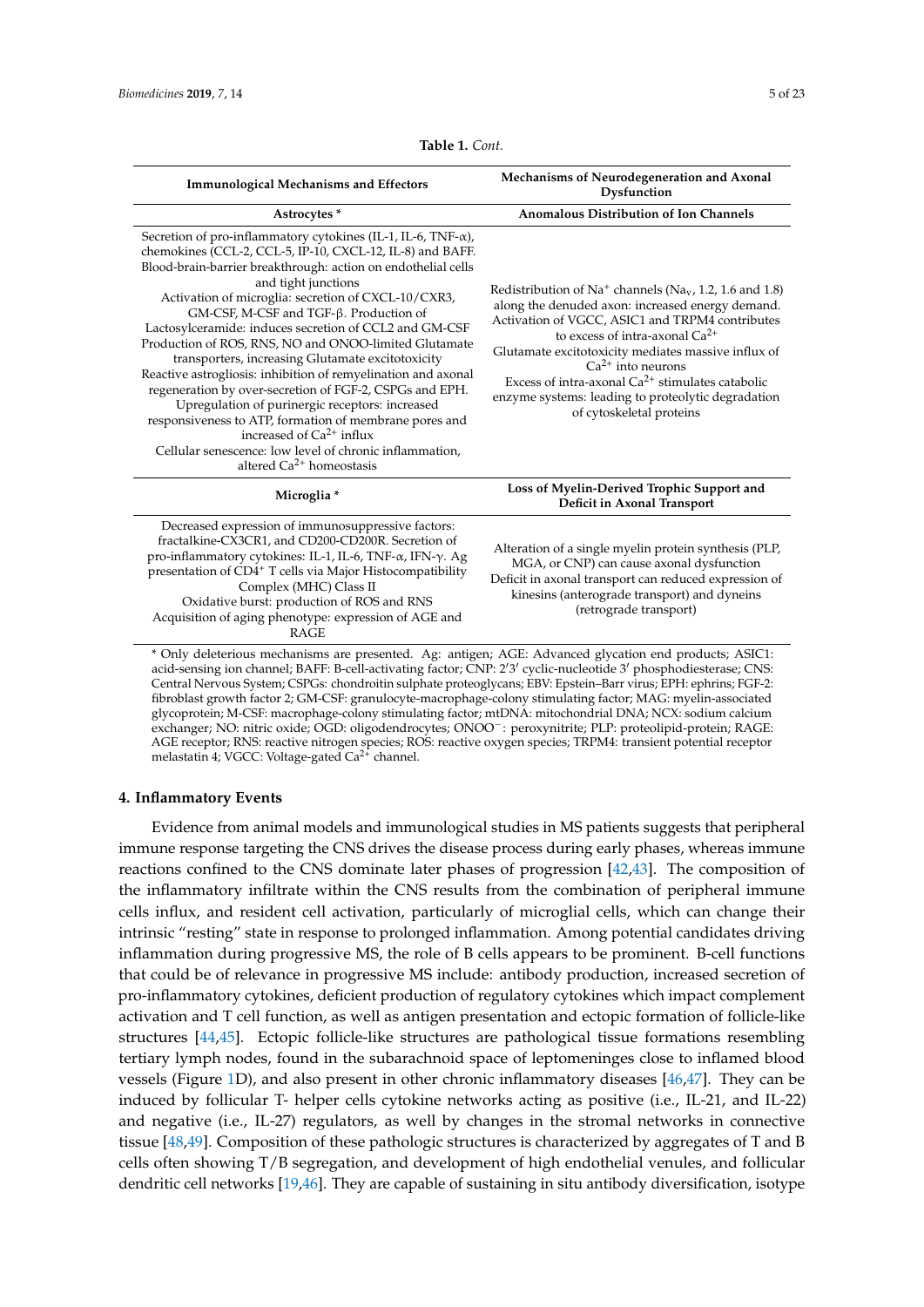<span id="page-4-0"></span>

| <b>Immunological Mechanisms and Effectors</b>                                                                                                                                                                                                                                                                                                                                                                                                                                                                                                                                                                                                                                                                                                                                                                                                                                    | Mechanisms of Neurodegeneration and Axonal<br>Dysfunction                                                                                                                                                                                                                                                                                                                                                                                        |
|----------------------------------------------------------------------------------------------------------------------------------------------------------------------------------------------------------------------------------------------------------------------------------------------------------------------------------------------------------------------------------------------------------------------------------------------------------------------------------------------------------------------------------------------------------------------------------------------------------------------------------------------------------------------------------------------------------------------------------------------------------------------------------------------------------------------------------------------------------------------------------|--------------------------------------------------------------------------------------------------------------------------------------------------------------------------------------------------------------------------------------------------------------------------------------------------------------------------------------------------------------------------------------------------------------------------------------------------|
| Astrocytes*                                                                                                                                                                                                                                                                                                                                                                                                                                                                                                                                                                                                                                                                                                                                                                                                                                                                      | <b>Anomalous Distribution of Ion Channels</b>                                                                                                                                                                                                                                                                                                                                                                                                    |
| Secretion of pro-inflammatory cytokines (IL-1, IL-6, TNF- $\alpha$ ),<br>chemokines (CCL-2, CCL-5, IP-10, CXCL-12, IL-8) and BAFF.<br>Blood-brain-barrier breakthrough: action on endothelial cells<br>and tight junctions<br>Activation of microglia: secretion of CXCL-10/CXR3,<br>GM-CSF, M-CSF and TGF-β. Production of<br>Lactosylceramide: induces secretion of CCL2 and GM-CSF<br>Production of ROS, RNS, NO and ONOO-limited Glutamate<br>transporters, increasing Glutamate excitotoxicity<br>Reactive astrogliosis: inhibition of remyelination and axonal<br>regeneration by over-secretion of FGF-2, CSPGs and EPH.<br>Upregulation of purinergic receptors: increased<br>responsiveness to ATP, formation of membrane pores and<br>increased of Ca <sup>2+</sup> influx<br>Cellular senescence: low level of chronic inflammation,<br>altered $Ca^{2+}$ homeostasis | Redistribution of $Na^+$ channels (Na <sub>v</sub> , 1.2, 1.6 and 1.8)<br>along the denuded axon: increased energy demand.<br>Activation of VGCC, ASIC1 and TRPM4 contributes<br>to excess of intra-axonal $Ca^{2+}$<br>Glutamate excitotoxicity mediates massive influx of<br>$Ca^{2+}$ into neurons<br>Excess of intra-axonal $Ca^{2+}$ stimulates catabolic<br>enzyme systems: leading to proteolytic degradation<br>of cytoskeletal proteins |
| Microglia *                                                                                                                                                                                                                                                                                                                                                                                                                                                                                                                                                                                                                                                                                                                                                                                                                                                                      | Loss of Myelin-Derived Trophic Support and<br>Deficit in Axonal Transport                                                                                                                                                                                                                                                                                                                                                                        |
| Decreased expression of immunosuppressive factors:<br>fractalkine-CX3CR1, and CD200-CD200R. Secretion of<br>pro-inflammatory cytokines: IL-1, IL-6, TNF-α, IFN-γ. Ag<br>presentation of CD4+ T cells via Major Histocompatibility<br>Complex (MHC) Class II<br>Oxidative burst: production of ROS and RNS<br>Acquisition of aging phenotype: expression of AGE and<br><b>RAGE</b>                                                                                                                                                                                                                                                                                                                                                                                                                                                                                                | Alteration of a single myelin protein synthesis (PLP,<br>MGA, or CNP) can cause axonal dysfunction<br>Deficit in axonal transport can reduced expression of<br>kinesins (anterograde transport) and dyneins<br>(retrograde transport)                                                                                                                                                                                                            |

**Table 1.** *Cont.*

\* Only deleterious mechanisms are presented. Ag: antigen; AGE: Advanced glycation end products; ASIC1: acid-sensing ion channel; BAFF: B-cell-activating factor; CNP: 2'3' cyclic-nucleotide 3' phosphodiesterase; CNS: Central Nervous System; CSPGs: chondroitin sulphate proteoglycans; EBV: Epstein–Barr virus; EPH: ephrins; FGF-2: fibroblast growth factor 2; GM-CSF: granulocyte-macrophage-colony stimulating factor; MAG: myelin-associated glycoprotein; M-CSF: macrophage-colony stimulating factor; mtDNA: mitochondrial DNA; NCX: sodium calcium exchanger; NO: nitric oxide; OGD: oligodendrocytes; ONOO−: peroxynitrite; PLP: proteolipid-protein; RAGE: AGE receptor; RNS: reactive nitrogen species; ROS: reactive oxygen species; TRPM4: transient potential receptor melastatin 4; VGCC: Voltage-gated Ca<sup>2+</sup> channel.

#### **4. Inflammatory Events**

Evidence from animal models and immunological studies in MS patients suggests that peripheral immune response targeting the CNS drives the disease process during early phases, whereas immune reactions confined to the CNS dominate later phases of progression [\[42,](#page-16-6)[43\]](#page-16-7). The composition of the inflammatory infiltrate within the CNS results from the combination of peripheral immune cells influx, and resident cell activation, particularly of microglial cells, which can change their intrinsic "resting" state in response to prolonged inflammation. Among potential candidates driving inflammation during progressive MS, the role of B cells appears to be prominent. B-cell functions that could be of relevance in progressive MS include: antibody production, increased secretion of pro-inflammatory cytokines, deficient production of regulatory cytokines which impact complement activation and T cell function, as well as antigen presentation and ectopic formation of follicle-like structures [\[44](#page-16-8)[,45\]](#page-16-9). Ectopic follicle-like structures are pathological tissue formations resembling tertiary lymph nodes, found in the subarachnoid space of leptomeninges close to inflamed blood vessels (Figure [1D](#page-2-0)), and also present in other chronic inflammatory diseases [\[46,](#page-16-10)[47\]](#page-16-11). They can be induced by follicular T- helper cells cytokine networks acting as positive (i.e., IL-21, and IL-22) and negative (i.e., IL-27) regulators, as well by changes in the stromal networks in connective tissue [\[48](#page-16-12)[,49\]](#page-16-13). Composition of these pathologic structures is characterized by aggregates of T and B cells often showing T/B segregation, and development of high endothelial venules, and follicular dendritic cell networks [\[19](#page-15-3)[,46\]](#page-16-10). They are capable of sustaining in situ antibody diversification, isotype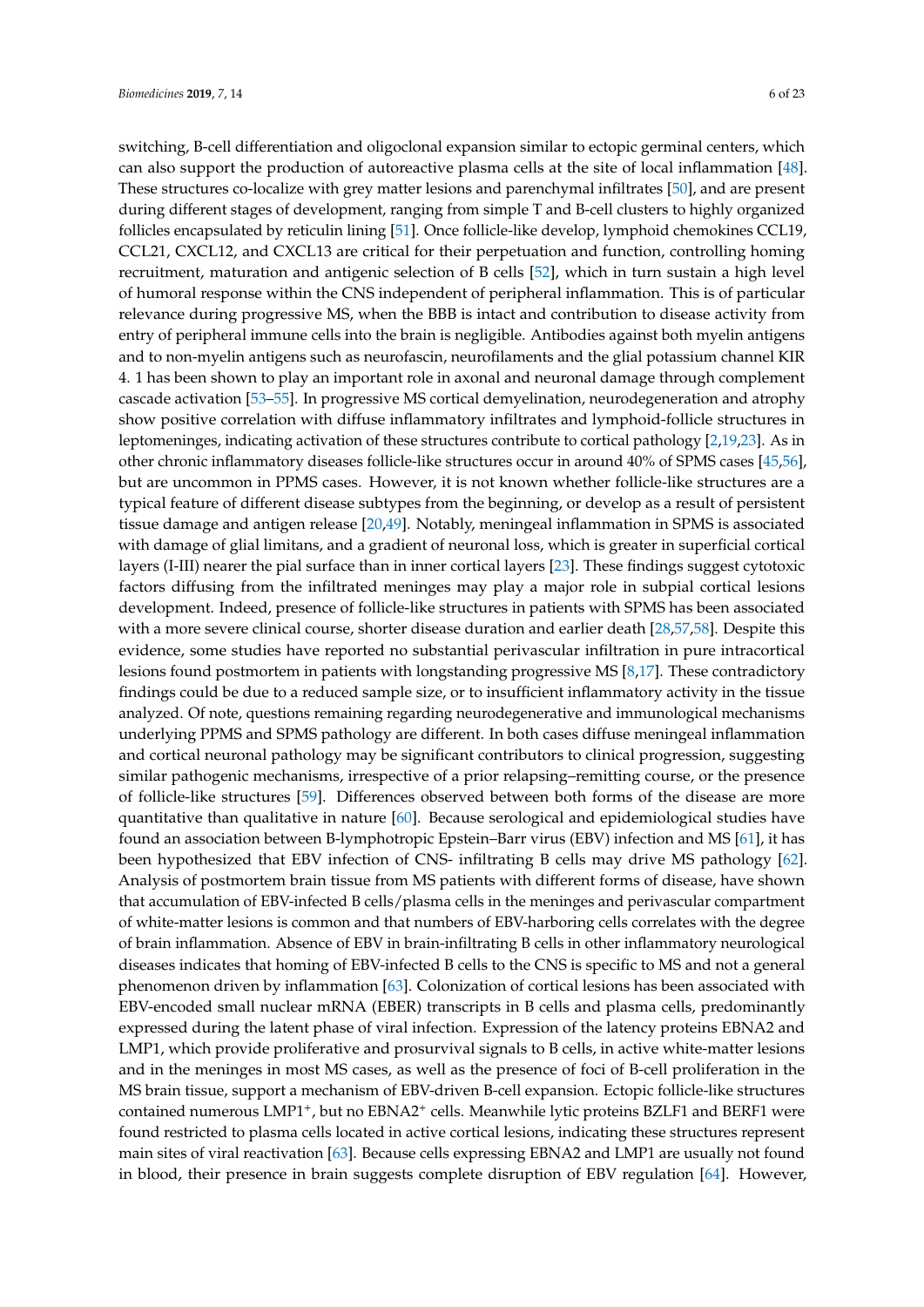switching, B-cell differentiation and oligoclonal expansion similar to ectopic germinal centers, which can also support the production of autoreactive plasma cells at the site of local inflammation [\[48\]](#page-16-12). These structures co-localize with grey matter lesions and parenchymal infiltrates [\[50\]](#page-16-14), and are present during different stages of development, ranging from simple T and B-cell clusters to highly organized follicles encapsulated by reticulin lining [\[51\]](#page-16-15). Once follicle-like develop, lymphoid chemokines CCL19, CCL21, CXCL12, and CXCL13 are critical for their perpetuation and function, controlling homing recruitment, maturation and antigenic selection of B cells [\[52\]](#page-16-16), which in turn sustain a high level of humoral response within the CNS independent of peripheral inflammation. This is of particular relevance during progressive MS, when the BBB is intact and contribution to disease activity from entry of peripheral immune cells into the brain is negligible. Antibodies against both myelin antigens and to non-myelin antigens such as neurofascin, neurofilaments and the glial potassium channel KIR 4. 1 has been shown to play an important role in axonal and neuronal damage through complement cascade activation [\[53–](#page-16-17)[55\]](#page-16-18). In progressive MS cortical demyelination, neurodegeneration and atrophy show positive correlation with diffuse inflammatory infiltrates and lymphoid-follicle structures in leptomeninges, indicating activation of these structures contribute to cortical pathology [\[2,](#page-14-1)[19](#page-15-3)[,23\]](#page-15-5). As in other chronic inflammatory diseases follicle-like structures occur in around 40% of SPMS cases [\[45](#page-16-9)[,56\]](#page-17-0), but are uncommon in PPMS cases. However, it is not known whether follicle-like structures are a typical feature of different disease subtypes from the beginning, or develop as a result of persistent tissue damage and antigen release [\[20](#page-15-19)[,49\]](#page-16-13). Notably, meningeal inflammation in SPMS is associated with damage of glial limitans, and a gradient of neuronal loss, which is greater in superficial cortical layers (I-III) nearer the pial surface than in inner cortical layers [\[23\]](#page-15-5). These findings suggest cytotoxic factors diffusing from the infiltrated meninges may play a major role in subpial cortical lesions development. Indeed, presence of follicle-like structures in patients with SPMS has been associated with a more severe clinical course, shorter disease duration and earlier death [\[28,](#page-15-10)[57,](#page-17-1)[58\]](#page-17-2). Despite this evidence, some studies have reported no substantial perivascular infiltration in pure intracortical lesions found postmortem in patients with longstanding progressive MS [\[8,](#page-14-7)[17\]](#page-15-1). These contradictory findings could be due to a reduced sample size, or to insufficient inflammatory activity in the tissue analyzed. Of note, questions remaining regarding neurodegenerative and immunological mechanisms underlying PPMS and SPMS pathology are different. In both cases diffuse meningeal inflammation and cortical neuronal pathology may be significant contributors to clinical progression, suggesting similar pathogenic mechanisms, irrespective of a prior relapsing–remitting course, or the presence of follicle-like structures [\[59\]](#page-17-3). Differences observed between both forms of the disease are more quantitative than qualitative in nature [\[60\]](#page-17-4). Because serological and epidemiological studies have found an association between B-lymphotropic Epstein–Barr virus (EBV) infection and MS [\[61\]](#page-17-5), it has been hypothesized that EBV infection of CNS- infiltrating B cells may drive MS pathology [\[62\]](#page-17-6). Analysis of postmortem brain tissue from MS patients with different forms of disease, have shown that accumulation of EBV-infected B cells/plasma cells in the meninges and perivascular compartment of white-matter lesions is common and that numbers of EBV-harboring cells correlates with the degree of brain inflammation. Absence of EBV in brain-infiltrating B cells in other inflammatory neurological diseases indicates that homing of EBV-infected B cells to the CNS is specific to MS and not a general phenomenon driven by inflammation [\[63\]](#page-17-7). Colonization of cortical lesions has been associated with EBV-encoded small nuclear mRNA (EBER) transcripts in B cells and plasma cells, predominantly expressed during the latent phase of viral infection. Expression of the latency proteins EBNA2 and LMP1, which provide proliferative and prosurvival signals to B cells, in active white-matter lesions and in the meninges in most MS cases, as well as the presence of foci of B-cell proliferation in the MS brain tissue, support a mechanism of EBV-driven B-cell expansion. Ectopic follicle-like structures contained numerous LMP1<sup>+</sup>, but no EBNA2<sup>+</sup> cells. Meanwhile lytic proteins BZLF1 and BERF1 were found restricted to plasma cells located in active cortical lesions, indicating these structures represent main sites of viral reactivation [\[63\]](#page-17-7). Because cells expressing EBNA2 and LMP1 are usually not found in blood, their presence in brain suggests complete disruption of EBV regulation [\[64\]](#page-17-8). However,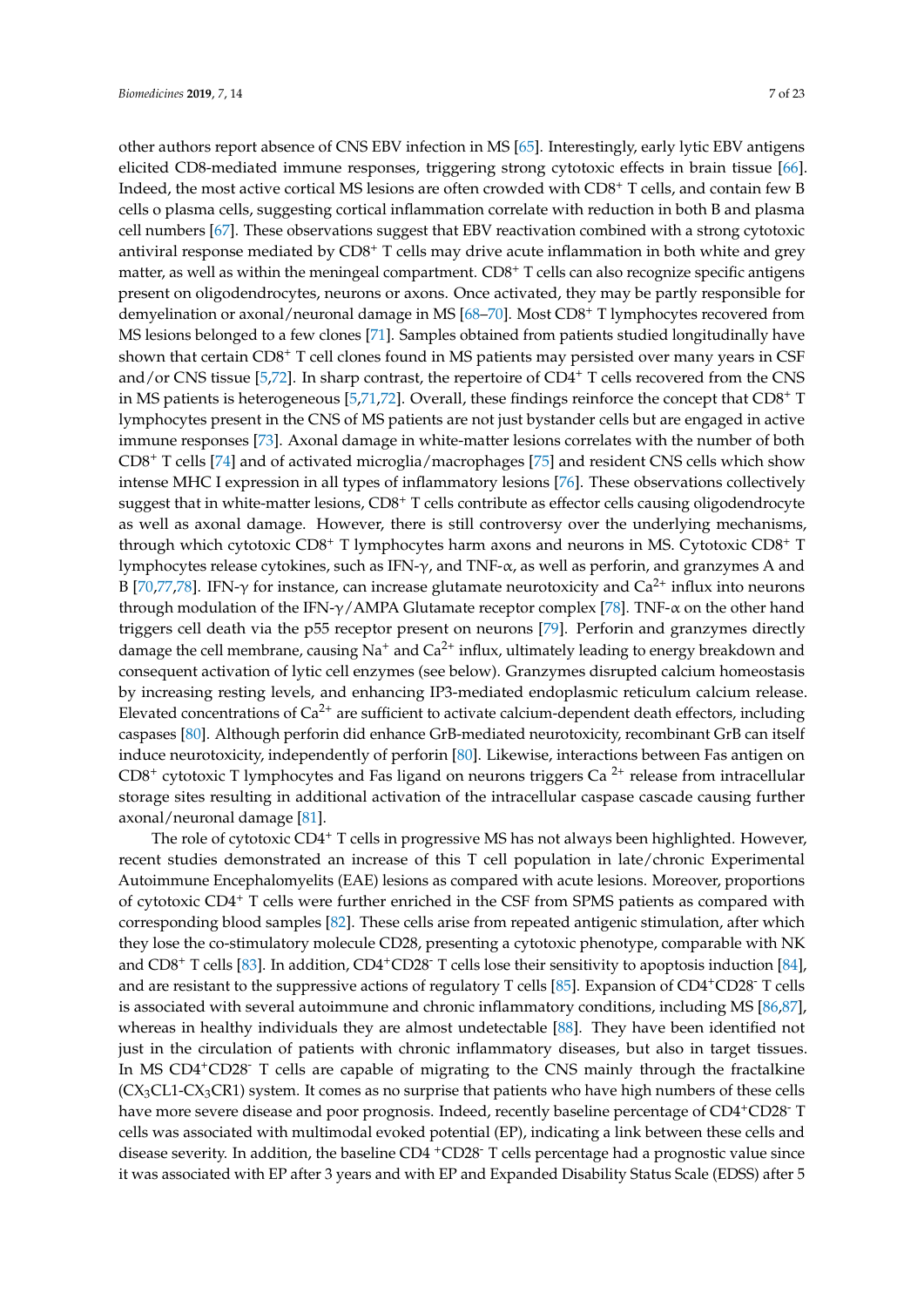other authors report absence of CNS EBV infection in MS [\[65\]](#page-17-9). Interestingly, early lytic EBV antigens elicited CD8-mediated immune responses, triggering strong cytotoxic effects in brain tissue [\[66\]](#page-17-10). Indeed, the most active cortical MS lesions are often crowded with CD8<sup>+</sup> T cells, and contain few B cells o plasma cells, suggesting cortical inflammation correlate with reduction in both B and plasma cell numbers [\[67\]](#page-17-11). These observations suggest that EBV reactivation combined with a strong cytotoxic antiviral response mediated by CD8<sup>+</sup> T cells may drive acute inflammation in both white and grey matter, as well as within the meningeal compartment.  $CD8^+$  T cells can also recognize specific antigens present on oligodendrocytes, neurons or axons. Once activated, they may be partly responsible for demyelination or axonal/neuronal damage in MS [\[68](#page-17-12)[–70\]](#page-17-13). Most CD8<sup>+</sup> T lymphocytes recovered from MS lesions belonged to a few clones [\[71\]](#page-17-14). Samples obtained from patients studied longitudinally have shown that certain CD8<sup>+</sup> T cell clones found in MS patients may persisted over many years in CSF and/or CNS tissue [\[5,](#page-14-4)[72\]](#page-17-15). In sharp contrast, the repertoire of CD4<sup>+</sup> T cells recovered from the CNS in MS patients is heterogeneous [\[5](#page-14-4)[,71](#page-17-14)[,72\]](#page-17-15). Overall, these findings reinforce the concept that CD8<sup>+</sup> T lymphocytes present in the CNS of MS patients are not just bystander cells but are engaged in active immune responses [\[73\]](#page-17-16). Axonal damage in white-matter lesions correlates with the number of both CD8<sup>+</sup> T cells [\[74\]](#page-18-0) and of activated microglia/macrophages [\[75\]](#page-18-1) and resident CNS cells which show intense MHC I expression in all types of inflammatory lesions [\[76\]](#page-18-2). These observations collectively suggest that in white-matter lesions,  $CDS^+$  T cells contribute as effector cells causing oligodendrocyte as well as axonal damage. However, there is still controversy over the underlying mechanisms, through which cytotoxic CD8<sup>+</sup> T lymphocytes harm axons and neurons in MS. Cytotoxic CD8<sup>+</sup> T lymphocytes release cytokines, such as IFN- $\gamma$ , and TNF- $\alpha$ , as well as perforin, and granzymes A and B [\[70](#page-17-13)[,77](#page-18-3)[,78\]](#page-18-4). IFN-γ for instance, can increase glutamate neurotoxicity and  $Ca<sup>2+</sup>$  influx into neurons through modulation of the IFN-γ/AMPA Glutamate receptor complex [\[78\]](#page-18-4). TNF-α on the other hand triggers cell death via the p55 receptor present on neurons [\[79\]](#page-18-5). Perforin and granzymes directly damage the cell membrane, causing  $Na^+$  and  $Ca^{2+}$  influx, ultimately leading to energy breakdown and consequent activation of lytic cell enzymes (see below). Granzymes disrupted calcium homeostasis by increasing resting levels, and enhancing IP3-mediated endoplasmic reticulum calcium release. Elevated concentrations of  $Ca^{2+}$  are sufficient to activate calcium-dependent death effectors, including caspases [\[80\]](#page-18-6). Although perforin did enhance GrB-mediated neurotoxicity, recombinant GrB can itself induce neurotoxicity, independently of perforin [\[80\]](#page-18-6). Likewise, interactions between Fas antigen on CD8<sup>+</sup> cytotoxic T lymphocytes and Fas ligand on neurons triggers Ca<sup>2+</sup> release from intracellular storage sites resulting in additional activation of the intracellular caspase cascade causing further axonal/neuronal damage [\[81\]](#page-18-7).

The role of cytotoxic CD4<sup>+</sup> T cells in progressive MS has not always been highlighted. However, recent studies demonstrated an increase of this T cell population in late/chronic Experimental Autoimmune Encephalomyelits (EAE) lesions as compared with acute lesions. Moreover, proportions of cytotoxic CD4<sup>+</sup> T cells were further enriched in the CSF from SPMS patients as compared with corresponding blood samples [\[82\]](#page-18-8). These cells arise from repeated antigenic stimulation, after which they lose the co-stimulatory molecule CD28, presenting a cytotoxic phenotype, comparable with NK and CD8<sup>+</sup> T cells [\[83\]](#page-18-9). In addition, CD4+CD28- T cells lose their sensitivity to apoptosis induction [\[84\]](#page-18-10), and are resistant to the suppressive actions of regulatory T cells [\[85\]](#page-18-11). Expansion of  $CD4^+CD28^-$  T cells is associated with several autoimmune and chronic inflammatory conditions, including MS [\[86,](#page-18-12)[87\]](#page-18-13), whereas in healthy individuals they are almost undetectable [\[88\]](#page-18-14). They have been identified not just in the circulation of patients with chronic inflammatory diseases, but also in target tissues. In MS CD4<sup>+</sup>CD28<sup>-</sup> T cells are capable of migrating to the CNS mainly through the fractalkine  $(CX_3CL1-CX_3CR1)$  system. It comes as no surprise that patients who have high numbers of these cells have more severe disease and poor prognosis. Indeed, recently baseline percentage of CD4+CD28<sup>-</sup> T cells was associated with multimodal evoked potential (EP), indicating a link between these cells and disease severity. In addition, the baseline  $CD4 + CD28$ <sup>-</sup> T cells percentage had a prognostic value since it was associated with EP after 3 years and with EP and Expanded Disability Status Scale (EDSS) after 5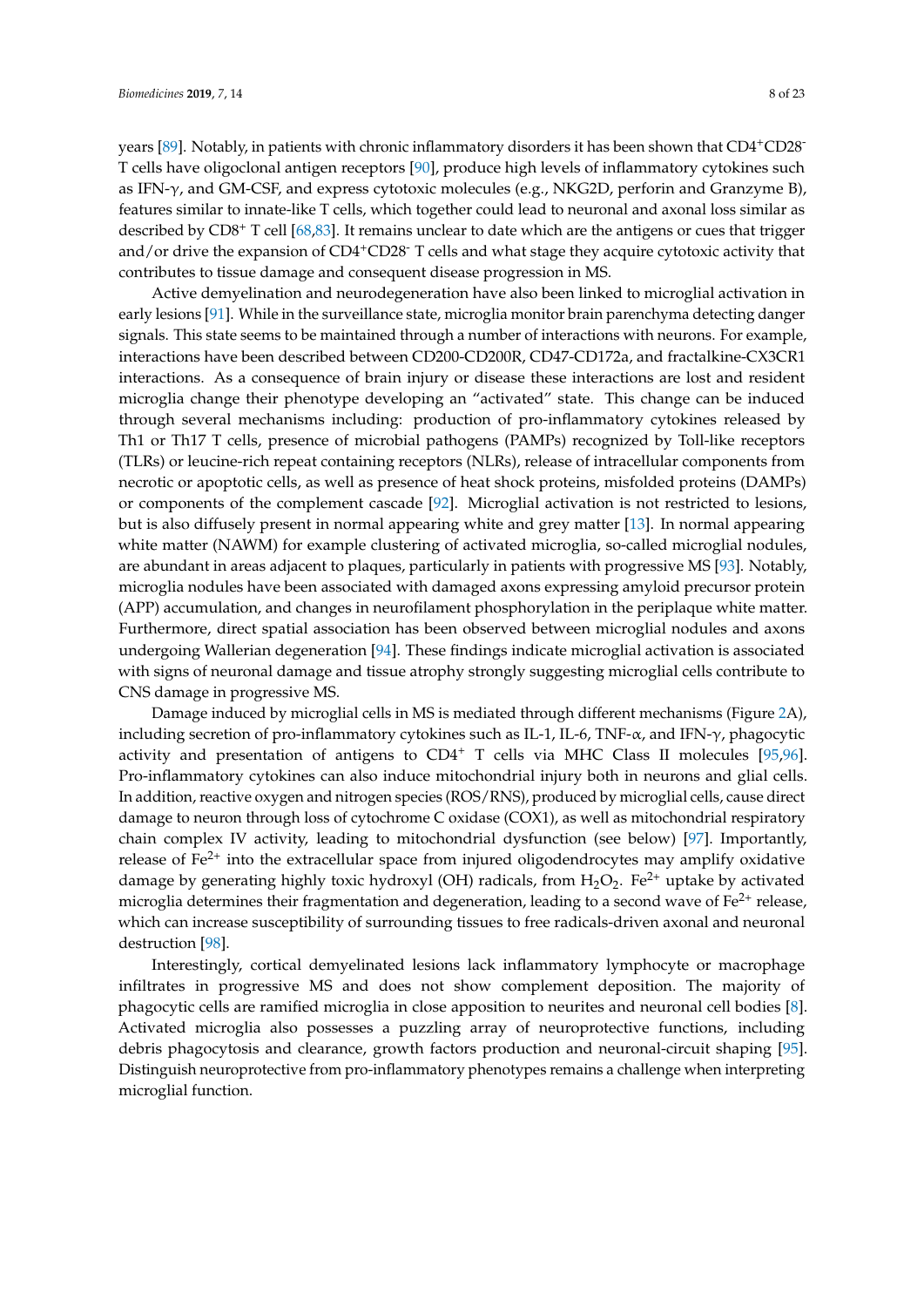years [\[89\]](#page-18-15). Notably, in patients with chronic inflammatory disorders it has been shown that CD4+CD28- T cells have oligoclonal antigen receptors [\[90\]](#page-18-16), produce high levels of inflammatory cytokines such as IFN-γ, and GM-CSF, and express cytotoxic molecules (e.g., NKG2D, perforin and Granzyme B), features similar to innate-like T cells, which together could lead to neuronal and axonal loss similar as described by CD8<sup>+</sup> T cell [\[68](#page-17-12)[,83\]](#page-18-9). It remains unclear to date which are the antigens or cues that trigger and/or drive the expansion of CD4<sup>+</sup>CD28<sup>-</sup> T cells and what stage they acquire cytotoxic activity that contributes to tissue damage and consequent disease progression in MS.

Active demyelination and neurodegeneration have also been linked to microglial activation in early lesions [\[91\]](#page-18-17). While in the surveillance state, microglia monitor brain parenchyma detecting danger signals. This state seems to be maintained through a number of interactions with neurons. For example, interactions have been described between CD200-CD200R, CD47-CD172a, and fractalkine-CX3CR1 interactions. As a consequence of brain injury or disease these interactions are lost and resident microglia change their phenotype developing an "activated" state. This change can be induced through several mechanisms including: production of pro-inflammatory cytokines released by Th1 or Th17 T cells, presence of microbial pathogens (PAMPs) recognized by Toll-like receptors (TLRs) or leucine-rich repeat containing receptors (NLRs), release of intracellular components from necrotic or apoptotic cells, as well as presence of heat shock proteins, misfolded proteins (DAMPs) or components of the complement cascade [\[92\]](#page-18-18). Microglial activation is not restricted to lesions, but is also diffusely present in normal appearing white and grey matter [\[13\]](#page-14-10). In normal appearing white matter (NAWM) for example clustering of activated microglia, so-called microglial nodules, are abundant in areas adjacent to plaques, particularly in patients with progressive MS [\[93\]](#page-18-19). Notably, microglia nodules have been associated with damaged axons expressing amyloid precursor protein (APP) accumulation, and changes in neurofilament phosphorylation in the periplaque white matter. Furthermore, direct spatial association has been observed between microglial nodules and axons undergoing Wallerian degeneration [\[94\]](#page-18-20). These findings indicate microglial activation is associated with signs of neuronal damage and tissue atrophy strongly suggesting microglial cells contribute to CNS damage in progressive MS.

Damage induced by microglial cells in MS is mediated through different mechanisms (Figure [2A](#page-8-0)), including secretion of pro-inflammatory cytokines such as IL-1, IL-6, TNF- $\alpha$ , and IFN- $\gamma$ , phagocytic activity and presentation of antigens to  $CD4^+$  T cells via MHC Class II molecules [\[95,](#page-18-21)[96\]](#page-19-0). Pro-inflammatory cytokines can also induce mitochondrial injury both in neurons and glial cells. In addition, reactive oxygen and nitrogen species (ROS/RNS), produced by microglial cells, cause direct damage to neuron through loss of cytochrome C oxidase (COX1), as well as mitochondrial respiratory chain complex IV activity, leading to mitochondrial dysfunction (see below) [\[97\]](#page-19-1). Importantly, release of  $Fe<sup>2+</sup>$  into the extracellular space from injured oligodendrocytes may amplify oxidative damage by generating highly toxic hydroxyl (OH) radicals, from  $H_2O_2$ . Fe<sup>2+</sup> uptake by activated microglia determines their fragmentation and degeneration, leading to a second wave of  $Fe^{2+}$  release, which can increase susceptibility of surrounding tissues to free radicals-driven axonal and neuronal destruction [\[98\]](#page-19-2).

Interestingly, cortical demyelinated lesions lack inflammatory lymphocyte or macrophage infiltrates in progressive MS and does not show complement deposition. The majority of phagocytic cells are ramified microglia in close apposition to neurites and neuronal cell bodies [\[8\]](#page-14-7). Activated microglia also possesses a puzzling array of neuroprotective functions, including debris phagocytosis and clearance, growth factors production and neuronal-circuit shaping [\[95\]](#page-18-21). Distinguish neuroprotective from pro-inflammatory phenotypes remains a challenge when interpreting microglial function.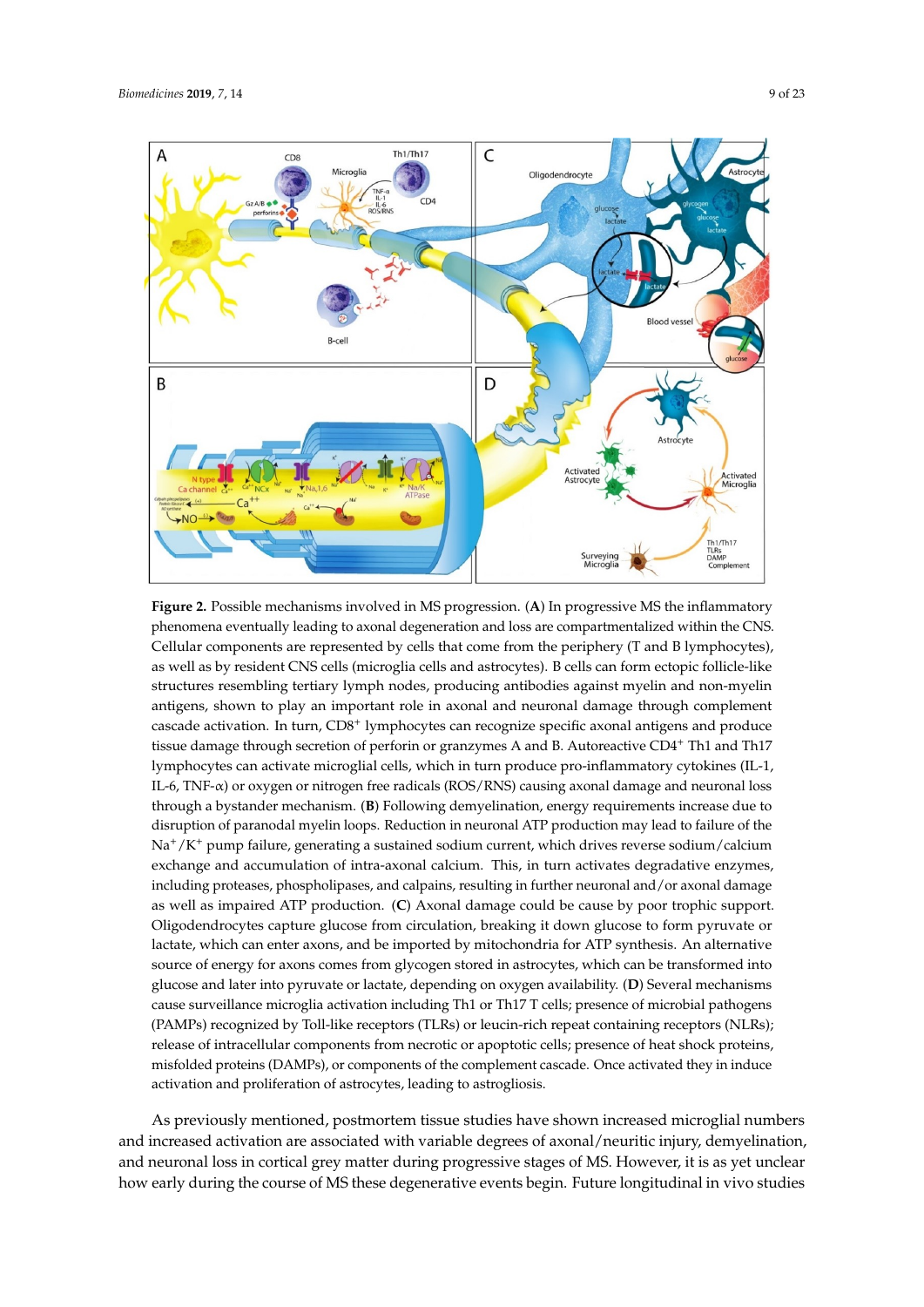<span id="page-8-0"></span>

**Figure 2.** Possible mechanisms involved in MS progression. (**A**) In progressive MS the inflammatory **Figure 2.** Possible mechanisms involved in MS progression. (**A**) In progressive MS the inflammatory phenomena eventually leading to axonal degeneration and loss are compartmentalized within the phenomena eventually leading to axonal degeneration and loss are compartmentalized within the CNS. Cellular components are represented by cells that come from the periphery (T and B lymphocytes), as well as by resident CNS cells (microglia cells and astrocytes). B cells can form ectopic follicle-like structures resembling tertiary lymph nodes, producing antibodies against myelin and non-myelin non-myelin antigens, shown to play an important role in axonal and neuronal damage through cascade activation. In turn, CD8<sup>+</sup> lymphocytes can recognize specific axonal antigens and produce tissue damage through secretion of perforin or granzymes A and B. Autoreactive CD4<sup>+</sup> Th1 and Th17 lymphocytes can activate microglial cells, which in turn produce pro-inflammatory cytokines (IL-1, The 17 and The Third The Third Theorem is the Third Theorem in turn produce pro-inflammatory by tonalize (12 A<br>IL-6, TNF-α) or oxygen or nitrogen free radicals (ROS/RNS) causing axonal damage and neuronal loss cytokines (IL-1, IL-6, TNF-α) or oxygen or nitrogen free radicals (ROS/RNS) causing axonal damage through a bystander mechanism. (**B**) Following demyelination, energy requirements increase due to disruption of paranodal myelin loops. Reduction in neuronal ATP production may lead to failure of the matrix increase to paranodal my electron paramodal myelinear and at production in neuronal Reduction in Na+/K+ pump failure, generating a sustained sodium current, which drives reverse sodium/calcium exchange and accumulation of intra-axonal calcium. This, in turn activates degradative enzymes, including proteases, phospholipases, and calpains, resulting in further neuronal and/or axonal damage antigens, shown to play an important role in axonal and neuronal damage through complement as well as impaired ATP production. (**C**) Axonal damage could be cause by poor trophic support. Oligodendrocytes capture glucose from circulation, breaking it down glucose to form pyruvate or lactate, which can enter axons, and be imported by mitochondria for ATP synthesis. An alternative source of energy for axons comes from glycogen stored in astrocytes, which can be transformed into glucose and later into pyruvate or lactate, depending on oxygen availability. (**D**) Several mechanisms cause surveillance microglia activation including Th1 or Th17 T cells; presence of microbial pathogens (PAMPs) recognized by Toll-like receptors (TLRs) or leucin-rich repeat containing receptors (NLRs); release of intracellular components from necrotic or apoptotic cells; presence of heat shock proteins, misfolded proteins (DAMPs), or components of the complement cascade. Once activated they in induce activation and proliferation of astrocytes, leading to astrogliosis.

As previously mentioned, postmortem tissue studies have shown increased microglial numbers and increased activation are associated with variable degrees of axonal/neuritic injury, demyelination, and neuronal loss in cortical grey matter during progressive stages of MS. However, it is as yet unclear how early during the course of MS these degenerative events begin. Future longitudinal in vivo studies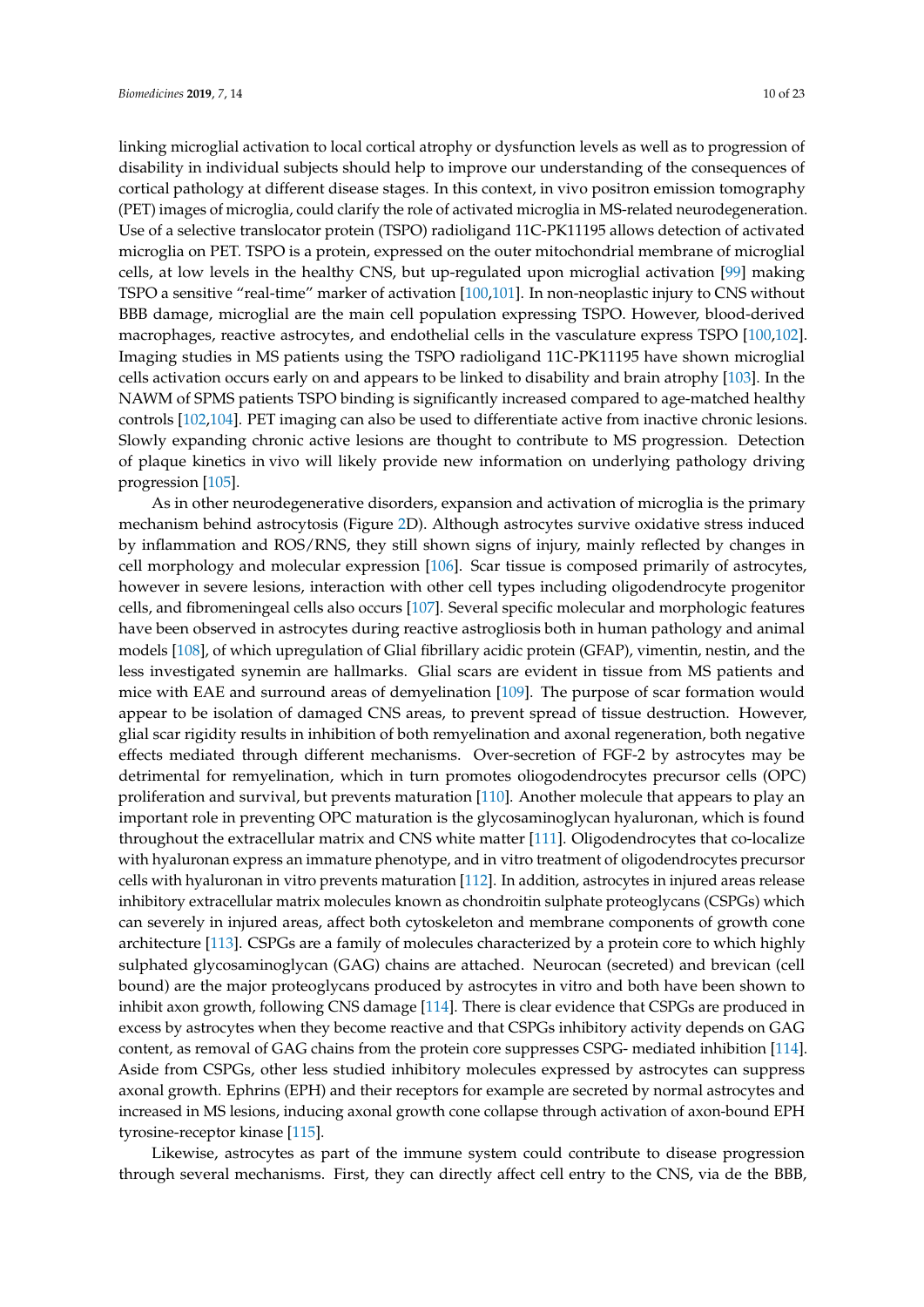linking microglial activation to local cortical atrophy or dysfunction levels as well as to progression of disability in individual subjects should help to improve our understanding of the consequences of cortical pathology at different disease stages. In this context, in vivo positron emission tomography (PET) images of microglia, could clarify the role of activated microglia in MS-related neurodegeneration. Use of a selective translocator protein (TSPO) radioligand 11C-PK11195 allows detection of activated microglia on PET. TSPO is a protein, expressed on the outer mitochondrial membrane of microglial cells, at low levels in the healthy CNS, but up-regulated upon microglial activation [\[99\]](#page-19-3) making TSPO a sensitive "real-time" marker of activation [\[100,](#page-19-4)[101\]](#page-19-5). In non-neoplastic injury to CNS without BBB damage, microglial are the main cell population expressing TSPO. However, blood-derived macrophages, reactive astrocytes, and endothelial cells in the vasculature express TSPO [\[100,](#page-19-4)[102\]](#page-19-6). Imaging studies in MS patients using the TSPO radioligand 11C-PK11195 have shown microglial cells activation occurs early on and appears to be linked to disability and brain atrophy [\[103\]](#page-19-7). In the NAWM of SPMS patients TSPO binding is significantly increased compared to age-matched healthy controls [\[102](#page-19-6)[,104\]](#page-19-8). PET imaging can also be used to differentiate active from inactive chronic lesions. Slowly expanding chronic active lesions are thought to contribute to MS progression. Detection of plaque kinetics in vivo will likely provide new information on underlying pathology driving progression [\[105\]](#page-19-9).

As in other neurodegenerative disorders, expansion and activation of microglia is the primary mechanism behind astrocytosis (Figure [2D](#page-8-0)). Although astrocytes survive oxidative stress induced by inflammation and ROS/RNS, they still shown signs of injury, mainly reflected by changes in cell morphology and molecular expression [\[106\]](#page-19-10). Scar tissue is composed primarily of astrocytes, however in severe lesions, interaction with other cell types including oligodendrocyte progenitor cells, and fibromeningeal cells also occurs [\[107\]](#page-19-11). Several specific molecular and morphologic features have been observed in astrocytes during reactive astrogliosis both in human pathology and animal models [\[108\]](#page-19-12), of which upregulation of Glial fibrillary acidic protein (GFAP), vimentin, nestin, and the less investigated synemin are hallmarks. Glial scars are evident in tissue from MS patients and mice with EAE and surround areas of demyelination [\[109\]](#page-19-13). The purpose of scar formation would appear to be isolation of damaged CNS areas, to prevent spread of tissue destruction. However, glial scar rigidity results in inhibition of both remyelination and axonal regeneration, both negative effects mediated through different mechanisms. Over-secretion of FGF-2 by astrocytes may be detrimental for remyelination, which in turn promotes oliogodendrocytes precursor cells (OPC) proliferation and survival, but prevents maturation [\[110\]](#page-19-14). Another molecule that appears to play an important role in preventing OPC maturation is the glycosaminoglycan hyaluronan, which is found throughout the extracellular matrix and CNS white matter [\[111\]](#page-19-15). Oligodendrocytes that co-localize with hyaluronan express an immature phenotype, and in vitro treatment of oligodendrocytes precursor cells with hyaluronan in vitro prevents maturation [\[112\]](#page-19-16). In addition, astrocytes in injured areas release inhibitory extracellular matrix molecules known as chondroitin sulphate proteoglycans (CSPGs) which can severely in injured areas, affect both cytoskeleton and membrane components of growth cone architecture [\[113\]](#page-19-17). CSPGs are a family of molecules characterized by a protein core to which highly sulphated glycosaminoglycan (GAG) chains are attached. Neurocan (secreted) and brevican (cell bound) are the major proteoglycans produced by astrocytes in vitro and both have been shown to inhibit axon growth, following CNS damage [\[114\]](#page-19-18). There is clear evidence that CSPGs are produced in excess by astrocytes when they become reactive and that CSPGs inhibitory activity depends on GAG content, as removal of GAG chains from the protein core suppresses CSPG- mediated inhibition [\[114\]](#page-19-18). Aside from CSPGs, other less studied inhibitory molecules expressed by astrocytes can suppress axonal growth. Ephrins (EPH) and their receptors for example are secreted by normal astrocytes and increased in MS lesions, inducing axonal growth cone collapse through activation of axon-bound EPH tyrosine-receptor kinase [\[115\]](#page-20-0).

Likewise, astrocytes as part of the immune system could contribute to disease progression through several mechanisms. First, they can directly affect cell entry to the CNS, via de the BBB,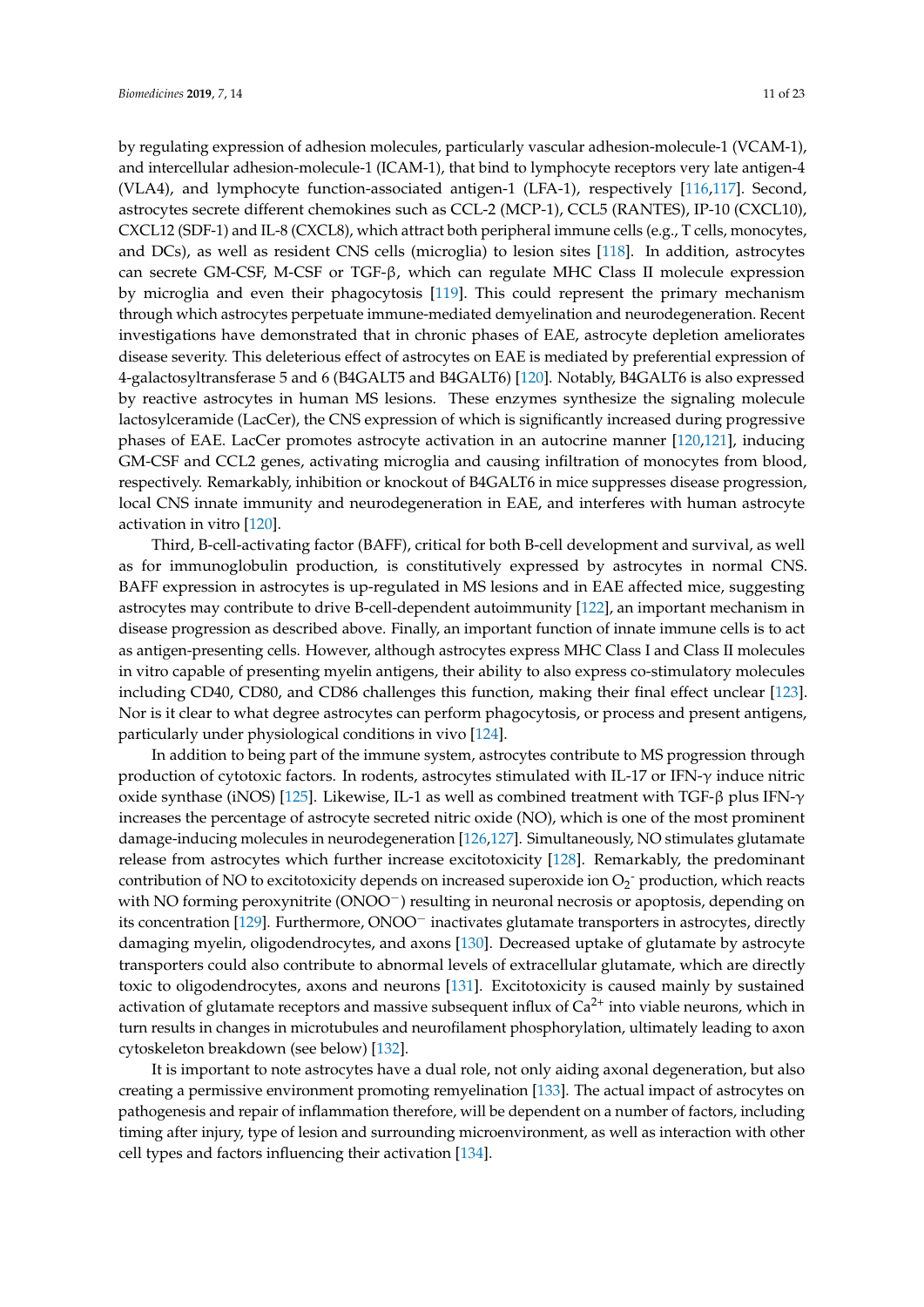by regulating expression of adhesion molecules, particularly vascular adhesion-molecule-1 (VCAM-1), and intercellular adhesion-molecule-1 (ICAM-1), that bind to lymphocyte receptors very late antigen-4 (VLA4), and lymphocyte function-associated antigen-1 (LFA-1), respectively [\[116](#page-20-1)[,117\]](#page-20-2). Second, astrocytes secrete different chemokines such as CCL-2 (MCP-1), CCL5 (RANTES), IP-10 (CXCL10), CXCL12 (SDF-1) and IL-8 (CXCL8), which attract both peripheral immune cells (e.g., T cells, monocytes, and DCs), as well as resident CNS cells (microglia) to lesion sites [\[118\]](#page-20-3). In addition, astrocytes can secrete GM-CSF, M-CSF or TGF-β, which can regulate MHC Class II molecule expression by microglia and even their phagocytosis [\[119\]](#page-20-4). This could represent the primary mechanism through which astrocytes perpetuate immune-mediated demyelination and neurodegeneration. Recent investigations have demonstrated that in chronic phases of EAE, astrocyte depletion ameliorates disease severity. This deleterious effect of astrocytes on EAE is mediated by preferential expression of 4-galactosyltransferase 5 and 6 (B4GALT5 and B4GALT6) [\[120\]](#page-20-5). Notably, B4GALT6 is also expressed by reactive astrocytes in human MS lesions. These enzymes synthesize the signaling molecule lactosylceramide (LacCer), the CNS expression of which is significantly increased during progressive phases of EAE. LacCer promotes astrocyte activation in an autocrine manner [\[120](#page-20-5)[,121\]](#page-20-6), inducing GM-CSF and CCL2 genes, activating microglia and causing infiltration of monocytes from blood, respectively. Remarkably, inhibition or knockout of B4GALT6 in mice suppresses disease progression, local CNS innate immunity and neurodegeneration in EAE, and interferes with human astrocyte activation in vitro [\[120\]](#page-20-5).

Third, B-cell-activating factor (BAFF), critical for both B-cell development and survival, as well as for immunoglobulin production, is constitutively expressed by astrocytes in normal CNS. BAFF expression in astrocytes is up-regulated in MS lesions and in EAE affected mice, suggesting astrocytes may contribute to drive B-cell-dependent autoimmunity [\[122\]](#page-20-7), an important mechanism in disease progression as described above. Finally, an important function of innate immune cells is to act as antigen-presenting cells. However, although astrocytes express MHC Class I and Class II molecules in vitro capable of presenting myelin antigens, their ability to also express co-stimulatory molecules including CD40, CD80, and CD86 challenges this function, making their final effect unclear [\[123\]](#page-20-8). Nor is it clear to what degree astrocytes can perform phagocytosis, or process and present antigens, particularly under physiological conditions in vivo [\[124\]](#page-20-9).

In addition to being part of the immune system, astrocytes contribute to MS progression through production of cytotoxic factors. In rodents, astrocytes stimulated with IL-17 or IFN-γ induce nitric oxide synthase (iNOS) [\[125\]](#page-20-10). Likewise, IL-1 as well as combined treatment with TGF-β plus IFN-γ increases the percentage of astrocyte secreted nitric oxide (NO), which is one of the most prominent damage-inducing molecules in neurodegeneration [\[126,](#page-20-11)[127\]](#page-20-12). Simultaneously, NO stimulates glutamate release from astrocytes which further increase excitotoxicity [\[128\]](#page-20-13). Remarkably, the predominant contribution of NO to excitotoxicity depends on increased superoxide ion  $O_2$ <sup>-</sup> production, which reacts with NO forming peroxynitrite (ONOO−) resulting in neuronal necrosis or apoptosis, depending on its concentration [\[129\]](#page-20-14). Furthermore, ONOO<sup>−</sup> inactivates glutamate transporters in astrocytes, directly damaging myelin, oligodendrocytes, and axons [\[130\]](#page-20-15). Decreased uptake of glutamate by astrocyte transporters could also contribute to abnormal levels of extracellular glutamate, which are directly toxic to oligodendrocytes, axons and neurons [\[131\]](#page-20-16). Excitotoxicity is caused mainly by sustained activation of glutamate receptors and massive subsequent influx of  $Ca^{2+}$  into viable neurons, which in turn results in changes in microtubules and neurofilament phosphorylation, ultimately leading to axon cytoskeleton breakdown (see below) [\[132\]](#page-20-17).

It is important to note astrocytes have a dual role, not only aiding axonal degeneration, but also creating a permissive environment promoting remyelination [\[133\]](#page-20-18). The actual impact of astrocytes on pathogenesis and repair of inflammation therefore, will be dependent on a number of factors, including timing after injury, type of lesion and surrounding microenvironment, as well as interaction with other cell types and factors influencing their activation [\[134\]](#page-20-19).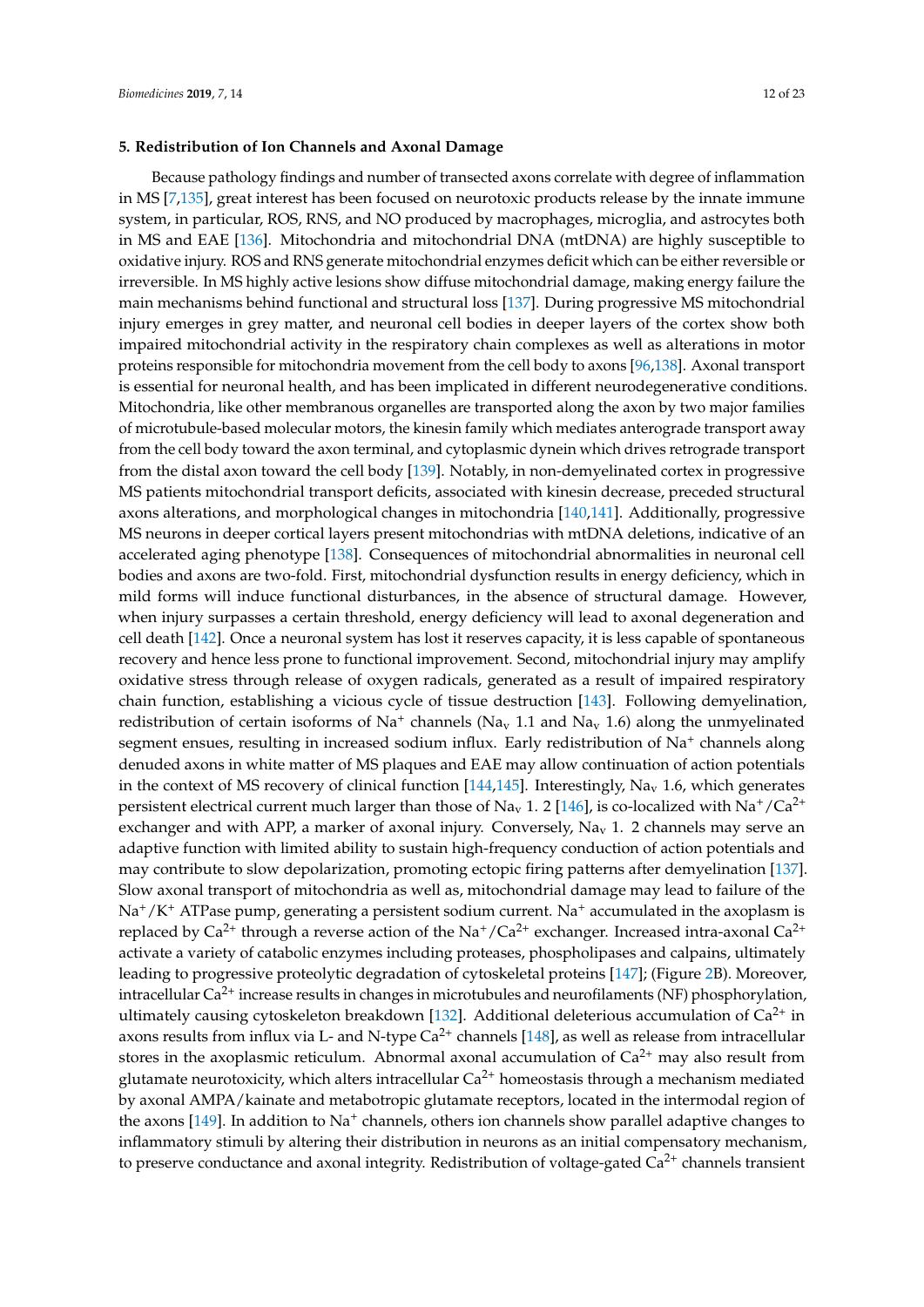## **5. Redistribution of Ion Channels and Axonal Damage**

Because pathology findings and number of transected axons correlate with degree of inflammation in MS [\[7](#page-14-6)[,135\]](#page-20-20), great interest has been focused on neurotoxic products release by the innate immune system, in particular, ROS, RNS, and NO produced by macrophages, microglia, and astrocytes both in MS and EAE [\[136\]](#page-20-21). Mitochondria and mitochondrial DNA (mtDNA) are highly susceptible to oxidative injury. ROS and RNS generate mitochondrial enzymes deficit which can be either reversible or irreversible. In MS highly active lesions show diffuse mitochondrial damage, making energy failure the main mechanisms behind functional and structural loss [\[137\]](#page-20-22). During progressive MS mitochondrial injury emerges in grey matter, and neuronal cell bodies in deeper layers of the cortex show both impaired mitochondrial activity in the respiratory chain complexes as well as alterations in motor proteins responsible for mitochondria movement from the cell body to axons [\[96,](#page-19-0)[138\]](#page-21-0). Axonal transport is essential for neuronal health, and has been implicated in different neurodegenerative conditions. Mitochondria, like other membranous organelles are transported along the axon by two major families of microtubule-based molecular motors, the kinesin family which mediates anterograde transport away from the cell body toward the axon terminal, and cytoplasmic dynein which drives retrograde transport from the distal axon toward the cell body [\[139\]](#page-21-1). Notably, in non-demyelinated cortex in progressive MS patients mitochondrial transport deficits, associated with kinesin decrease, preceded structural axons alterations, and morphological changes in mitochondria [\[140,](#page-21-2)[141\]](#page-21-3). Additionally, progressive MS neurons in deeper cortical layers present mitochondrias with mtDNA deletions, indicative of an accelerated aging phenotype [\[138\]](#page-21-0). Consequences of mitochondrial abnormalities in neuronal cell bodies and axons are two-fold. First, mitochondrial dysfunction results in energy deficiency, which in mild forms will induce functional disturbances, in the absence of structural damage. However, when injury surpasses a certain threshold, energy deficiency will lead to axonal degeneration and cell death [\[142\]](#page-21-4). Once a neuronal system has lost it reserves capacity, it is less capable of spontaneous recovery and hence less prone to functional improvement. Second, mitochondrial injury may amplify oxidative stress through release of oxygen radicals, generated as a result of impaired respiratory chain function, establishing a vicious cycle of tissue destruction [\[143\]](#page-21-5). Following demyelination, redistribution of certain isoforms of Na<sup>+</sup> channels (Na<sub>v</sub> 1.1 and Na<sub>v</sub> 1.6) along the unmyelinated segment ensues, resulting in increased sodium influx. Early redistribution of Na<sup>+</sup> channels along denuded axons in white matter of MS plaques and EAE may allow continuation of action potentials in the context of MS recovery of clinical function  $[144,145]$  $[144,145]$ . Interestingly, Na<sub>v</sub> 1.6, which generates persistent electrical current much larger than those of Na<sub>v</sub> 1. 2 [\[146\]](#page-21-8), is co-localized with Na<sup>+</sup>/Ca<sup>2+</sup> exchanger and with APP, a marker of axonal injury. Conversely,  $Na<sub>v</sub>$  1. 2 channels may serve an adaptive function with limited ability to sustain high-frequency conduction of action potentials and may contribute to slow depolarization, promoting ectopic firing patterns after demyelination [\[137\]](#page-20-22). Slow axonal transport of mitochondria as well as, mitochondrial damage may lead to failure of the  $Na^+/K^+$  ATPase pump, generating a persistent sodium current. Na<sup>+</sup> accumulated in the axoplasm is replaced by  $Ca^{2+}$  through a reverse action of the Na<sup>+</sup>/Ca<sup>2+</sup> exchanger. Increased intra-axonal Ca<sup>2+</sup> activate a variety of catabolic enzymes including proteases, phospholipases and calpains, ultimately leading to progressive proteolytic degradation of cytoskeletal proteins [\[147\]](#page-21-9); (Figure [2B](#page-8-0)). Moreover, intracellular  $Ca^{2+}$  increase results in changes in microtubules and neurofilaments (NF) phosphorylation, ultimately causing cytoskeleton breakdown [\[132\]](#page-20-17). Additional deleterious accumulation of  $Ca^{2+}$  in axons results from influx via L- and N-type  $Ca^{2+}$  channels [\[148\]](#page-21-10), as well as release from intracellular stores in the axoplasmic reticulum. Abnormal axonal accumulation of  $Ca<sup>2+</sup>$  may also result from glutamate neurotoxicity, which alters intracellular  $Ca^{2+}$  homeostasis through a mechanism mediated by axonal AMPA/kainate and metabotropic glutamate receptors, located in the intermodal region of the axons [\[149\]](#page-21-11). In addition to Na<sup>+</sup> channels, others ion channels show parallel adaptive changes to inflammatory stimuli by altering their distribution in neurons as an initial compensatory mechanism, to preserve conductance and axonal integrity. Redistribution of voltage-gated  $Ca<sup>2+</sup>$  channels transient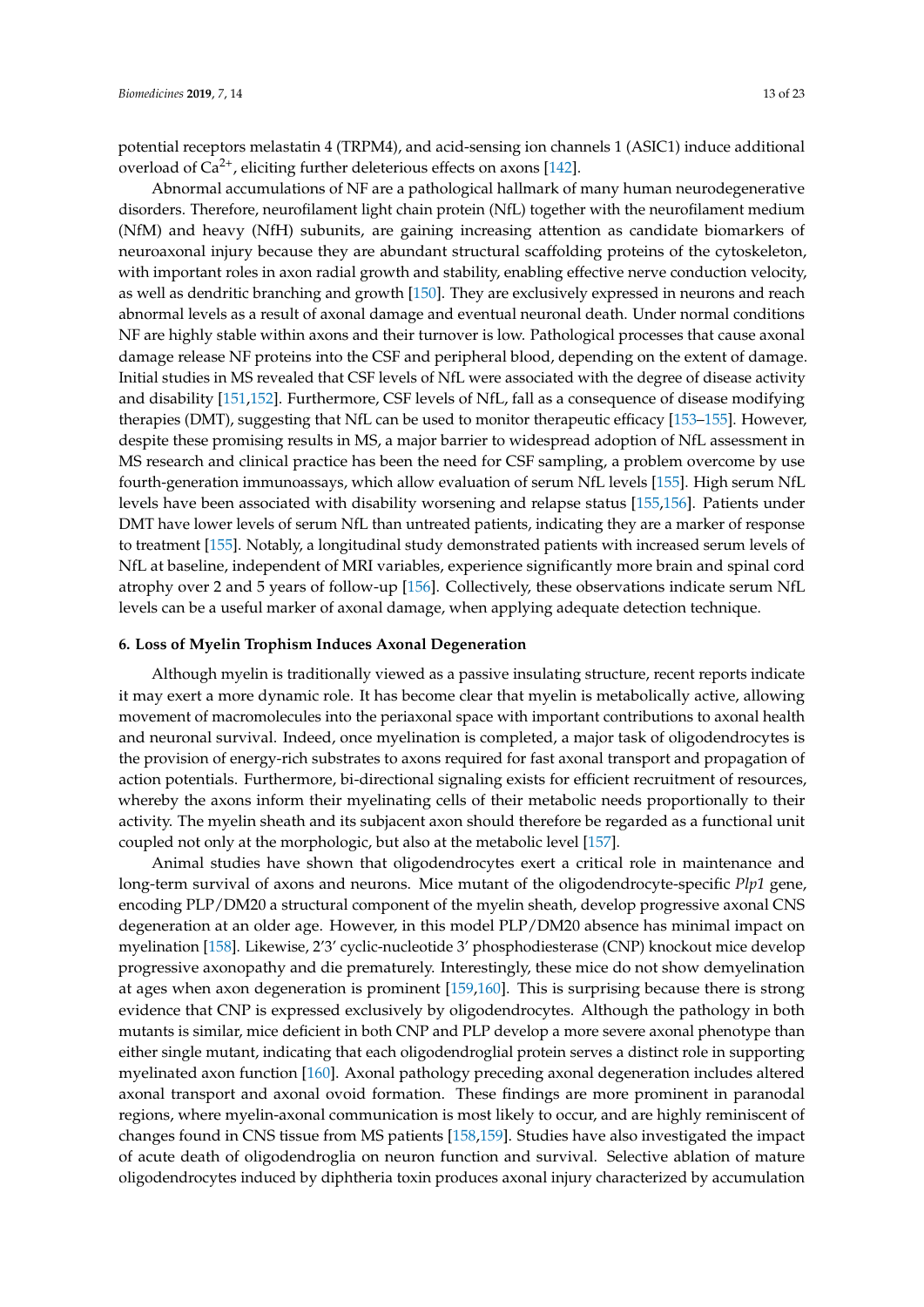potential receptors melastatin 4 (TRPM4), and acid-sensing ion channels 1 (ASIC1) induce additional overload of  $Ca^{2+}$ , eliciting further deleterious effects on axons [\[142\]](#page-21-4).

Abnormal accumulations of NF are a pathological hallmark of many human neurodegenerative disorders. Therefore, neurofilament light chain protein (NfL) together with the neurofilament medium (NfM) and heavy (NfH) subunits, are gaining increasing attention as candidate biomarkers of neuroaxonal injury because they are abundant structural scaffolding proteins of the cytoskeleton, with important roles in axon radial growth and stability, enabling effective nerve conduction velocity, as well as dendritic branching and growth [\[150\]](#page-21-12). They are exclusively expressed in neurons and reach abnormal levels as a result of axonal damage and eventual neuronal death. Under normal conditions NF are highly stable within axons and their turnover is low. Pathological processes that cause axonal damage release NF proteins into the CSF and peripheral blood, depending on the extent of damage. Initial studies in MS revealed that CSF levels of NfL were associated with the degree of disease activity and disability [\[151,](#page-21-13)[152\]](#page-21-14). Furthermore, CSF levels of NfL, fall as a consequence of disease modifying therapies (DMT), suggesting that NfL can be used to monitor therapeutic efficacy [\[153](#page-21-15)[–155\]](#page-21-16). However, despite these promising results in MS, a major barrier to widespread adoption of NfL assessment in MS research and clinical practice has been the need for CSF sampling, a problem overcome by use fourth-generation immunoassays, which allow evaluation of serum NfL levels [\[155\]](#page-21-16). High serum NfL levels have been associated with disability worsening and relapse status [\[155,](#page-21-16)[156\]](#page-21-17). Patients under DMT have lower levels of serum NfL than untreated patients, indicating they are a marker of response to treatment [\[155\]](#page-21-16). Notably, a longitudinal study demonstrated patients with increased serum levels of NfL at baseline, independent of MRI variables, experience significantly more brain and spinal cord atrophy over 2 and 5 years of follow-up [\[156\]](#page-21-17). Collectively, these observations indicate serum NfL levels can be a useful marker of axonal damage, when applying adequate detection technique.

# **6. Loss of Myelin Trophism Induces Axonal Degeneration**

Although myelin is traditionally viewed as a passive insulating structure, recent reports indicate it may exert a more dynamic role. It has become clear that myelin is metabolically active, allowing movement of macromolecules into the periaxonal space with important contributions to axonal health and neuronal survival. Indeed, once myelination is completed, a major task of oligodendrocytes is the provision of energy-rich substrates to axons required for fast axonal transport and propagation of action potentials. Furthermore, bi-directional signaling exists for efficient recruitment of resources, whereby the axons inform their myelinating cells of their metabolic needs proportionally to their activity. The myelin sheath and its subjacent axon should therefore be regarded as a functional unit coupled not only at the morphologic, but also at the metabolic level [\[157\]](#page-21-18).

Animal studies have shown that oligodendrocytes exert a critical role in maintenance and long-term survival of axons and neurons. Mice mutant of the oligodendrocyte-specific *Plp1* gene, encoding PLP/DM20 a structural component of the myelin sheath, develop progressive axonal CNS degeneration at an older age. However, in this model PLP/DM20 absence has minimal impact on myelination [\[158\]](#page-21-19). Likewise, 2'3' cyclic-nucleotide 3' phosphodiesterase (CNP) knockout mice develop progressive axonopathy and die prematurely. Interestingly, these mice do not show demyelination at ages when axon degeneration is prominent [\[159](#page-22-0)[,160\]](#page-22-1). This is surprising because there is strong evidence that CNP is expressed exclusively by oligodendrocytes. Although the pathology in both mutants is similar, mice deficient in both CNP and PLP develop a more severe axonal phenotype than either single mutant, indicating that each oligodendroglial protein serves a distinct role in supporting myelinated axon function [\[160\]](#page-22-1). Axonal pathology preceding axonal degeneration includes altered axonal transport and axonal ovoid formation. These findings are more prominent in paranodal regions, where myelin-axonal communication is most likely to occur, and are highly reminiscent of changes found in CNS tissue from MS patients [\[158](#page-21-19)[,159\]](#page-22-0). Studies have also investigated the impact of acute death of oligodendroglia on neuron function and survival. Selective ablation of mature oligodendrocytes induced by diphtheria toxin produces axonal injury characterized by accumulation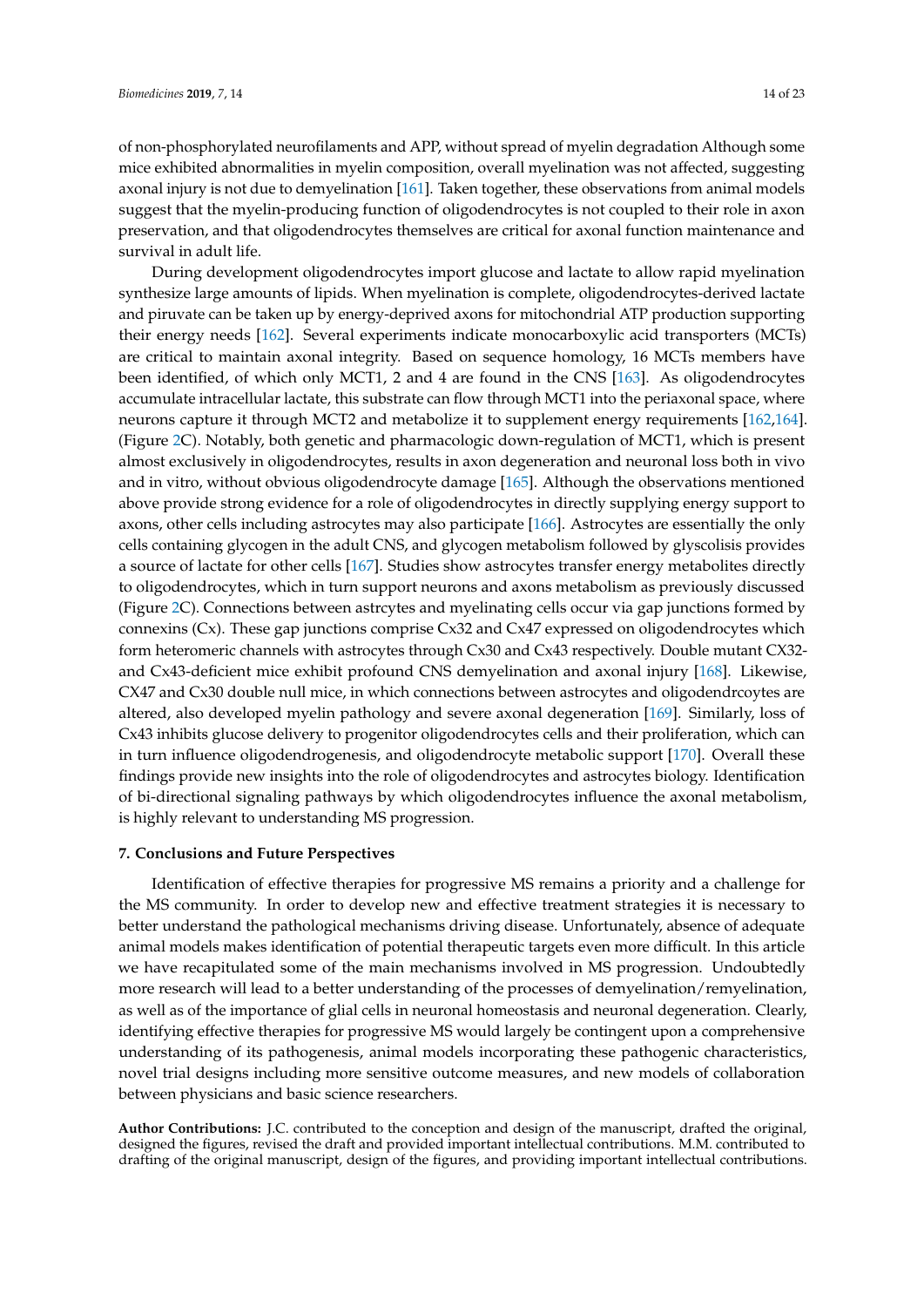of non-phosphorylated neurofilaments and APP, without spread of myelin degradation Although some mice exhibited abnormalities in myelin composition, overall myelination was not affected, suggesting axonal injury is not due to demyelination [\[161\]](#page-22-2). Taken together, these observations from animal models suggest that the myelin-producing function of oligodendrocytes is not coupled to their role in axon preservation, and that oligodendrocytes themselves are critical for axonal function maintenance and survival in adult life.

During development oligodendrocytes import glucose and lactate to allow rapid myelination synthesize large amounts of lipids. When myelination is complete, oligodendrocytes-derived lactate and piruvate can be taken up by energy-deprived axons for mitochondrial ATP production supporting their energy needs [\[162\]](#page-22-3). Several experiments indicate monocarboxylic acid transporters (MCTs) are critical to maintain axonal integrity. Based on sequence homology, 16 MCTs members have been identified, of which only MCT1, 2 and 4 are found in the CNS [\[163\]](#page-22-4). As oligodendrocytes accumulate intracellular lactate, this substrate can flow through MCT1 into the periaxonal space, where neurons capture it through MCT2 and metabolize it to supplement energy requirements [\[162,](#page-22-3)[164\]](#page-22-5). (Figure [2C](#page-8-0)). Notably, both genetic and pharmacologic down-regulation of MCT1, which is present almost exclusively in oligodendrocytes, results in axon degeneration and neuronal loss both in vivo and in vitro, without obvious oligodendrocyte damage [\[165\]](#page-22-6). Although the observations mentioned above provide strong evidence for a role of oligodendrocytes in directly supplying energy support to axons, other cells including astrocytes may also participate [\[166\]](#page-22-7). Astrocytes are essentially the only cells containing glycogen in the adult CNS, and glycogen metabolism followed by glyscolisis provides a source of lactate for other cells [\[167\]](#page-22-8). Studies show astrocytes transfer energy metabolites directly to oligodendrocytes, which in turn support neurons and axons metabolism as previously discussed (Figure [2C](#page-8-0)). Connections between astrcytes and myelinating cells occur via gap junctions formed by connexins (Cx). These gap junctions comprise Cx32 and Cx47 expressed on oligodendrocytes which form heteromeric channels with astrocytes through Cx30 and Cx43 respectively. Double mutant CX32 and Cx43-deficient mice exhibit profound CNS demyelination and axonal injury [\[168\]](#page-22-9). Likewise, CX47 and Cx30 double null mice, in which connections between astrocytes and oligodendrcoytes are altered, also developed myelin pathology and severe axonal degeneration [\[169\]](#page-22-10). Similarly, loss of Cx43 inhibits glucose delivery to progenitor oligodendrocytes cells and their proliferation, which can in turn influence oligodendrogenesis, and oligodendrocyte metabolic support [\[170\]](#page-22-11). Overall these findings provide new insights into the role of oligodendrocytes and astrocytes biology. Identification of bi-directional signaling pathways by which oligodendrocytes influence the axonal metabolism, is highly relevant to understanding MS progression.

#### **7. Conclusions and Future Perspectives**

Identification of effective therapies for progressive MS remains a priority and a challenge for the MS community. In order to develop new and effective treatment strategies it is necessary to better understand the pathological mechanisms driving disease. Unfortunately, absence of adequate animal models makes identification of potential therapeutic targets even more difficult. In this article we have recapitulated some of the main mechanisms involved in MS progression. Undoubtedly more research will lead to a better understanding of the processes of demyelination/remyelination, as well as of the importance of glial cells in neuronal homeostasis and neuronal degeneration. Clearly, identifying effective therapies for progressive MS would largely be contingent upon a comprehensive understanding of its pathogenesis, animal models incorporating these pathogenic characteristics, novel trial designs including more sensitive outcome measures, and new models of collaboration between physicians and basic science researchers.

**Author Contributions:** J.C. contributed to the conception and design of the manuscript, drafted the original, designed the figures, revised the draft and provided important intellectual contributions. M.M. contributed to drafting of the original manuscript, design of the figures, and providing important intellectual contributions.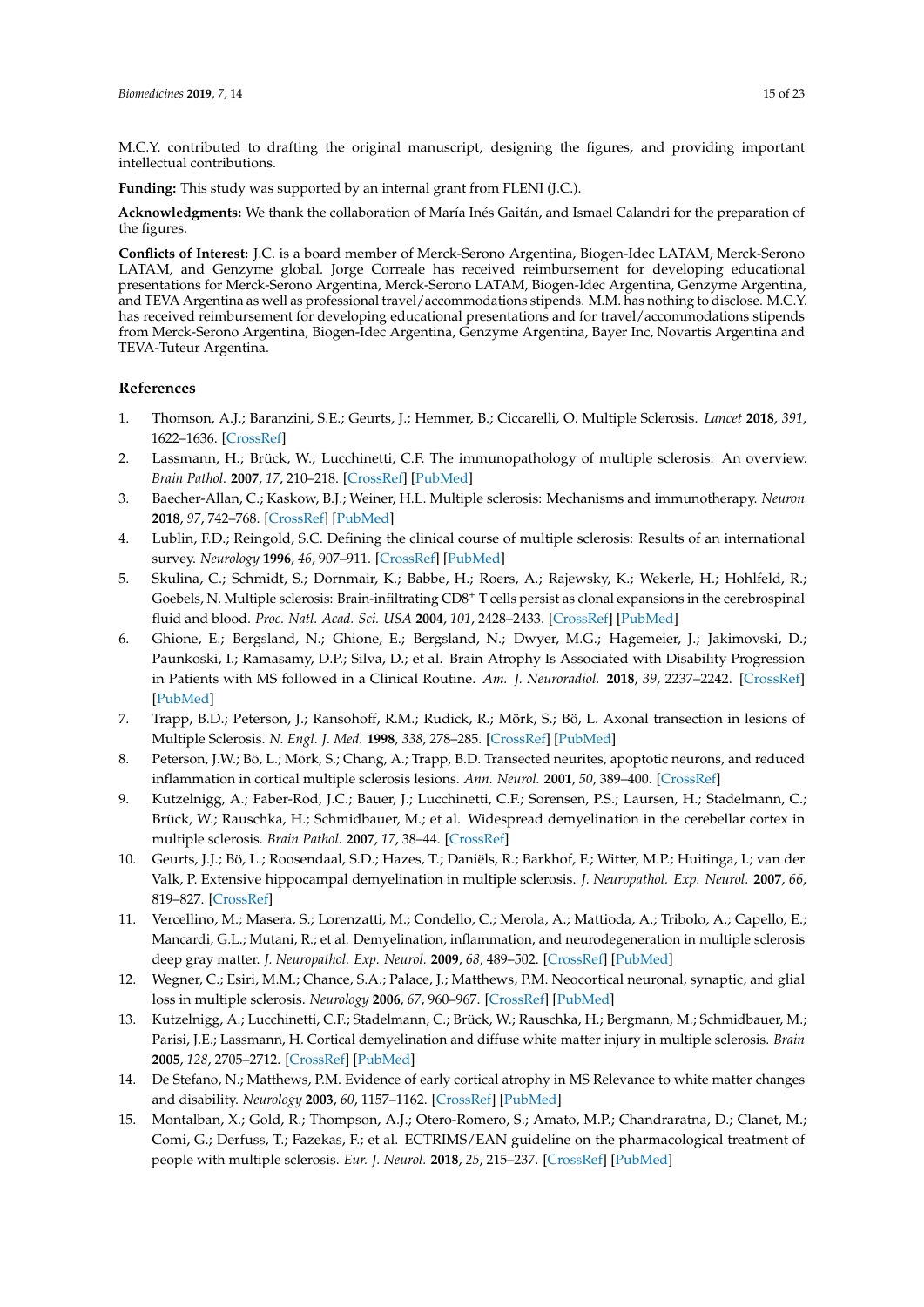M.C.Y. contributed to drafting the original manuscript, designing the figures, and providing important intellectual contributions.

**Funding:** This study was supported by an internal grant from FLENI (J.C.).

**Acknowledgments:** We thank the collaboration of María Inés Gaitán, and Ismael Calandri for the preparation of the figures.

**Conflicts of Interest:** J.C. is a board member of Merck-Serono Argentina, Biogen-Idec LATAM, Merck-Serono LATAM, and Genzyme global. Jorge Correale has received reimbursement for developing educational presentations for Merck-Serono Argentina, Merck-Serono LATAM, Biogen-Idec Argentina, Genzyme Argentina, and TEVA Argentina as well as professional travel/accommodations stipends. M.M. has nothing to disclose. M.C.Y. has received reimbursement for developing educational presentations and for travel/accommodations stipends from Merck-Serono Argentina, Biogen-Idec Argentina, Genzyme Argentina, Bayer Inc, Novartis Argentina and TEVA-Tuteur Argentina.

# **References**

- <span id="page-14-0"></span>1. Thomson, A.J.; Baranzini, S.E.; Geurts, J.; Hemmer, B.; Ciccarelli, O. Multiple Sclerosis. *Lancet* **2018**, *391*, 1622–1636. [\[CrossRef\]](http://dx.doi.org/10.1016/S0140-6736(18)30481-1)
- <span id="page-14-1"></span>2. Lassmann, H.; Brück, W.; Lucchinetti, C.F. The immunopathology of multiple sclerosis: An overview. *Brain Pathol.* **2007**, *17*, 210–218. [\[CrossRef\]](http://dx.doi.org/10.1111/j.1750-3639.2007.00064.x) [\[PubMed\]](http://www.ncbi.nlm.nih.gov/pubmed/17388952)
- <span id="page-14-2"></span>3. Baecher-Allan, C.; Kaskow, B.J.; Weiner, H.L. Multiple sclerosis: Mechanisms and immunotherapy. *Neuron* **2018**, *97*, 742–768. [\[CrossRef\]](http://dx.doi.org/10.1016/j.neuron.2018.01.021) [\[PubMed\]](http://www.ncbi.nlm.nih.gov/pubmed/29470968)
- <span id="page-14-3"></span>4. Lublin, F.D.; Reingold, S.C. Defining the clinical course of multiple sclerosis: Results of an international survey. *Neurology* **1996**, *46*, 907–911. [\[CrossRef\]](http://dx.doi.org/10.1212/WNL.46.4.907) [\[PubMed\]](http://www.ncbi.nlm.nih.gov/pubmed/8780061)
- <span id="page-14-4"></span>5. Skulina, C.; Schmidt, S.; Dornmair, K.; Babbe, H.; Roers, A.; Rajewsky, K.; Wekerle, H.; Hohlfeld, R.; Goebels, N. Multiple sclerosis: Brain-infiltrating CD8<sup>+</sup> T cells persist as clonal expansions in the cerebrospinal fluid and blood. *Proc. Natl. Acad. Sci. USA* **2004**, *101*, 2428–2433. [\[CrossRef\]](http://dx.doi.org/10.1073/pnas.0308689100) [\[PubMed\]](http://www.ncbi.nlm.nih.gov/pubmed/14983026)
- <span id="page-14-5"></span>6. Ghione, E.; Bergsland, N.; Ghione, E.; Bergsland, N.; Dwyer, M.G.; Hagemeier, J.; Jakimovski, D.; Paunkoski, I.; Ramasamy, D.P.; Silva, D.; et al. Brain Atrophy Is Associated with Disability Progression in Patients with MS followed in a Clinical Routine. *Am. J. Neuroradiol.* **2018**, *39*, 2237–2242. [\[CrossRef\]](http://dx.doi.org/10.3174/ajnr.A5876) [\[PubMed\]](http://www.ncbi.nlm.nih.gov/pubmed/30467212)
- <span id="page-14-6"></span>7. Trapp, B.D.; Peterson, J.; Ransohoff, R.M.; Rudick, R.; Mörk, S.; Bö, L. Axonal transection in lesions of Multiple Sclerosis. *N. Engl. J. Med.* **1998**, *338*, 278–285. [\[CrossRef\]](http://dx.doi.org/10.1056/NEJM199801293380502) [\[PubMed\]](http://www.ncbi.nlm.nih.gov/pubmed/9445407)
- <span id="page-14-7"></span>8. Peterson, J.W.; Bö, L.; Mörk, S.; Chang, A.; Trapp, B.D. Transected neurites, apoptotic neurons, and reduced inflammation in cortical multiple sclerosis lesions. *Ann. Neurol.* **2001**, *50*, 389–400. [\[CrossRef\]](http://dx.doi.org/10.1002/ana.1123)
- 9. Kutzelnigg, A.; Faber-Rod, J.C.; Bauer, J.; Lucchinetti, C.F.; Sorensen, P.S.; Laursen, H.; Stadelmann, C.; Brück, W.; Rauschka, H.; Schmidbauer, M.; et al. Widespread demyelination in the cerebellar cortex in multiple sclerosis. *Brain Pathol.* **2007**, *17*, 38–44. [\[CrossRef\]](http://dx.doi.org/10.1111/j.1750-3639.2006.00041.x)
- 10. Geurts, J.J.; Bö, L.; Roosendaal, S.D.; Hazes, T.; Daniëls, R.; Barkhof, F.; Witter, M.P.; Huitinga, I.; van der Valk, P. Extensive hippocampal demyelination in multiple sclerosis. *J. Neuropathol. Exp. Neurol.* **2007**, *66*, 819–827. [\[CrossRef\]](http://dx.doi.org/10.1097/nen.0b013e3181461f54)
- <span id="page-14-8"></span>11. Vercellino, M.; Masera, S.; Lorenzatti, M.; Condello, C.; Merola, A.; Mattioda, A.; Tribolo, A.; Capello, E.; Mancardi, G.L.; Mutani, R.; et al. Demyelination, inflammation, and neurodegeneration in multiple sclerosis deep gray matter. *J. Neuropathol. Exp. Neurol.* **2009**, *68*, 489–502. [\[CrossRef\]](http://dx.doi.org/10.1097/NEN.0b013e3181a19a5a) [\[PubMed\]](http://www.ncbi.nlm.nih.gov/pubmed/19525897)
- <span id="page-14-9"></span>12. Wegner, C.; Esiri, M.M.; Chance, S.A.; Palace, J.; Matthews, P.M. Neocortical neuronal, synaptic, and glial loss in multiple sclerosis. *Neurology* **2006**, *67*, 960–967. [\[CrossRef\]](http://dx.doi.org/10.1212/01.wnl.0000237551.26858.39) [\[PubMed\]](http://www.ncbi.nlm.nih.gov/pubmed/17000961)
- <span id="page-14-10"></span>13. Kutzelnigg, A.; Lucchinetti, C.F.; Stadelmann, C.; Brück, W.; Rauschka, H.; Bergmann, M.; Schmidbauer, M.; Parisi, J.E.; Lassmann, H. Cortical demyelination and diffuse white matter injury in multiple sclerosis. *Brain* **2005**, *128*, 2705–2712. [\[CrossRef\]](http://dx.doi.org/10.1093/brain/awh641) [\[PubMed\]](http://www.ncbi.nlm.nih.gov/pubmed/16230320)
- <span id="page-14-11"></span>14. De Stefano, N.; Matthews, P.M. Evidence of early cortical atrophy in MS Relevance to white matter changes and disability. *Neurology* **2003**, *60*, 1157–1162. [\[CrossRef\]](http://dx.doi.org/10.1212/01.WNL.0000055926.69643.03) [\[PubMed\]](http://www.ncbi.nlm.nih.gov/pubmed/12682324)
- <span id="page-14-12"></span>15. Montalban, X.; Gold, R.; Thompson, A.J.; Otero-Romero, S.; Amato, M.P.; Chandraratna, D.; Clanet, M.; Comi, G.; Derfuss, T.; Fazekas, F.; et al. ECTRIMS/EAN guideline on the pharmacological treatment of people with multiple sclerosis. *Eur. J. Neurol.* **2018**, *25*, 215–237. [\[CrossRef\]](http://dx.doi.org/10.1111/ene.13536) [\[PubMed\]](http://www.ncbi.nlm.nih.gov/pubmed/29352526)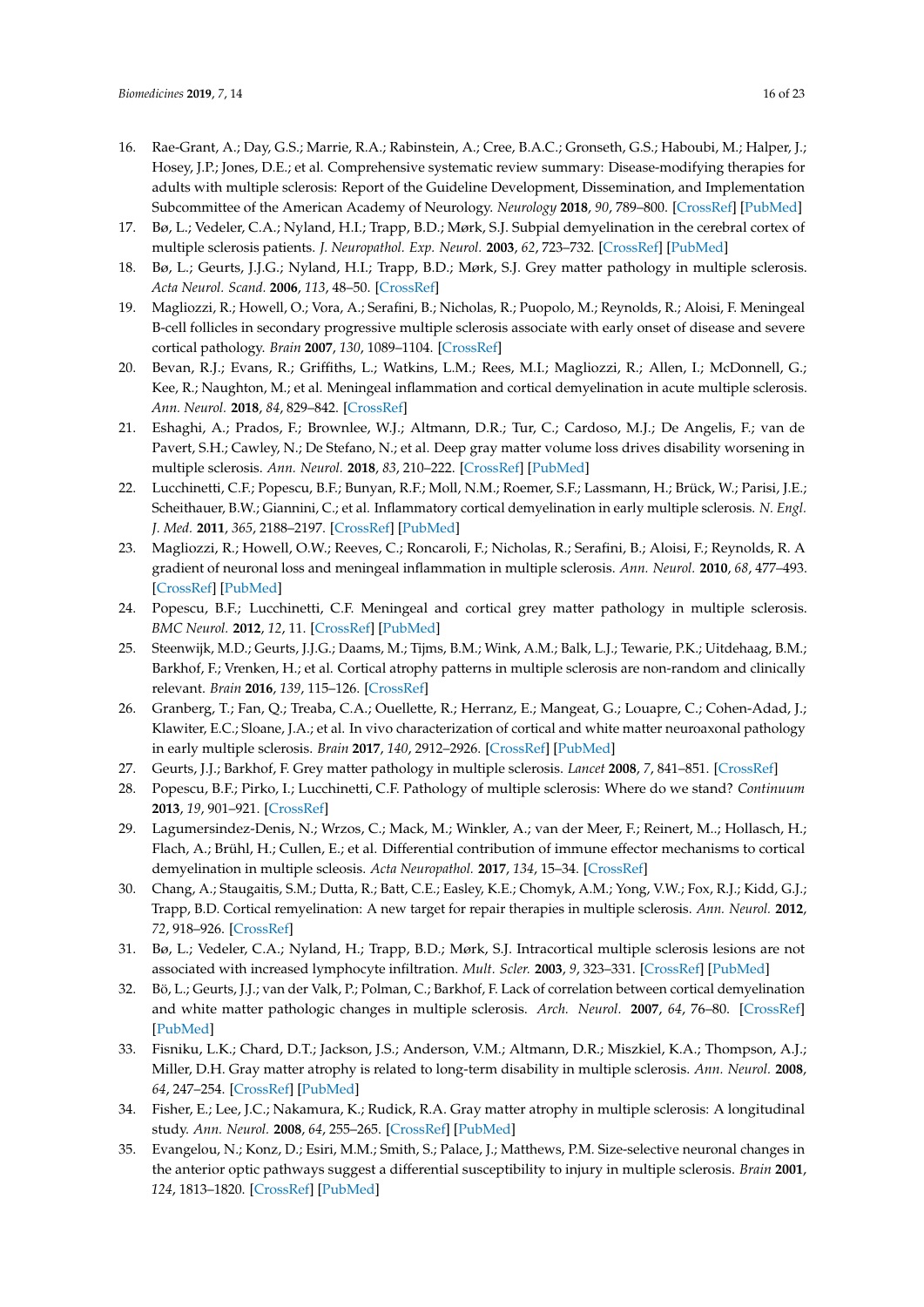- <span id="page-15-0"></span>16. Rae-Grant, A.; Day, G.S.; Marrie, R.A.; Rabinstein, A.; Cree, B.A.C.; Gronseth, G.S.; Haboubi, M.; Halper, J.; Hosey, J.P.; Jones, D.E.; et al. Comprehensive systematic review summary: Disease-modifying therapies for adults with multiple sclerosis: Report of the Guideline Development, Dissemination, and Implementation Subcommittee of the American Academy of Neurology. *Neurology* **2018**, *90*, 789–800. [\[CrossRef\]](http://dx.doi.org/10.1212/WNL.0000000000005345) [\[PubMed\]](http://www.ncbi.nlm.nih.gov/pubmed/29686117)
- <span id="page-15-1"></span>17. Bø, L.; Vedeler, C.A.; Nyland, H.I.; Trapp, B.D.; Mørk, S.J. Subpial demyelination in the cerebral cortex of multiple sclerosis patients. *J. Neuropathol. Exp. Neurol.* **2003**, *62*, 723–732. [\[CrossRef\]](http://dx.doi.org/10.1093/jnen/62.7.723) [\[PubMed\]](http://www.ncbi.nlm.nih.gov/pubmed/12901699)
- <span id="page-15-2"></span>18. Bø, L.; Geurts, J.J.G.; Nyland, H.I.; Trapp, B.D.; Mørk, S.J. Grey matter pathology in multiple sclerosis. *Acta Neurol. Scand.* **2006**, *113*, 48–50. [\[CrossRef\]](http://dx.doi.org/10.1111/j.1600-0404.2006.00615.x)
- <span id="page-15-3"></span>19. Magliozzi, R.; Howell, O.; Vora, A.; Serafini, B.; Nicholas, R.; Puopolo, M.; Reynolds, R.; Aloisi, F. Meningeal B-cell follicles in secondary progressive multiple sclerosis associate with early onset of disease and severe cortical pathology. *Brain* **2007**, *130*, 1089–1104. [\[CrossRef\]](http://dx.doi.org/10.1093/brain/awm038)
- <span id="page-15-19"></span>20. Bevan, R.J.; Evans, R.; Griffiths, L.; Watkins, L.M.; Rees, M.I.; Magliozzi, R.; Allen, I.; McDonnell, G.; Kee, R.; Naughton, M.; et al. Meningeal inflammation and cortical demyelination in acute multiple sclerosis. *Ann. Neurol.* **2018**, *84*, 829–842. [\[CrossRef\]](http://dx.doi.org/10.1002/ana.25365)
- <span id="page-15-18"></span>21. Eshaghi, A.; Prados, F.; Brownlee, W.J.; Altmann, D.R.; Tur, C.; Cardoso, M.J.; De Angelis, F.; van de Pavert, S.H.; Cawley, N.; De Stefano, N.; et al. Deep gray matter volume loss drives disability worsening in multiple sclerosis. *Ann. Neurol.* **2018**, *83*, 210–222. [\[CrossRef\]](http://dx.doi.org/10.1002/ana.25145) [\[PubMed\]](http://www.ncbi.nlm.nih.gov/pubmed/29331092)
- <span id="page-15-4"></span>22. Lucchinetti, C.F.; Popescu, B.F.; Bunyan, R.F.; Moll, N.M.; Roemer, S.F.; Lassmann, H.; Brück, W.; Parisi, J.E.; Scheithauer, B.W.; Giannini, C.; et al. Inflammatory cortical demyelination in early multiple sclerosis. *N. Engl. J. Med.* **2011**, *365*, 2188–2197. [\[CrossRef\]](http://dx.doi.org/10.1056/NEJMoa1100648) [\[PubMed\]](http://www.ncbi.nlm.nih.gov/pubmed/22150037)
- <span id="page-15-5"></span>23. Magliozzi, R.; Howell, O.W.; Reeves, C.; Roncaroli, F.; Nicholas, R.; Serafini, B.; Aloisi, F.; Reynolds, R. A gradient of neuronal loss and meningeal inflammation in multiple sclerosis. *Ann. Neurol.* **2010**, *68*, 477–493. [\[CrossRef\]](http://dx.doi.org/10.1002/ana.22230) [\[PubMed\]](http://www.ncbi.nlm.nih.gov/pubmed/20976767)
- <span id="page-15-6"></span>24. Popescu, B.F.; Lucchinetti, C.F. Meningeal and cortical grey matter pathology in multiple sclerosis. *BMC Neurol.* **2012**, *12*, 11. [\[CrossRef\]](http://dx.doi.org/10.1186/1471-2377-12-11) [\[PubMed\]](http://www.ncbi.nlm.nih.gov/pubmed/22397318)
- <span id="page-15-7"></span>25. Steenwijk, M.D.; Geurts, J.J.G.; Daams, M.; Tijms, B.M.; Wink, A.M.; Balk, L.J.; Tewarie, P.K.; Uitdehaag, B.M.; Barkhof, F.; Vrenken, H.; et al. Cortical atrophy patterns in multiple sclerosis are non-random and clinically relevant. *Brain* **2016**, *139*, 115–126. [\[CrossRef\]](http://dx.doi.org/10.1093/brain/awv337)
- <span id="page-15-8"></span>26. Granberg, T.; Fan, Q.; Treaba, C.A.; Ouellette, R.; Herranz, E.; Mangeat, G.; Louapre, C.; Cohen-Adad, J.; Klawiter, E.C.; Sloane, J.A.; et al. In vivo characterization of cortical and white matter neuroaxonal pathology in early multiple sclerosis. *Brain* **2017**, *140*, 2912–2926. [\[CrossRef\]](http://dx.doi.org/10.1093/brain/awx247) [\[PubMed\]](http://www.ncbi.nlm.nih.gov/pubmed/29053798)
- <span id="page-15-9"></span>27. Geurts, J.J.; Barkhof, F. Grey matter pathology in multiple sclerosis. *Lancet* **2008**, *7*, 841–851. [\[CrossRef\]](http://dx.doi.org/10.1016/S1474-4422(08)70191-1)
- <span id="page-15-10"></span>28. Popescu, B.F.; Pirko, I.; Lucchinetti, C.F. Pathology of multiple sclerosis: Where do we stand? *Continuum* **2013**, *19*, 901–921. [\[CrossRef\]](http://dx.doi.org/10.1212/01.CON.0000433291.23091.65)
- <span id="page-15-11"></span>29. Lagumersindez-Denis, N.; Wrzos, C.; Mack, M.; Winkler, A.; van der Meer, F.; Reinert, M..; Hollasch, H.; Flach, A.; Brühl, H.; Cullen, E.; et al. Differential contribution of immune effector mechanisms to cortical demyelination in multiple scleosis. *Acta Neuropathol.* **2017**, *134*, 15–34. [\[CrossRef\]](http://dx.doi.org/10.1007/s00401-017-1706-x)
- <span id="page-15-12"></span>30. Chang, A.; Staugaitis, S.M.; Dutta, R.; Batt, C.E.; Easley, K.E.; Chomyk, A.M.; Yong, V.W.; Fox, R.J.; Kidd, G.J.; Trapp, B.D. Cortical remyelination: A new target for repair therapies in multiple sclerosis. *Ann. Neurol.* **2012**, *72*, 918–926. [\[CrossRef\]](http://dx.doi.org/10.1002/ana.23693)
- <span id="page-15-13"></span>31. Bø, L.; Vedeler, C.A.; Nyland, H.; Trapp, B.D.; Mørk, S.J. Intracortical multiple sclerosis lesions are not associated with increased lymphocyte infiltration. *Mult. Scler.* **2003**, *9*, 323–331. [\[CrossRef\]](http://dx.doi.org/10.1191/1352458503ms917oa) [\[PubMed\]](http://www.ncbi.nlm.nih.gov/pubmed/12926836)
- <span id="page-15-14"></span>32. Bö, L.; Geurts, J.J.; van der Valk, P.; Polman, C.; Barkhof, F. Lack of correlation between cortical demyelination and white matter pathologic changes in multiple sclerosis. *Arch. Neurol.* **2007**, *64*, 76–80. [\[CrossRef\]](http://dx.doi.org/10.1001/archneur.64.1.76) [\[PubMed\]](http://www.ncbi.nlm.nih.gov/pubmed/17210812)
- <span id="page-15-15"></span>33. Fisniku, L.K.; Chard, D.T.; Jackson, J.S.; Anderson, V.M.; Altmann, D.R.; Miszkiel, K.A.; Thompson, A.J.; Miller, D.H. Gray matter atrophy is related to long-term disability in multiple sclerosis. *Ann. Neurol.* **2008**, *64*, 247–254. [\[CrossRef\]](http://dx.doi.org/10.1002/ana.21423) [\[PubMed\]](http://www.ncbi.nlm.nih.gov/pubmed/18570297)
- <span id="page-15-16"></span>34. Fisher, E.; Lee, J.C.; Nakamura, K.; Rudick, R.A. Gray matter atrophy in multiple sclerosis: A longitudinal study. *Ann. Neurol.* **2008**, *64*, 255–265. [\[CrossRef\]](http://dx.doi.org/10.1002/ana.21436) [\[PubMed\]](http://www.ncbi.nlm.nih.gov/pubmed/18661561)
- <span id="page-15-17"></span>35. Evangelou, N.; Konz, D.; Esiri, M.M.; Smith, S.; Palace, J.; Matthews, P.M. Size-selective neuronal changes in the anterior optic pathways suggest a differential susceptibility to injury in multiple sclerosis. *Brain* **2001**, *124*, 1813–1820. [\[CrossRef\]](http://dx.doi.org/10.1093/brain/124.9.1813) [\[PubMed\]](http://www.ncbi.nlm.nih.gov/pubmed/11522583)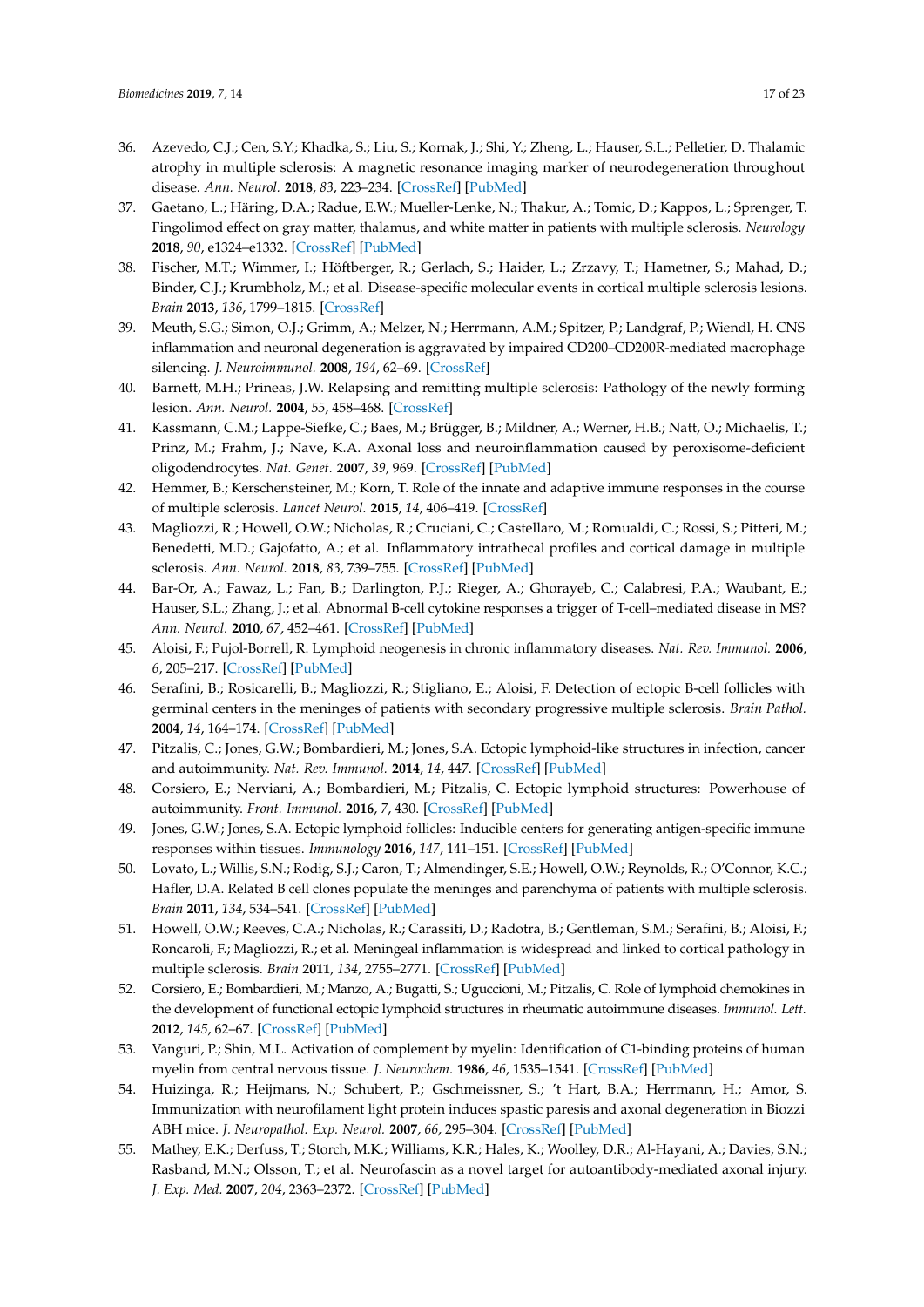- <span id="page-16-0"></span>36. Azevedo, C.J.; Cen, S.Y.; Khadka, S.; Liu, S.; Kornak, J.; Shi, Y.; Zheng, L.; Hauser, S.L.; Pelletier, D. Thalamic atrophy in multiple sclerosis: A magnetic resonance imaging marker of neurodegeneration throughout disease. *Ann. Neurol.* **2018**, *83*, 223–234. [\[CrossRef\]](http://dx.doi.org/10.1002/ana.25150) [\[PubMed\]](http://www.ncbi.nlm.nih.gov/pubmed/29328531)
- <span id="page-16-1"></span>37. Gaetano, L.; Häring, D.A.; Radue, E.W.; Mueller-Lenke, N.; Thakur, A.; Tomic, D.; Kappos, L.; Sprenger, T. Fingolimod effect on gray matter, thalamus, and white matter in patients with multiple sclerosis. *Neurology* **2018**, *90*, e1324–e1332. [\[CrossRef\]](http://dx.doi.org/10.1212/WNL.0000000000005292) [\[PubMed\]](http://www.ncbi.nlm.nih.gov/pubmed/29540589)
- <span id="page-16-2"></span>38. Fischer, M.T.; Wimmer, I.; Höftberger, R.; Gerlach, S.; Haider, L.; Zrzavy, T.; Hametner, S.; Mahad, D.; Binder, C.J.; Krumbholz, M.; et al. Disease-specific molecular events in cortical multiple sclerosis lesions. *Brain* **2013**, *136*, 1799–1815. [\[CrossRef\]](http://dx.doi.org/10.1093/brain/awt110)
- <span id="page-16-3"></span>39. Meuth, S.G.; Simon, O.J.; Grimm, A.; Melzer, N.; Herrmann, A.M.; Spitzer, P.; Landgraf, P.; Wiendl, H. CNS inflammation and neuronal degeneration is aggravated by impaired CD200–CD200R-mediated macrophage silencing. *J. Neuroimmunol.* **2008**, *194*, 62–69. [\[CrossRef\]](http://dx.doi.org/10.1016/j.jneuroim.2007.11.013)
- <span id="page-16-4"></span>40. Barnett, M.H.; Prineas, J.W. Relapsing and remitting multiple sclerosis: Pathology of the newly forming lesion. *Ann. Neurol.* **2004**, *55*, 458–468. [\[CrossRef\]](http://dx.doi.org/10.1002/ana.20016)
- <span id="page-16-5"></span>41. Kassmann, C.M.; Lappe-Siefke, C.; Baes, M.; Brügger, B.; Mildner, A.; Werner, H.B.; Natt, O.; Michaelis, T.; Prinz, M.; Frahm, J.; Nave, K.A. Axonal loss and neuroinflammation caused by peroxisome-deficient oligodendrocytes. *Nat. Genet.* **2007**, *39*, 969. [\[CrossRef\]](http://dx.doi.org/10.1038/ng2070) [\[PubMed\]](http://www.ncbi.nlm.nih.gov/pubmed/17643102)
- <span id="page-16-6"></span>42. Hemmer, B.; Kerschensteiner, M.; Korn, T. Role of the innate and adaptive immune responses in the course of multiple sclerosis. *Lancet Neurol.* **2015**, *14*, 406–419. [\[CrossRef\]](http://dx.doi.org/10.1016/S1474-4422(14)70305-9)
- <span id="page-16-7"></span>43. Magliozzi, R.; Howell, O.W.; Nicholas, R.; Cruciani, C.; Castellaro, M.; Romualdi, C.; Rossi, S.; Pitteri, M.; Benedetti, M.D.; Gajofatto, A.; et al. Inflammatory intrathecal profiles and cortical damage in multiple sclerosis. *Ann. Neurol.* **2018**, *83*, 739–755. [\[CrossRef\]](http://dx.doi.org/10.1002/ana.25197) [\[PubMed\]](http://www.ncbi.nlm.nih.gov/pubmed/29518260)
- <span id="page-16-8"></span>44. Bar-Or, A.; Fawaz, L.; Fan, B.; Darlington, P.J.; Rieger, A.; Ghorayeb, C.; Calabresi, P.A.; Waubant, E.; Hauser, S.L.; Zhang, J.; et al. Abnormal B-cell cytokine responses a trigger of T-cell–mediated disease in MS? *Ann. Neurol.* **2010**, *67*, 452–461. [\[CrossRef\]](http://dx.doi.org/10.1002/ana.21939) [\[PubMed\]](http://www.ncbi.nlm.nih.gov/pubmed/20437580)
- <span id="page-16-9"></span>45. Aloisi, F.; Pujol-Borrell, R. Lymphoid neogenesis in chronic inflammatory diseases. *Nat. Rev. Immunol.* **2006**, *6*, 205–217. [\[CrossRef\]](http://dx.doi.org/10.1038/nri1786) [\[PubMed\]](http://www.ncbi.nlm.nih.gov/pubmed/16498451)
- <span id="page-16-10"></span>46. Serafini, B.; Rosicarelli, B.; Magliozzi, R.; Stigliano, E.; Aloisi, F. Detection of ectopic B-cell follicles with germinal centers in the meninges of patients with secondary progressive multiple sclerosis. *Brain Pathol.* **2004**, *14*, 164–174. [\[CrossRef\]](http://dx.doi.org/10.1111/j.1750-3639.2004.tb00049.x) [\[PubMed\]](http://www.ncbi.nlm.nih.gov/pubmed/15193029)
- <span id="page-16-11"></span>47. Pitzalis, C.; Jones, G.W.; Bombardieri, M.; Jones, S.A. Ectopic lymphoid-like structures in infection, cancer and autoimmunity. *Nat. Rev. Immunol.* **2014**, *14*, 447. [\[CrossRef\]](http://dx.doi.org/10.1038/nri3700) [\[PubMed\]](http://www.ncbi.nlm.nih.gov/pubmed/24948366)
- <span id="page-16-12"></span>48. Corsiero, E.; Nerviani, A.; Bombardieri, M.; Pitzalis, C. Ectopic lymphoid structures: Powerhouse of autoimmunity. *Front. Immunol.* **2016**, *7*, 430. [\[CrossRef\]](http://dx.doi.org/10.3389/fimmu.2016.00430) [\[PubMed\]](http://www.ncbi.nlm.nih.gov/pubmed/27799933)
- <span id="page-16-13"></span>49. Jones, G.W.; Jones, S.A. Ectopic lymphoid follicles: Inducible centers for generating antigen-specific immune responses within tissues. *Immunology* **2016**, *147*, 141–151. [\[CrossRef\]](http://dx.doi.org/10.1111/imm.12554) [\[PubMed\]](http://www.ncbi.nlm.nih.gov/pubmed/26551738)
- <span id="page-16-14"></span>50. Lovato, L.; Willis, S.N.; Rodig, S.J.; Caron, T.; Almendinger, S.E.; Howell, O.W.; Reynolds, R.; O'Connor, K.C.; Hafler, D.A. Related B cell clones populate the meninges and parenchyma of patients with multiple sclerosis. *Brain* **2011**, *134*, 534–541. [\[CrossRef\]](http://dx.doi.org/10.1093/brain/awq350) [\[PubMed\]](http://www.ncbi.nlm.nih.gov/pubmed/21216828)
- <span id="page-16-15"></span>51. Howell, O.W.; Reeves, C.A.; Nicholas, R.; Carassiti, D.; Radotra, B.; Gentleman, S.M.; Serafini, B.; Aloisi, F.; Roncaroli, F.; Magliozzi, R.; et al. Meningeal inflammation is widespread and linked to cortical pathology in multiple sclerosis. *Brain* **2011**, *134*, 2755–2771. [\[CrossRef\]](http://dx.doi.org/10.1093/brain/awr182) [\[PubMed\]](http://www.ncbi.nlm.nih.gov/pubmed/21840891)
- <span id="page-16-16"></span>52. Corsiero, E.; Bombardieri, M.; Manzo, A.; Bugatti, S.; Uguccioni, M.; Pitzalis, C. Role of lymphoid chemokines in the development of functional ectopic lymphoid structures in rheumatic autoimmune diseases. *Immunol. Lett.* **2012**, *145*, 62–67. [\[CrossRef\]](http://dx.doi.org/10.1016/j.imlet.2012.04.013) [\[PubMed\]](http://www.ncbi.nlm.nih.gov/pubmed/22698185)
- <span id="page-16-17"></span>53. Vanguri, P.; Shin, M.L. Activation of complement by myelin: Identification of C1-binding proteins of human myelin from central nervous tissue. *J. Neurochem.* **1986**, *46*, 1535–1541. [\[CrossRef\]](http://dx.doi.org/10.1111/j.1471-4159.1986.tb01773.x) [\[PubMed\]](http://www.ncbi.nlm.nih.gov/pubmed/3514793)
- 54. Huizinga, R.; Heijmans, N.; Schubert, P.; Gschmeissner, S.; 't Hart, B.A.; Herrmann, H.; Amor, S. Immunization with neurofilament light protein induces spastic paresis and axonal degeneration in Biozzi ABH mice. *J. Neuropathol. Exp. Neurol.* **2007**, *66*, 295–304. [\[CrossRef\]](http://dx.doi.org/10.1097/nen.0b013e318040ad5c) [\[PubMed\]](http://www.ncbi.nlm.nih.gov/pubmed/17413320)
- <span id="page-16-18"></span>55. Mathey, E.K.; Derfuss, T.; Storch, M.K.; Williams, K.R.; Hales, K.; Woolley, D.R.; Al-Hayani, A.; Davies, S.N.; Rasband, M.N.; Olsson, T.; et al. Neurofascin as a novel target for autoantibody-mediated axonal injury. *J. Exp. Med.* **2007**, *204*, 2363–2372. [\[CrossRef\]](http://dx.doi.org/10.1084/jem.20071053) [\[PubMed\]](http://www.ncbi.nlm.nih.gov/pubmed/17846150)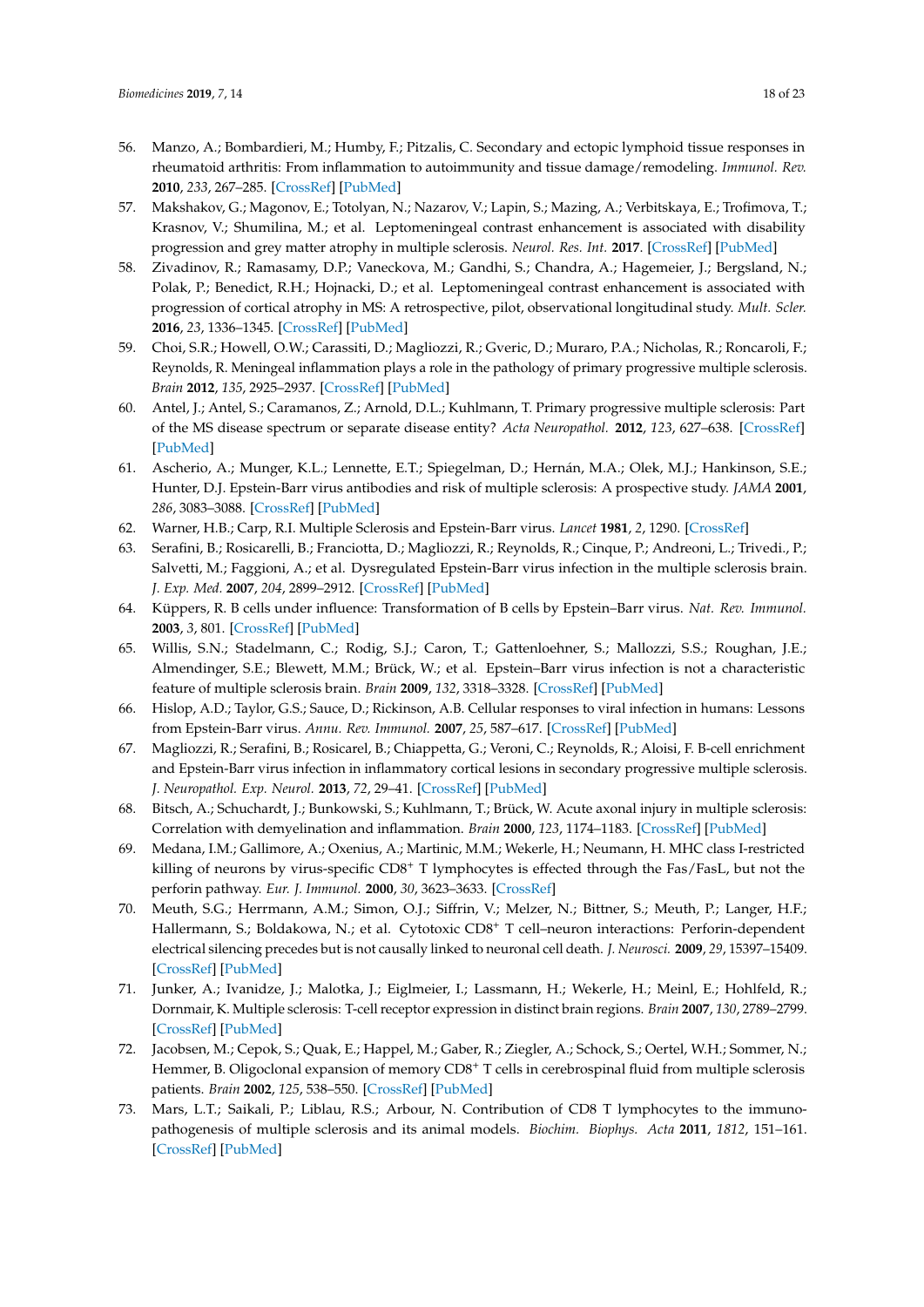- <span id="page-17-0"></span>56. Manzo, A.; Bombardieri, M.; Humby, F.; Pitzalis, C. Secondary and ectopic lymphoid tissue responses in rheumatoid arthritis: From inflammation to autoimmunity and tissue damage/remodeling. *Immunol. Rev.* **2010**, *233*, 267–285. [\[CrossRef\]](http://dx.doi.org/10.1111/j.0105-2896.2009.00861.x) [\[PubMed\]](http://www.ncbi.nlm.nih.gov/pubmed/20193005)
- <span id="page-17-1"></span>57. Makshakov, G.; Magonov, E.; Totolyan, N.; Nazarov, V.; Lapin, S.; Mazing, A.; Verbitskaya, E.; Trofimova, T.; Krasnov, V.; Shumilina, M.; et al. Leptomeningeal contrast enhancement is associated with disability progression and grey matter atrophy in multiple sclerosis. *Neurol. Res. Int.* **2017**. [\[CrossRef\]](http://dx.doi.org/10.1155/2017/8652463) [\[PubMed\]](http://www.ncbi.nlm.nih.gov/pubmed/29291134)
- <span id="page-17-2"></span>58. Zivadinov, R.; Ramasamy, D.P.; Vaneckova, M.; Gandhi, S.; Chandra, A.; Hagemeier, J.; Bergsland, N.; Polak, P.; Benedict, R.H.; Hojnacki, D.; et al. Leptomeningeal contrast enhancement is associated with progression of cortical atrophy in MS: A retrospective, pilot, observational longitudinal study. *Mult. Scler.* **2016**, *23*, 1336–1345. [\[CrossRef\]](http://dx.doi.org/10.1177/1352458516678083) [\[PubMed\]](http://www.ncbi.nlm.nih.gov/pubmed/27811339)
- <span id="page-17-3"></span>59. Choi, S.R.; Howell, O.W.; Carassiti, D.; Magliozzi, R.; Gveric, D.; Muraro, P.A.; Nicholas, R.; Roncaroli, F.; Reynolds, R. Meningeal inflammation plays a role in the pathology of primary progressive multiple sclerosis. *Brain* **2012**, *135*, 2925–2937. [\[CrossRef\]](http://dx.doi.org/10.1093/brain/aws189) [\[PubMed\]](http://www.ncbi.nlm.nih.gov/pubmed/22907116)
- <span id="page-17-4"></span>60. Antel, J.; Antel, S.; Caramanos, Z.; Arnold, D.L.; Kuhlmann, T. Primary progressive multiple sclerosis: Part of the MS disease spectrum or separate disease entity? *Acta Neuropathol.* **2012**, *123*, 627–638. [\[CrossRef\]](http://dx.doi.org/10.1007/s00401-012-0953-0) [\[PubMed\]](http://www.ncbi.nlm.nih.gov/pubmed/22327362)
- <span id="page-17-5"></span>61. Ascherio, A.; Munger, K.L.; Lennette, E.T.; Spiegelman, D.; Hernán, M.A.; Olek, M.J.; Hankinson, S.E.; Hunter, D.J. Epstein-Barr virus antibodies and risk of multiple sclerosis: A prospective study. *JAMA* **2001**, *286*, 3083–3088. [\[CrossRef\]](http://dx.doi.org/10.1001/jama.286.24.3083) [\[PubMed\]](http://www.ncbi.nlm.nih.gov/pubmed/11754673)
- <span id="page-17-6"></span>62. Warner, H.B.; Carp, R.I. Multiple Sclerosis and Epstein-Barr virus. *Lancet* **1981**, *2*, 1290. [\[CrossRef\]](http://dx.doi.org/10.1016/S0140-6736(81)91527-0)
- <span id="page-17-7"></span>63. Serafini, B.; Rosicarelli, B.; Franciotta, D.; Magliozzi, R.; Reynolds, R.; Cinque, P.; Andreoni, L.; Trivedi., P.; Salvetti, M.; Faggioni, A.; et al. Dysregulated Epstein-Barr virus infection in the multiple sclerosis brain. *J. Exp. Med.* **2007**, *204*, 2899–2912. [\[CrossRef\]](http://dx.doi.org/10.1084/jem.20071030) [\[PubMed\]](http://www.ncbi.nlm.nih.gov/pubmed/17984305)
- <span id="page-17-8"></span>64. Küppers, R. B cells under influence: Transformation of B cells by Epstein–Barr virus. *Nat. Rev. Immunol.* **2003**, *3*, 801. [\[CrossRef\]](http://dx.doi.org/10.1038/nri1201) [\[PubMed\]](http://www.ncbi.nlm.nih.gov/pubmed/14523386)
- <span id="page-17-9"></span>65. Willis, S.N.; Stadelmann, C.; Rodig, S.J.; Caron, T.; Gattenloehner, S.; Mallozzi, S.S.; Roughan, J.E.; Almendinger, S.E.; Blewett, M.M.; Brück, W.; et al. Epstein–Barr virus infection is not a characteristic feature of multiple sclerosis brain. *Brain* **2009**, *132*, 3318–3328. [\[CrossRef\]](http://dx.doi.org/10.1093/brain/awp200) [\[PubMed\]](http://www.ncbi.nlm.nih.gov/pubmed/19638446)
- <span id="page-17-10"></span>66. Hislop, A.D.; Taylor, G.S.; Sauce, D.; Rickinson, A.B. Cellular responses to viral infection in humans: Lessons from Epstein-Barr virus. *Annu. Rev. Immunol.* **2007**, *25*, 587–617. [\[CrossRef\]](http://dx.doi.org/10.1146/annurev.immunol.25.022106.141553) [\[PubMed\]](http://www.ncbi.nlm.nih.gov/pubmed/17378764)
- <span id="page-17-11"></span>67. Magliozzi, R.; Serafini, B.; Rosicarel, B.; Chiappetta, G.; Veroni, C.; Reynolds, R.; Aloisi, F. B-cell enrichment and Epstein-Barr virus infection in inflammatory cortical lesions in secondary progressive multiple sclerosis. *J. Neuropathol. Exp. Neurol.* **2013**, *72*, 29–41. [\[CrossRef\]](http://dx.doi.org/10.1097/NEN.0b013e31827bfc62) [\[PubMed\]](http://www.ncbi.nlm.nih.gov/pubmed/23242282)
- <span id="page-17-12"></span>68. Bitsch, A.; Schuchardt, J.; Bunkowski, S.; Kuhlmann, T.; Brück, W. Acute axonal injury in multiple sclerosis: Correlation with demyelination and inflammation. *Brain* **2000**, *123*, 1174–1183. [\[CrossRef\]](http://dx.doi.org/10.1093/brain/123.6.1174) [\[PubMed\]](http://www.ncbi.nlm.nih.gov/pubmed/10825356)
- 69. Medana, I.M.; Gallimore, A.; Oxenius, A.; Martinic, M.M.; Wekerle, H.; Neumann, H. MHC class I-restricted killing of neurons by virus-specific CD8<sup>+</sup> T lymphocytes is effected through the Fas/FasL, but not the perforin pathway. *Eur. J. Immunol.* **2000**, *30*, 3623–3633. [\[CrossRef\]](http://dx.doi.org/10.1002/1521-4141(200012)30:12<3623::AID-IMMU3623>3.0.CO;2-F)
- <span id="page-17-13"></span>70. Meuth, S.G.; Herrmann, A.M.; Simon, O.J.; Siffrin, V.; Melzer, N.; Bittner, S.; Meuth, P.; Langer, H.F.; Hallermann, S.; Boldakowa, N.; et al. Cytotoxic CD8<sup>+</sup> T cell-neuron interactions: Perforin-dependent electrical silencing precedes but is not causally linked to neuronal cell death. *J. Neurosci.* **2009**, *29*, 15397–15409. [\[CrossRef\]](http://dx.doi.org/10.1523/JNEUROSCI.4339-09.2009) [\[PubMed\]](http://www.ncbi.nlm.nih.gov/pubmed/20007464)
- <span id="page-17-14"></span>71. Junker, A.; Ivanidze, J.; Malotka, J.; Eiglmeier, I.; Lassmann, H.; Wekerle, H.; Meinl, E.; Hohlfeld, R.; Dornmair, K. Multiple sclerosis: T-cell receptor expression in distinct brain regions. *Brain* **2007**, *130*, 2789–2799. [\[CrossRef\]](http://dx.doi.org/10.1093/brain/awm214) [\[PubMed\]](http://www.ncbi.nlm.nih.gov/pubmed/17890278)
- <span id="page-17-15"></span>72. Jacobsen, M.; Cepok, S.; Quak, E.; Happel, M.; Gaber, R.; Ziegler, A.; Schock, S.; Oertel, W.H.; Sommer, N.; Hemmer, B. Oligoclonal expansion of memory CD8<sup>+</sup> T cells in cerebrospinal fluid from multiple sclerosis patients. *Brain* **2002**, *125*, 538–550. [\[CrossRef\]](http://dx.doi.org/10.1093/brain/awf059) [\[PubMed\]](http://www.ncbi.nlm.nih.gov/pubmed/11872611)
- <span id="page-17-16"></span>73. Mars, L.T.; Saikali, P.; Liblau, R.S.; Arbour, N. Contribution of CD8 T lymphocytes to the immunopathogenesis of multiple sclerosis and its animal models. *Biochim. Biophys. Acta* **2011**, *1812*, 151–161. [\[CrossRef\]](http://dx.doi.org/10.1016/j.bbadis.2010.07.006) [\[PubMed\]](http://www.ncbi.nlm.nih.gov/pubmed/20637863)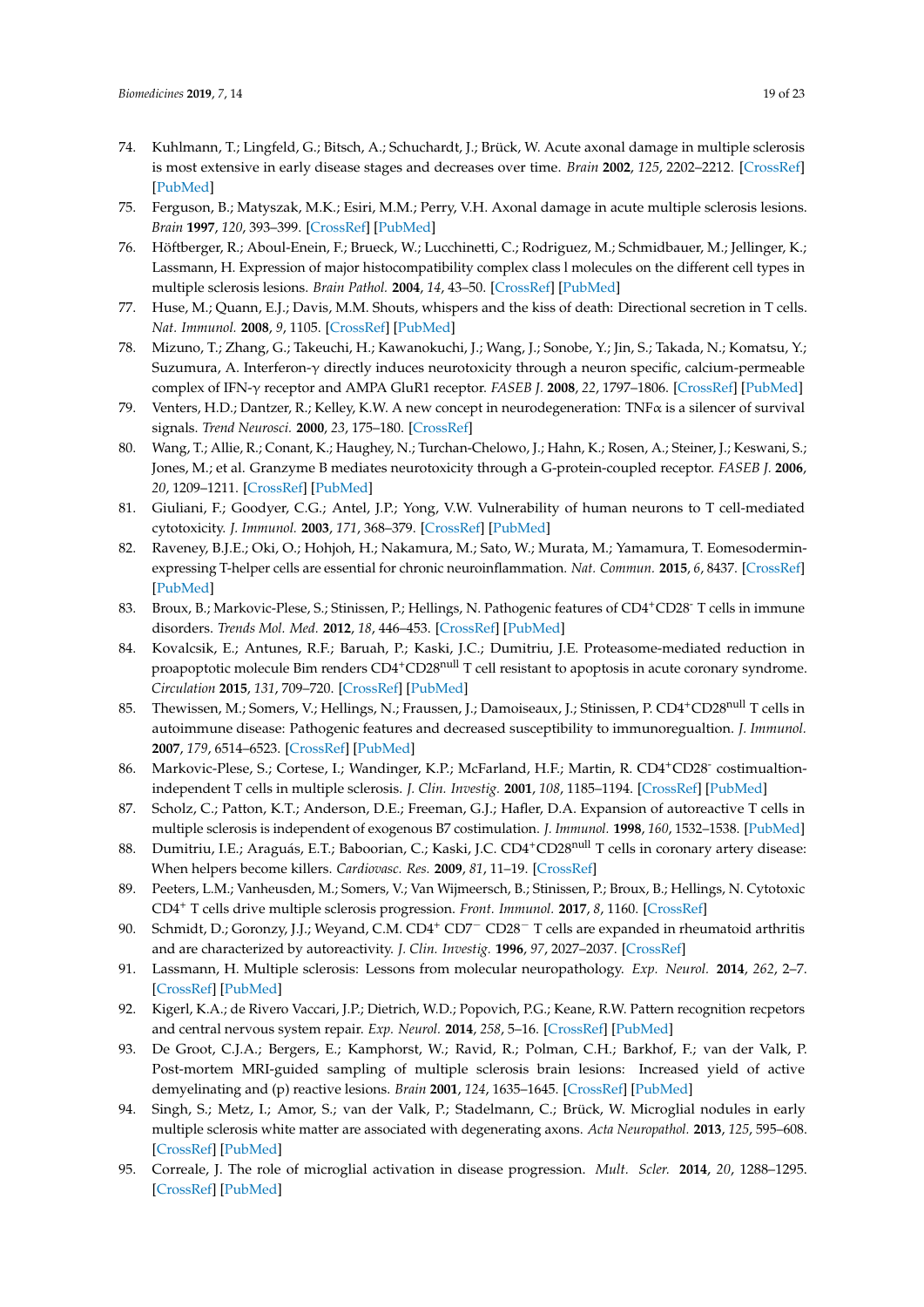- <span id="page-18-0"></span>74. Kuhlmann, T.; Lingfeld, G.; Bitsch, A.; Schuchardt, J.; Brück, W. Acute axonal damage in multiple sclerosis is most extensive in early disease stages and decreases over time. *Brain* **2002**, *125*, 2202–2212. [\[CrossRef\]](http://dx.doi.org/10.1093/brain/awf235) [\[PubMed\]](http://www.ncbi.nlm.nih.gov/pubmed/12244078)
- <span id="page-18-1"></span>75. Ferguson, B.; Matyszak, M.K.; Esiri, M.M.; Perry, V.H. Axonal damage in acute multiple sclerosis lesions. *Brain* **1997**, *120*, 393–399. [\[CrossRef\]](http://dx.doi.org/10.1093/brain/120.3.393) [\[PubMed\]](http://www.ncbi.nlm.nih.gov/pubmed/9126051)
- <span id="page-18-2"></span>76. Höftberger, R.; Aboul-Enein, F.; Brueck, W.; Lucchinetti, C.; Rodriguez, M.; Schmidbauer, M.; Jellinger, K.; Lassmann, H. Expression of major histocompatibility complex class l molecules on the different cell types in multiple sclerosis lesions. *Brain Pathol.* **2004**, *14*, 43–50. [\[CrossRef\]](http://dx.doi.org/10.1111/j.1750-3639.2004.tb00496.x) [\[PubMed\]](http://www.ncbi.nlm.nih.gov/pubmed/14997936)
- <span id="page-18-3"></span>77. Huse, M.; Quann, E.J.; Davis, M.M. Shouts, whispers and the kiss of death: Directional secretion in T cells. *Nat. Immunol.* **2008**, *9*, 1105. [\[CrossRef\]](http://dx.doi.org/10.1038/ni.f.215) [\[PubMed\]](http://www.ncbi.nlm.nih.gov/pubmed/18800163)
- <span id="page-18-4"></span>78. Mizuno, T.; Zhang, G.; Takeuchi, H.; Kawanokuchi, J.; Wang, J.; Sonobe, Y.; Jin, S.; Takada, N.; Komatsu, Y.; Suzumura, A. Interferon-γ directly induces neurotoxicity through a neuron specific, calcium-permeable complex of IFN-γ receptor and AMPA GluR1 receptor. *FASEB J.* **2008**, *22*, 1797–1806. [\[CrossRef\]](http://dx.doi.org/10.1096/fj.07-099499) [\[PubMed\]](http://www.ncbi.nlm.nih.gov/pubmed/18198214)
- <span id="page-18-5"></span>79. Venters, H.D.; Dantzer, R.; Kelley, K.W. A new concept in neurodegeneration: TNFα is a silencer of survival signals. *Trend Neurosci.* **2000**, *23*, 175–180. [\[CrossRef\]](http://dx.doi.org/10.1016/S0166-2236(99)01533-7)
- <span id="page-18-6"></span>80. Wang, T.; Allie, R.; Conant, K.; Haughey, N.; Turchan-Chelowo, J.; Hahn, K.; Rosen, A.; Steiner, J.; Keswani, S.; Jones, M.; et al. Granzyme B mediates neurotoxicity through a G-protein-coupled receptor. *FASEB J.* **2006**, *20*, 1209–1211. [\[CrossRef\]](http://dx.doi.org/10.1096/fj.05-5022fje) [\[PubMed\]](http://www.ncbi.nlm.nih.gov/pubmed/16636104)
- <span id="page-18-7"></span>81. Giuliani, F.; Goodyer, C.G.; Antel, J.P.; Yong, V.W. Vulnerability of human neurons to T cell-mediated cytotoxicity. *J. Immunol.* **2003**, *171*, 368–379. [\[CrossRef\]](http://dx.doi.org/10.4049/jimmunol.171.1.368) [\[PubMed\]](http://www.ncbi.nlm.nih.gov/pubmed/12817020)
- <span id="page-18-8"></span>82. Raveney, B.J.E.; Oki, O.; Hohjoh, H.; Nakamura, M.; Sato, W.; Murata, M.; Yamamura, T. Eomesoderminexpressing T-helper cells are essential for chronic neuroinflammation. *Nat. Commun.* **2015**, *6*, 8437. [\[CrossRef\]](http://dx.doi.org/10.1038/ncomms9437) [\[PubMed\]](http://www.ncbi.nlm.nih.gov/pubmed/26436530)
- <span id="page-18-9"></span>83. Broux, B.; Markovic-Plese, S.; Stinissen, P.; Hellings, N. Pathogenic features of CD4+CD28- T cells in immune disorders. *Trends Mol. Med.* **2012**, *18*, 446–453. [\[CrossRef\]](http://dx.doi.org/10.1016/j.molmed.2012.06.003) [\[PubMed\]](http://www.ncbi.nlm.nih.gov/pubmed/22784556)
- <span id="page-18-10"></span>84. Kovalcsik, E.; Antunes, R.F.; Baruah, P.; Kaski, J.C.; Dumitriu, J.E. Proteasome-mediated reduction in proapoptotic molecule Bim renders CD4+CD28<sup>null</sup> T cell resistant to apoptosis in acute coronary syndrome. *Circulation* **2015**, *131*, 709–720. [\[CrossRef\]](http://dx.doi.org/10.1161/CIRCULATIONAHA.114.013710) [\[PubMed\]](http://www.ncbi.nlm.nih.gov/pubmed/25527700)
- <span id="page-18-11"></span>85. Thewissen, M.; Somers, V.; Hellings, N.; Fraussen, J.; Damoiseaux, J.; Stinissen, P. CD4<sup>+</sup>CD28<sup>null</sup> T cells in autoimmune disease: Pathogenic features and decreased susceptibility to immunoregualtion. *J. Immunol.* **2007**, *179*, 6514–6523. [\[CrossRef\]](http://dx.doi.org/10.4049/jimmunol.179.10.6514) [\[PubMed\]](http://www.ncbi.nlm.nih.gov/pubmed/17982040)
- <span id="page-18-12"></span>86. Markovic-Plese, S.; Cortese, I.; Wandinger, K.P.; McFarland, H.F.; Martin, R. CD4+CD28 costimualtionindependent T cells in multiple sclerosis. *J. Clin. Investig.* **2001**, *108*, 1185–1194. [\[CrossRef\]](http://dx.doi.org/10.1172/JCI200112516) [\[PubMed\]](http://www.ncbi.nlm.nih.gov/pubmed/11602626)
- <span id="page-18-13"></span>87. Scholz, C.; Patton, K.T.; Anderson, D.E.; Freeman, G.J.; Hafler, D.A. Expansion of autoreactive T cells in multiple sclerosis is independent of exogenous B7 costimulation. *J. Immunol.* **1998**, *160*, 1532–1538. [\[PubMed\]](http://www.ncbi.nlm.nih.gov/pubmed/9570577)
- <span id="page-18-14"></span>88. Dumitriu, I.E.; Araguás, E.T.; Baboorian, C.; Kaski, J.C. CD4<sup>+</sup>CD28<sup>null</sup> T cells in coronary artery disease: When helpers become killers. *Cardiovasc. Res.* **2009**, *81*, 11–19. [\[CrossRef\]](http://dx.doi.org/10.1093/cvr/cvn248)
- <span id="page-18-15"></span>89. Peeters, L.M.; Vanheusden, M.; Somers, V.; Van Wijmeersch, B.; Stinissen, P.; Broux, B.; Hellings, N. Cytotoxic CD4<sup>+</sup> T cells drive multiple sclerosis progression. *Front. Immunol.* **2017**, *8*, 1160. [\[CrossRef\]](http://dx.doi.org/10.3389/fimmu.2017.01160)
- <span id="page-18-16"></span>90. Schmidt, D.; Goronzy, J.J.; Weyand, C.M. CD4<sup>+</sup> CD7<sup>−</sup> CD28<sup>−</sup> T cells are expanded in rheumatoid arthritis and are characterized by autoreactivity. *J. Clin. Investig.* **1996**, *97*, 2027–2037. [\[CrossRef\]](http://dx.doi.org/10.1172/JCI118638)
- <span id="page-18-17"></span>91. Lassmann, H. Multiple sclerosis: Lessons from molecular neuropathology. *Exp. Neurol.* **2014**, *262*, 2–7. [\[CrossRef\]](http://dx.doi.org/10.1016/j.expneurol.2013.12.003) [\[PubMed\]](http://www.ncbi.nlm.nih.gov/pubmed/24342027)
- <span id="page-18-18"></span>92. Kigerl, K.A.; de Rivero Vaccari, J.P.; Dietrich, W.D.; Popovich, P.G.; Keane, R.W. Pattern recognition recpetors and central nervous system repair. *Exp. Neurol.* **2014**, *258*, 5–16. [\[CrossRef\]](http://dx.doi.org/10.1016/j.expneurol.2014.01.001) [\[PubMed\]](http://www.ncbi.nlm.nih.gov/pubmed/25017883)
- <span id="page-18-19"></span>93. De Groot, C.J.A.; Bergers, E.; Kamphorst, W.; Ravid, R.; Polman, C.H.; Barkhof, F.; van der Valk, P. Post-mortem MRI-guided sampling of multiple sclerosis brain lesions: Increased yield of active demyelinating and (p) reactive lesions. *Brain* **2001**, *124*, 1635–1645. [\[CrossRef\]](http://dx.doi.org/10.1093/brain/124.8.1635) [\[PubMed\]](http://www.ncbi.nlm.nih.gov/pubmed/11459754)
- <span id="page-18-20"></span>94. Singh, S.; Metz, I.; Amor, S.; van der Valk, P.; Stadelmann, C.; Brück, W. Microglial nodules in early multiple sclerosis white matter are associated with degenerating axons. *Acta Neuropathol.* **2013**, *125*, 595–608. [\[CrossRef\]](http://dx.doi.org/10.1007/s00401-013-1082-0) [\[PubMed\]](http://www.ncbi.nlm.nih.gov/pubmed/23354834)
- <span id="page-18-21"></span>95. Correale, J. The role of microglial activation in disease progression. *Mult. Scler.* **2014**, *20*, 1288–1295. [\[CrossRef\]](http://dx.doi.org/10.1177/1352458514533230) [\[PubMed\]](http://www.ncbi.nlm.nih.gov/pubmed/24812046)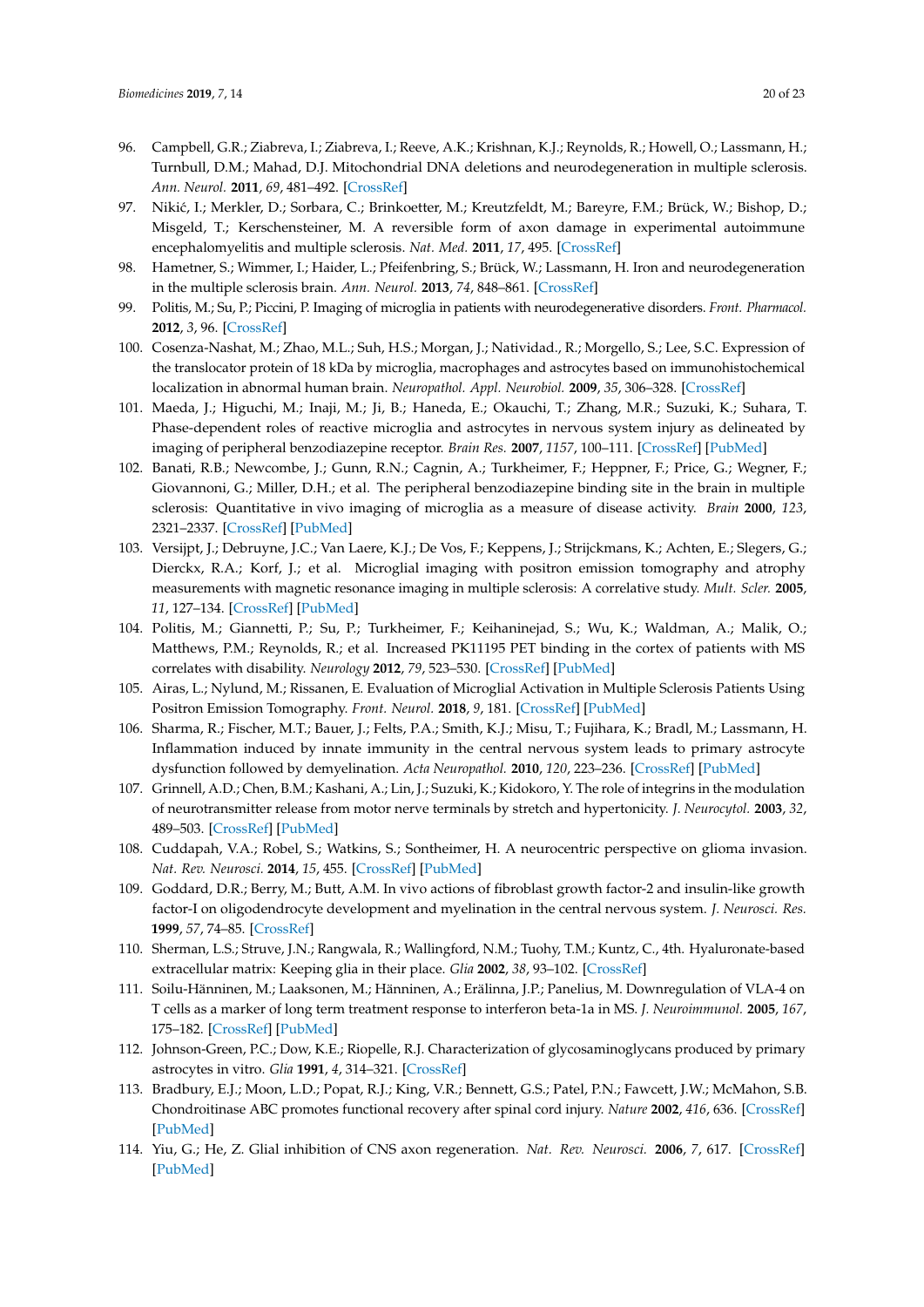- <span id="page-19-0"></span>96. Campbell, G.R.; Ziabreva, I.; Ziabreva, I.; Reeve, A.K.; Krishnan, K.J.; Reynolds, R.; Howell, O.; Lassmann, H.; Turnbull, D.M.; Mahad, D.J. Mitochondrial DNA deletions and neurodegeneration in multiple sclerosis. *Ann. Neurol.* **2011**, *69*, 481–492. [\[CrossRef\]](http://dx.doi.org/10.1002/ana.22109)
- <span id="page-19-1"></span>97. Nikić, I.; Merkler, D.; Sorbara, C.; Brinkoetter, M.; Kreutzfeldt, M.; Bareyre, F.M.; Brück, W.; Bishop, D.; Misgeld, T.; Kerschensteiner, M. A reversible form of axon damage in experimental autoimmune encephalomyelitis and multiple sclerosis. *Nat. Med.* **2011**, *17*, 495. [\[CrossRef\]](http://dx.doi.org/10.1038/nm.2324)
- <span id="page-19-2"></span>98. Hametner, S.; Wimmer, I.; Haider, L.; Pfeifenbring, S.; Brück, W.; Lassmann, H. Iron and neurodegeneration in the multiple sclerosis brain. *Ann. Neurol.* **2013**, *74*, 848–861. [\[CrossRef\]](http://dx.doi.org/10.1002/ana.23974)
- <span id="page-19-3"></span>99. Politis, M.; Su, P.; Piccini, P. Imaging of microglia in patients with neurodegenerative disorders. *Front. Pharmacol.* **2012**, *3*, 96. [\[CrossRef\]](http://dx.doi.org/10.3389/fphar.2012.00096)
- <span id="page-19-4"></span>100. Cosenza-Nashat, M.; Zhao, M.L.; Suh, H.S.; Morgan, J.; Natividad., R.; Morgello, S.; Lee, S.C. Expression of the translocator protein of 18 kDa by microglia, macrophages and astrocytes based on immunohistochemical localization in abnormal human brain. *Neuropathol. Appl. Neurobiol.* **2009**, *35*, 306–328. [\[CrossRef\]](http://dx.doi.org/10.1111/j.1365-2990.2008.01006.x)
- <span id="page-19-5"></span>101. Maeda, J.; Higuchi, M.; Inaji, M.; Ji, B.; Haneda, E.; Okauchi, T.; Zhang, M.R.; Suzuki, K.; Suhara, T. Phase-dependent roles of reactive microglia and astrocytes in nervous system injury as delineated by imaging of peripheral benzodiazepine receptor. *Brain Res.* **2007**, *1157*, 100–111. [\[CrossRef\]](http://dx.doi.org/10.1016/j.brainres.2007.04.054) [\[PubMed\]](http://www.ncbi.nlm.nih.gov/pubmed/17540348)
- <span id="page-19-6"></span>102. Banati, R.B.; Newcombe, J.; Gunn, R.N.; Cagnin, A.; Turkheimer, F.; Heppner, F.; Price, G.; Wegner, F.; Giovannoni, G.; Miller, D.H.; et al. The peripheral benzodiazepine binding site in the brain in multiple sclerosis: Quantitative in vivo imaging of microglia as a measure of disease activity. *Brain* **2000**, *123*, 2321–2337. [\[CrossRef\]](http://dx.doi.org/10.1093/brain/123.11.2321) [\[PubMed\]](http://www.ncbi.nlm.nih.gov/pubmed/11050032)
- <span id="page-19-7"></span>103. Versijpt, J.; Debruyne, J.C.; Van Laere, K.J.; De Vos, F.; Keppens, J.; Strijckmans, K.; Achten, E.; Slegers, G.; Dierckx, R.A.; Korf, J.; et al. Microglial imaging with positron emission tomography and atrophy measurements with magnetic resonance imaging in multiple sclerosis: A correlative study. *Mult. Scler.* **2005**, *11*, 127–134. [\[CrossRef\]](http://dx.doi.org/10.1191/1352458505ms1140oa) [\[PubMed\]](http://www.ncbi.nlm.nih.gov/pubmed/15794383)
- <span id="page-19-8"></span>104. Politis, M.; Giannetti, P.; Su, P.; Turkheimer, F.; Keihaninejad, S.; Wu, K.; Waldman, A.; Malik, O.; Matthews, P.M.; Reynolds, R.; et al. Increased PK11195 PET binding in the cortex of patients with MS correlates with disability. *Neurology* **2012**, *79*, 523–530. [\[CrossRef\]](http://dx.doi.org/10.1212/WNL.0b013e3182635645) [\[PubMed\]](http://www.ncbi.nlm.nih.gov/pubmed/22764258)
- <span id="page-19-9"></span>105. Airas, L.; Nylund, M.; Rissanen, E. Evaluation of Microglial Activation in Multiple Sclerosis Patients Using Positron Emission Tomography. *Front. Neurol.* **2018**, *9*, 181. [\[CrossRef\]](http://dx.doi.org/10.3389/fneur.2018.00181) [\[PubMed\]](http://www.ncbi.nlm.nih.gov/pubmed/29632509)
- <span id="page-19-10"></span>106. Sharma, R.; Fischer, M.T.; Bauer, J.; Felts, P.A.; Smith, K.J.; Misu, T.; Fujihara, K.; Bradl, M.; Lassmann, H. Inflammation induced by innate immunity in the central nervous system leads to primary astrocyte dysfunction followed by demyelination. *Acta Neuropathol.* **2010**, *120*, 223–236. [\[CrossRef\]](http://dx.doi.org/10.1007/s00401-010-0704-z) [\[PubMed\]](http://www.ncbi.nlm.nih.gov/pubmed/20532539)
- <span id="page-19-11"></span>107. Grinnell, A.D.; Chen, B.M.; Kashani, A.; Lin, J.; Suzuki, K.; Kidokoro, Y. The role of integrins in the modulation of neurotransmitter release from motor nerve terminals by stretch and hypertonicity. *J. Neurocytol.* **2003**, *32*, 489–503. [\[CrossRef\]](http://dx.doi.org/10.1023/B:NEUR.0000020606.58265.b5) [\[PubMed\]](http://www.ncbi.nlm.nih.gov/pubmed/15034249)
- <span id="page-19-12"></span>108. Cuddapah, V.A.; Robel, S.; Watkins, S.; Sontheimer, H. A neurocentric perspective on glioma invasion. *Nat. Rev. Neurosci.* **2014**, *15*, 455. [\[CrossRef\]](http://dx.doi.org/10.1038/nrn3765) [\[PubMed\]](http://www.ncbi.nlm.nih.gov/pubmed/24946761)
- <span id="page-19-13"></span>109. Goddard, D.R.; Berry, M.; Butt, A.M. In vivo actions of fibroblast growth factor-2 and insulin-like growth factor-I on oligodendrocyte development and myelination in the central nervous system. *J. Neurosci. Res.* **1999**, *57*, 74–85. [\[CrossRef\]](http://dx.doi.org/10.1002/(SICI)1097-4547(19990701)57:1<74::AID-JNR8>3.0.CO;2-O)
- <span id="page-19-14"></span>110. Sherman, L.S.; Struve, J.N.; Rangwala, R.; Wallingford, N.M.; Tuohy, T.M.; Kuntz, C., 4th. Hyaluronate-based extracellular matrix: Keeping glia in their place. *Glia* **2002**, *38*, 93–102. [\[CrossRef\]](http://dx.doi.org/10.1002/glia.10053)
- <span id="page-19-15"></span>111. Soilu-Hänninen, M.; Laaksonen, M.; Hänninen, A.; Erälinna, J.P.; Panelius, M. Downregulation of VLA-4 on T cells as a marker of long term treatment response to interferon beta-1a in MS. *J. Neuroimmunol.* **2005**, *167*, 175–182. [\[CrossRef\]](http://dx.doi.org/10.1016/j.jneuroim.2005.06.022) [\[PubMed\]](http://www.ncbi.nlm.nih.gov/pubmed/16087245)
- <span id="page-19-16"></span>112. Johnson-Green, P.C.; Dow, K.E.; Riopelle, R.J. Characterization of glycosaminoglycans produced by primary astrocytes in vitro. *Glia* **1991**, *4*, 314–321. [\[CrossRef\]](http://dx.doi.org/10.1002/glia.440040309)
- <span id="page-19-17"></span>113. Bradbury, E.J.; Moon, L.D.; Popat, R.J.; King, V.R.; Bennett, G.S.; Patel, P.N.; Fawcett, J.W.; McMahon, S.B. Chondroitinase ABC promotes functional recovery after spinal cord injury. *Nature* **2002**, *416*, 636. [\[CrossRef\]](http://dx.doi.org/10.1038/416636a) [\[PubMed\]](http://www.ncbi.nlm.nih.gov/pubmed/11948352)
- <span id="page-19-18"></span>114. Yiu, G.; He, Z. Glial inhibition of CNS axon regeneration. *Nat. Rev. Neurosci.* **2006**, *7*, 617. [\[CrossRef\]](http://dx.doi.org/10.1038/nrn1956) [\[PubMed\]](http://www.ncbi.nlm.nih.gov/pubmed/16858390)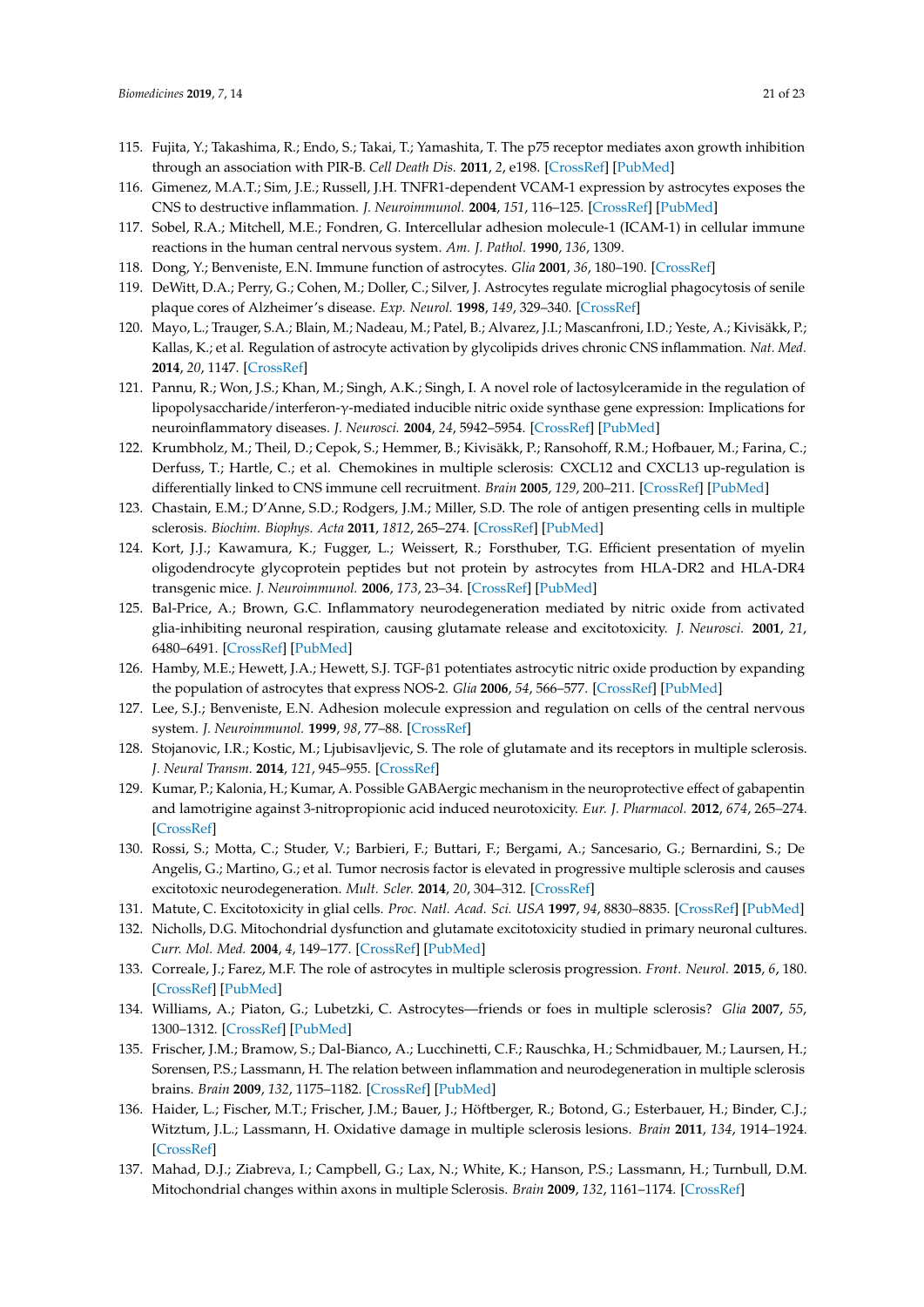- <span id="page-20-0"></span>115. Fujita, Y.; Takashima, R.; Endo, S.; Takai, T.; Yamashita, T. The p75 receptor mediates axon growth inhibition through an association with PIR-B. *Cell Death Dis.* **2011**, *2*, e198. [\[CrossRef\]](http://dx.doi.org/10.1038/cddis.2011.85) [\[PubMed\]](http://www.ncbi.nlm.nih.gov/pubmed/21881600)
- <span id="page-20-1"></span>116. Gimenez, M.A.T.; Sim, J.E.; Russell, J.H. TNFR1-dependent VCAM-1 expression by astrocytes exposes the CNS to destructive inflammation. *J. Neuroimmunol.* **2004**, *151*, 116–125. [\[CrossRef\]](http://dx.doi.org/10.1016/j.jneuroim.2004.02.012) [\[PubMed\]](http://www.ncbi.nlm.nih.gov/pubmed/15145610)
- <span id="page-20-2"></span>117. Sobel, R.A.; Mitchell, M.E.; Fondren, G. Intercellular adhesion molecule-1 (ICAM-1) in cellular immune reactions in the human central nervous system. *Am. J. Pathol.* **1990**, *136*, 1309.
- <span id="page-20-4"></span><span id="page-20-3"></span>118. Dong, Y.; Benveniste, E.N. Immune function of astrocytes. *Glia* **2001**, *36*, 180–190. [\[CrossRef\]](http://dx.doi.org/10.1002/glia.1107)
- 119. DeWitt, D.A.; Perry, G.; Cohen, M.; Doller, C.; Silver, J. Astrocytes regulate microglial phagocytosis of senile plaque cores of Alzheimer's disease. *Exp. Neurol.* **1998**, *149*, 329–340. [\[CrossRef\]](http://dx.doi.org/10.1006/exnr.1997.6738)
- <span id="page-20-5"></span>120. Mayo, L.; Trauger, S.A.; Blain, M.; Nadeau, M.; Patel, B.; Alvarez, J.I.; Mascanfroni, I.D.; Yeste, A.; Kivisäkk, P.; Kallas, K.; et al. Regulation of astrocyte activation by glycolipids drives chronic CNS inflammation. *Nat. Med.* **2014**, *20*, 1147. [\[CrossRef\]](http://dx.doi.org/10.1038/nm.3681)
- <span id="page-20-6"></span>121. Pannu, R.; Won, J.S.; Khan, M.; Singh, A.K.; Singh, I. A novel role of lactosylceramide in the regulation of lipopolysaccharide/interferon-γ-mediated inducible nitric oxide synthase gene expression: Implications for neuroinflammatory diseases. *J. Neurosci.* **2004**, *24*, 5942–5954. [\[CrossRef\]](http://dx.doi.org/10.1523/JNEUROSCI.1271-04.2004) [\[PubMed\]](http://www.ncbi.nlm.nih.gov/pubmed/15229242)
- <span id="page-20-7"></span>122. Krumbholz, M.; Theil, D.; Cepok, S.; Hemmer, B.; Kivisäkk, P.; Ransohoff, R.M.; Hofbauer, M.; Farina, C.; Derfuss, T.; Hartle, C.; et al. Chemokines in multiple sclerosis: CXCL12 and CXCL13 up-regulation is differentially linked to CNS immune cell recruitment. *Brain* **2005**, *129*, 200–211. [\[CrossRef\]](http://dx.doi.org/10.1093/brain/awh680) [\[PubMed\]](http://www.ncbi.nlm.nih.gov/pubmed/16280350)
- <span id="page-20-8"></span>123. Chastain, E.M.; D'Anne, S.D.; Rodgers, J.M.; Miller, S.D. The role of antigen presenting cells in multiple sclerosis. *Biochim. Biophys. Acta* **2011**, *1812*, 265–274. [\[CrossRef\]](http://dx.doi.org/10.1016/j.bbadis.2010.07.008) [\[PubMed\]](http://www.ncbi.nlm.nih.gov/pubmed/20637861)
- <span id="page-20-9"></span>124. Kort, J.J.; Kawamura, K.; Fugger, L.; Weissert, R.; Forsthuber, T.G. Efficient presentation of myelin oligodendrocyte glycoprotein peptides but not protein by astrocytes from HLA-DR2 and HLA-DR4 transgenic mice. *J. Neuroimmunol.* **2006**, *173*, 23–34. [\[CrossRef\]](http://dx.doi.org/10.1016/j.jneuroim.2005.11.014) [\[PubMed\]](http://www.ncbi.nlm.nih.gov/pubmed/16386804)
- <span id="page-20-10"></span>125. Bal-Price, A.; Brown, G.C. Inflammatory neurodegeneration mediated by nitric oxide from activated glia-inhibiting neuronal respiration, causing glutamate release and excitotoxicity. *J. Neurosci.* **2001**, *21*, 6480–6491. [\[CrossRef\]](http://dx.doi.org/10.1523/JNEUROSCI.21-17-06480.2001) [\[PubMed\]](http://www.ncbi.nlm.nih.gov/pubmed/11517237)
- <span id="page-20-11"></span>126. Hamby, M.E.; Hewett, J.A.; Hewett, S.J. TGF-β1 potentiates astrocytic nitric oxide production by expanding the population of astrocytes that express NOS-2. *Glia* **2006**, *54*, 566–577. [\[CrossRef\]](http://dx.doi.org/10.1002/glia.20411) [\[PubMed\]](http://www.ncbi.nlm.nih.gov/pubmed/16921522)
- <span id="page-20-12"></span>127. Lee, S.J.; Benveniste, E.N. Adhesion molecule expression and regulation on cells of the central nervous system. *J. Neuroimmunol.* **1999**, *98*, 77–88. [\[CrossRef\]](http://dx.doi.org/10.1016/S0165-5728(99)00084-3)
- <span id="page-20-13"></span>128. Stojanovic, I.R.; Kostic, M.; Ljubisavljevic, S. The role of glutamate and its receptors in multiple sclerosis. *J. Neural Transm.* **2014**, *121*, 945–955. [\[CrossRef\]](http://dx.doi.org/10.1007/s00702-014-1188-0)
- <span id="page-20-14"></span>129. Kumar, P.; Kalonia, H.; Kumar, A. Possible GABAergic mechanism in the neuroprotective effect of gabapentin and lamotrigine against 3-nitropropionic acid induced neurotoxicity. *Eur. J. Pharmacol.* **2012**, *674*, 265–274. [\[CrossRef\]](http://dx.doi.org/10.1016/j.ejphar.2011.11.030)
- <span id="page-20-15"></span>130. Rossi, S.; Motta, C.; Studer, V.; Barbieri, F.; Buttari, F.; Bergami, A.; Sancesario, G.; Bernardini, S.; De Angelis, G.; Martino, G.; et al. Tumor necrosis factor is elevated in progressive multiple sclerosis and causes excitotoxic neurodegeneration. *Mult. Scler.* **2014**, *20*, 304–312. [\[CrossRef\]](http://dx.doi.org/10.1177/1352458513498128)
- <span id="page-20-16"></span>131. Matute, C. Excitotoxicity in glial cells. *Proc. Natl. Acad. Sci. USA* **1997**, *94*, 8830–8835. [\[CrossRef\]](http://dx.doi.org/10.1073/pnas.94.16.8830) [\[PubMed\]](http://www.ncbi.nlm.nih.gov/pubmed/9238063)
- <span id="page-20-17"></span>132. Nicholls, D.G. Mitochondrial dysfunction and glutamate excitotoxicity studied in primary neuronal cultures. *Curr. Mol. Med.* **2004**, *4*, 149–177. [\[CrossRef\]](http://dx.doi.org/10.2174/1566524043479239) [\[PubMed\]](http://www.ncbi.nlm.nih.gov/pubmed/15032711)
- <span id="page-20-18"></span>133. Correale, J.; Farez, M.F. The role of astrocytes in multiple sclerosis progression. *Front. Neurol.* **2015**, *6*, 180. [\[CrossRef\]](http://dx.doi.org/10.3389/fneur.2015.00180) [\[PubMed\]](http://www.ncbi.nlm.nih.gov/pubmed/26347709)
- <span id="page-20-19"></span>134. Williams, A.; Piaton, G.; Lubetzki, C. Astrocytes—friends or foes in multiple sclerosis? *Glia* **2007**, *55*, 1300–1312. [\[CrossRef\]](http://dx.doi.org/10.1002/glia.20546) [\[PubMed\]](http://www.ncbi.nlm.nih.gov/pubmed/17626262)
- <span id="page-20-20"></span>135. Frischer, J.M.; Bramow, S.; Dal-Bianco, A.; Lucchinetti, C.F.; Rauschka, H.; Schmidbauer, M.; Laursen, H.; Sorensen, P.S.; Lassmann, H. The relation between inflammation and neurodegeneration in multiple sclerosis brains. *Brain* **2009**, *132*, 1175–1182. [\[CrossRef\]](http://dx.doi.org/10.1093/brain/awp070) [\[PubMed\]](http://www.ncbi.nlm.nih.gov/pubmed/19339255)
- <span id="page-20-21"></span>136. Haider, L.; Fischer, M.T.; Frischer, J.M.; Bauer, J.; Höftberger, R.; Botond, G.; Esterbauer, H.; Binder, C.J.; Witztum, J.L.; Lassmann, H. Oxidative damage in multiple sclerosis lesions. *Brain* **2011**, *134*, 1914–1924. [\[CrossRef\]](http://dx.doi.org/10.1093/brain/awr128)
- <span id="page-20-22"></span>137. Mahad, D.J.; Ziabreva, I.; Campbell, G.; Lax, N.; White, K.; Hanson, P.S.; Lassmann, H.; Turnbull, D.M. Mitochondrial changes within axons in multiple Sclerosis. *Brain* **2009**, *132*, 1161–1174. [\[CrossRef\]](http://dx.doi.org/10.1093/brain/awp046)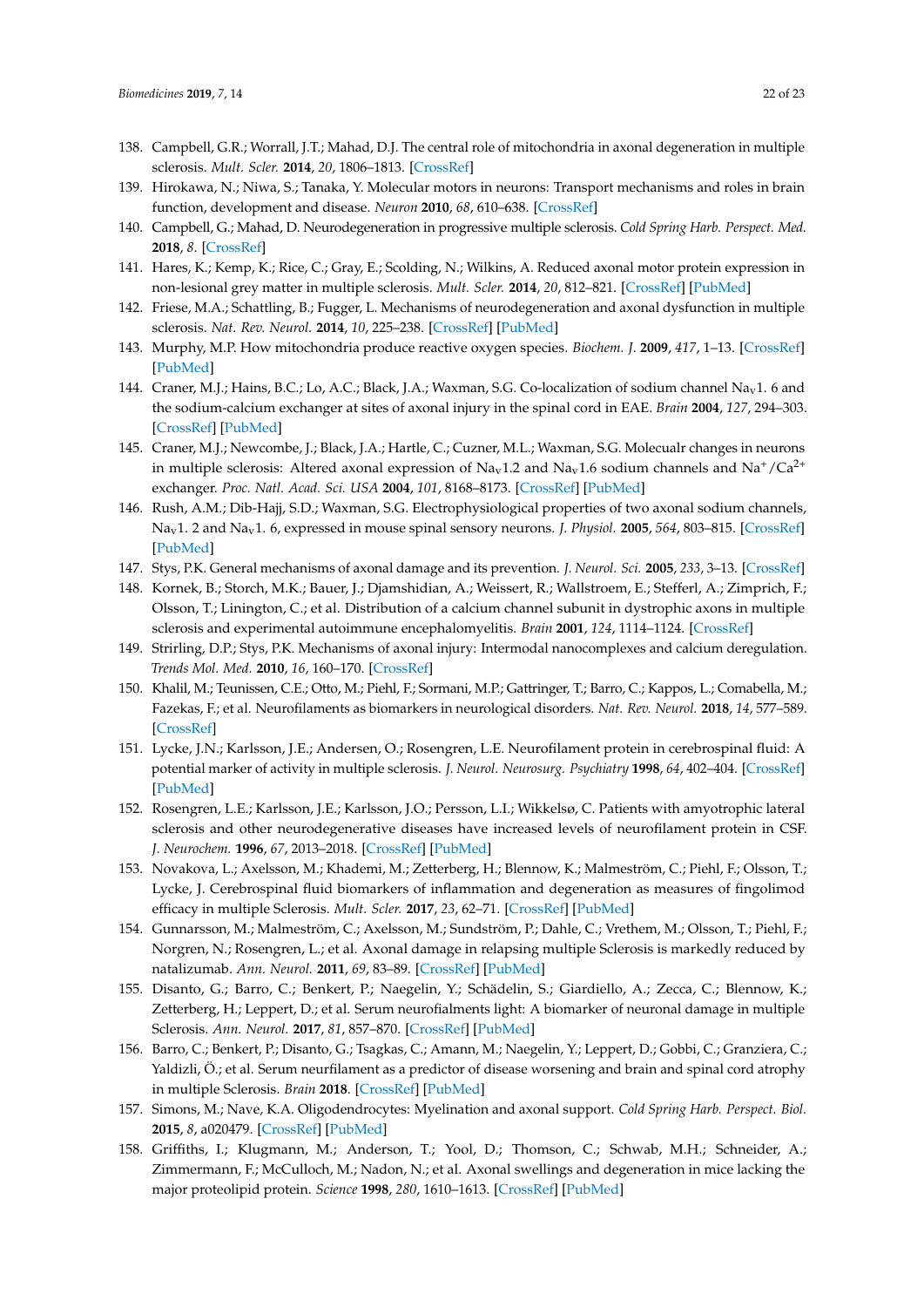- <span id="page-21-0"></span>138. Campbell, G.R.; Worrall, J.T.; Mahad, D.J. The central role of mitochondria in axonal degeneration in multiple sclerosis. *Mult. Scler.* **2014**, *20*, 1806–1813. [\[CrossRef\]](http://dx.doi.org/10.1177/1352458514544537)
- <span id="page-21-1"></span>139. Hirokawa, N.; Niwa, S.; Tanaka, Y. Molecular motors in neurons: Transport mechanisms and roles in brain function, development and disease. *Neuron* **2010**, *68*, 610–638. [\[CrossRef\]](http://dx.doi.org/10.1016/j.neuron.2010.09.039)
- <span id="page-21-2"></span>140. Campbell, G.; Mahad, D. Neurodegeneration in progressive multiple sclerosis. *Cold Spring Harb. Perspect. Med.* **2018**, *8*. [\[CrossRef\]](http://dx.doi.org/10.1101/cshperspect.a028985)
- <span id="page-21-3"></span>141. Hares, K.; Kemp, K.; Rice, C.; Gray, E.; Scolding, N.; Wilkins, A. Reduced axonal motor protein expression in non-lesional grey matter in multiple sclerosis. *Mult. Scler.* **2014**, *20*, 812–821. [\[CrossRef\]](http://dx.doi.org/10.1177/1352458513508836) [\[PubMed\]](http://www.ncbi.nlm.nih.gov/pubmed/24144874)
- <span id="page-21-4"></span>142. Friese, M.A.; Schattling, B.; Fugger, L. Mechanisms of neurodegeneration and axonal dysfunction in multiple sclerosis. *Nat. Rev. Neurol.* **2014**, *10*, 225–238. [\[CrossRef\]](http://dx.doi.org/10.1038/nrneurol.2014.37) [\[PubMed\]](http://www.ncbi.nlm.nih.gov/pubmed/24638138)
- <span id="page-21-5"></span>143. Murphy, M.P. How mitochondria produce reactive oxygen species. *Biochem. J.* **2009**, *417*, 1–13. [\[CrossRef\]](http://dx.doi.org/10.1042/BJ20081386) [\[PubMed\]](http://www.ncbi.nlm.nih.gov/pubmed/19061483)
- <span id="page-21-6"></span>144. Craner, M.J.; Hains, B.C.; Lo, A.C.; Black, J.A.; Waxman, S.G. Co-localization of sodium channel Na<sub>v</sub>1. 6 and the sodium-calcium exchanger at sites of axonal injury in the spinal cord in EAE. *Brain* **2004**, *127*, 294–303. [\[CrossRef\]](http://dx.doi.org/10.1093/brain/awh032) [\[PubMed\]](http://www.ncbi.nlm.nih.gov/pubmed/14662515)
- <span id="page-21-7"></span>145. Craner, M.J.; Newcombe, J.; Black, J.A.; Hartle, C.; Cuzner, M.L.; Waxman, S.G. Molecualr changes in neurons in multiple sclerosis: Altered axonal expression of  $Na<sub>v</sub>1.2$  and  $Na<sub>v</sub>1.6$  sodium channels and  $Na<sup>+</sup>/Ca<sup>2+</sup>$ exchanger. *Proc. Natl. Acad. Sci. USA* **2004**, *101*, 8168–8173. [\[CrossRef\]](http://dx.doi.org/10.1073/pnas.0402765101) [\[PubMed\]](http://www.ncbi.nlm.nih.gov/pubmed/15148385)
- <span id="page-21-8"></span>146. Rush, A.M.; Dib-Hajj, S.D.; Waxman, S.G. Electrophysiological properties of two axonal sodium channels, Nav1. 2 and Nav1. 6, expressed in mouse spinal sensory neurons. *J. Physiol.* **2005**, *564*, 803–815. [\[CrossRef\]](http://dx.doi.org/10.1113/jphysiol.2005.083089) [\[PubMed\]](http://www.ncbi.nlm.nih.gov/pubmed/15760941)
- <span id="page-21-9"></span>147. Stys, P.K. General mechanisms of axonal damage and its prevention. *J. Neurol. Sci.* **2005**, *233*, 3–13. [\[CrossRef\]](http://dx.doi.org/10.1016/j.jns.2005.03.031)
- <span id="page-21-10"></span>148. Kornek, B.; Storch, M.K.; Bauer, J.; Djamshidian, A.; Weissert, R.; Wallstroem, E.; Stefferl, A.; Zimprich, F.; Olsson, T.; Linington, C.; et al. Distribution of a calcium channel subunit in dystrophic axons in multiple sclerosis and experimental autoimmune encephalomyelitis. *Brain* **2001**, *124*, 1114–1124. [\[CrossRef\]](http://dx.doi.org/10.1093/brain/124.6.1114)
- <span id="page-21-11"></span>149. Strirling, D.P.; Stys, P.K. Mechanisms of axonal injury: Intermodal nanocomplexes and calcium deregulation. *Trends Mol. Med.* **2010**, *16*, 160–170. [\[CrossRef\]](http://dx.doi.org/10.1016/j.molmed.2010.02.002)
- <span id="page-21-12"></span>150. Khalil, M.; Teunissen, C.E.; Otto, M.; Piehl, F.; Sormani, M.P.; Gattringer, T.; Barro, C.; Kappos, L.; Comabella, M.; Fazekas, F.; et al. Neurofilaments as biomarkers in neurological disorders. *Nat. Rev. Neurol.* **2018**, *14*, 577–589. [\[CrossRef\]](http://dx.doi.org/10.1038/s41582-018-0058-z)
- <span id="page-21-13"></span>151. Lycke, J.N.; Karlsson, J.E.; Andersen, O.; Rosengren, L.E. Neurofilament protein in cerebrospinal fluid: A potential marker of activity in multiple sclerosis. *J. Neurol. Neurosurg. Psychiatry* **1998**, *64*, 402–404. [\[CrossRef\]](http://dx.doi.org/10.1136/jnnp.64.3.402) [\[PubMed\]](http://www.ncbi.nlm.nih.gov/pubmed/9527161)
- <span id="page-21-14"></span>152. Rosengren, L.E.; Karlsson, J.E.; Karlsson, J.O.; Persson, L.I.; Wikkelsø, C. Patients with amyotrophic lateral sclerosis and other neurodegenerative diseases have increased levels of neurofilament protein in CSF. *J. Neurochem.* **1996**, *67*, 2013–2018. [\[CrossRef\]](http://dx.doi.org/10.1046/j.1471-4159.1996.67052013.x) [\[PubMed\]](http://www.ncbi.nlm.nih.gov/pubmed/8863508)
- <span id="page-21-15"></span>153. Novakova, L.; Axelsson, M.; Khademi, M.; Zetterberg, H.; Blennow, K.; Malmeström, C.; Piehl, F.; Olsson, T.; Lycke, J. Cerebrospinal fluid biomarkers of inflammation and degeneration as measures of fingolimod efficacy in multiple Sclerosis. *Mult. Scler.* **2017**, *23*, 62–71. [\[CrossRef\]](http://dx.doi.org/10.1177/1352458516639384) [\[PubMed\]](http://www.ncbi.nlm.nih.gov/pubmed/27003946)
- 154. Gunnarsson, M.; Malmeström, C.; Axelsson, M.; Sundström, P.; Dahle, C.; Vrethem, M.; Olsson, T.; Piehl, F.; Norgren, N.; Rosengren, L.; et al. Axonal damage in relapsing multiple Sclerosis is markedly reduced by natalizumab. *Ann. Neurol.* **2011**, *69*, 83–89. [\[CrossRef\]](http://dx.doi.org/10.1002/ana.22247) [\[PubMed\]](http://www.ncbi.nlm.nih.gov/pubmed/21280078)
- <span id="page-21-16"></span>155. Disanto, G.; Barro, C.; Benkert, P.; Naegelin, Y.; Schädelin, S.; Giardiello, A.; Zecca, C.; Blennow, K.; Zetterberg, H.; Leppert, D.; et al. Serum neurofialments light: A biomarker of neuronal damage in multiple Sclerosis. *Ann. Neurol.* **2017**, *81*, 857–870. [\[CrossRef\]](http://dx.doi.org/10.1002/ana.24954) [\[PubMed\]](http://www.ncbi.nlm.nih.gov/pubmed/28512753)
- <span id="page-21-17"></span>156. Barro, C.; Benkert, P.; Disanto, G.; Tsagkas, C.; Amann, M.; Naegelin, Y.; Leppert, D.; Gobbi, C.; Granziera, C.; Yaldizli, Ö.; et al. Serum neurfilament as a predictor of disease worsening and brain and spinal cord atrophy in multiple Sclerosis. *Brain* **2018**. [\[CrossRef\]](http://dx.doi.org/10.1093/brain/awy154) [\[PubMed\]](http://www.ncbi.nlm.nih.gov/pubmed/29860296)
- <span id="page-21-18"></span>157. Simons, M.; Nave, K.A. Oligodendrocytes: Myelination and axonal support. *Cold Spring Harb. Perspect. Biol.* **2015**, *8*, a020479. [\[CrossRef\]](http://dx.doi.org/10.1101/cshperspect.a020479) [\[PubMed\]](http://www.ncbi.nlm.nih.gov/pubmed/26101081)
- <span id="page-21-19"></span>158. Griffiths, I.; Klugmann, M.; Anderson, T.; Yool, D.; Thomson, C.; Schwab, M.H.; Schneider, A.; Zimmermann, F.; McCulloch, M.; Nadon, N.; et al. Axonal swellings and degeneration in mice lacking the major proteolipid protein. *Science* **1998**, *280*, 1610–1613. [\[CrossRef\]](http://dx.doi.org/10.1126/science.280.5369.1610) [\[PubMed\]](http://www.ncbi.nlm.nih.gov/pubmed/9616125)